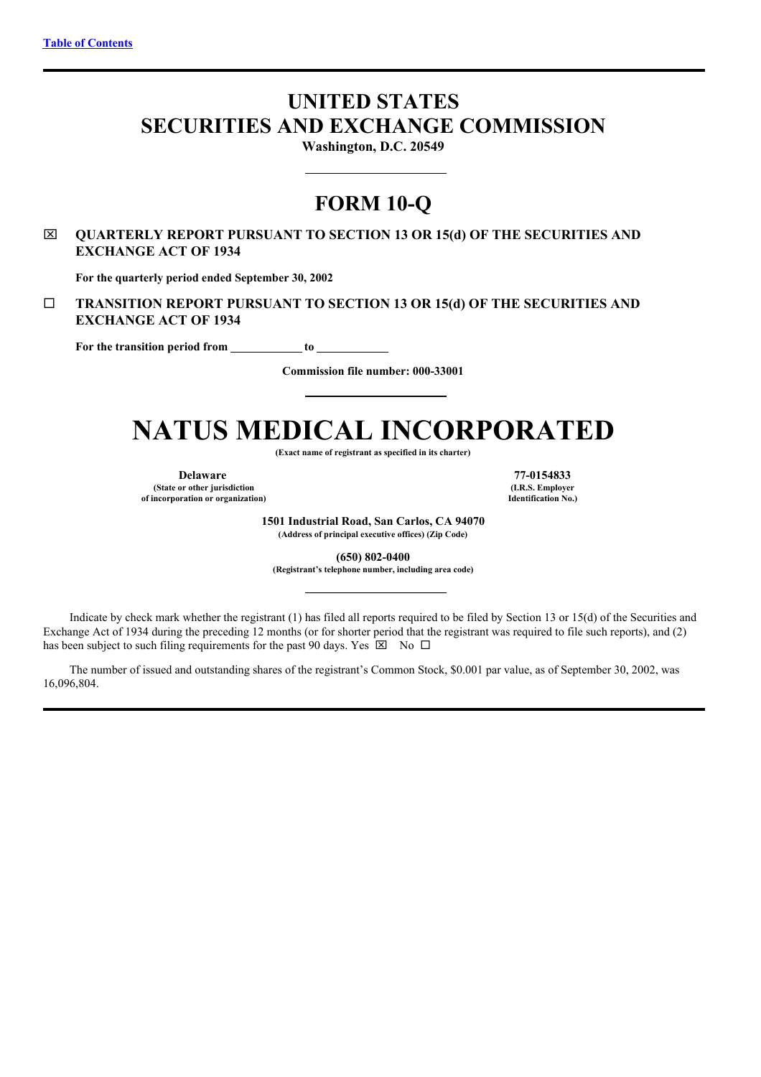## <span id="page-0-0"></span>**UNITED STATES SECURITIES AND EXCHANGE COMMISSION**

**Washington, D.C. 20549**

# **FORM 10-Q**

## x **QUARTERLY REPORT PURSUANT TO SECTION 13 OR 15(d) OF THE SECURITIES AND EXCHANGE ACT OF 1934**

**For the quarterly period ended September 30, 2002**

¨ **TRANSITION REPORT PURSUANT TO SECTION 13 OR 15(d) OF THE SECURITIES AND EXCHANGE ACT OF 1934**

**For the transition period from to**

**Commission file number: 000-33001**

# **NATUS MEDICAL INCORPORATED**

**(Exact name of registrant as specified in its charter)**

**Delaware 77-0154833 (State or other jurisdiction of incorporation or organization)**

**(I.R.S. Employer Identification No.)**

**1501 Industrial Road, San Carlos, CA 94070 (Address of principal executive offices) (Zip Code)**

**(650) 802-0400**

**(Registrant's telephone number, including area code)**

Indicate by check mark whether the registrant (1) has filed all reports required to be filed by Section 13 or 15(d) of the Securities and Exchange Act of 1934 during the preceding 12 months (or for shorter period that the registrant was required to file such reports), and (2) has been subject to such filing requirements for the past 90 days. Yes  $\boxtimes$  No  $\Box$ 

The number of issued and outstanding shares of the registrant's Common Stock, \$0.001 par value, as of September 30, 2002, was 16,096,804.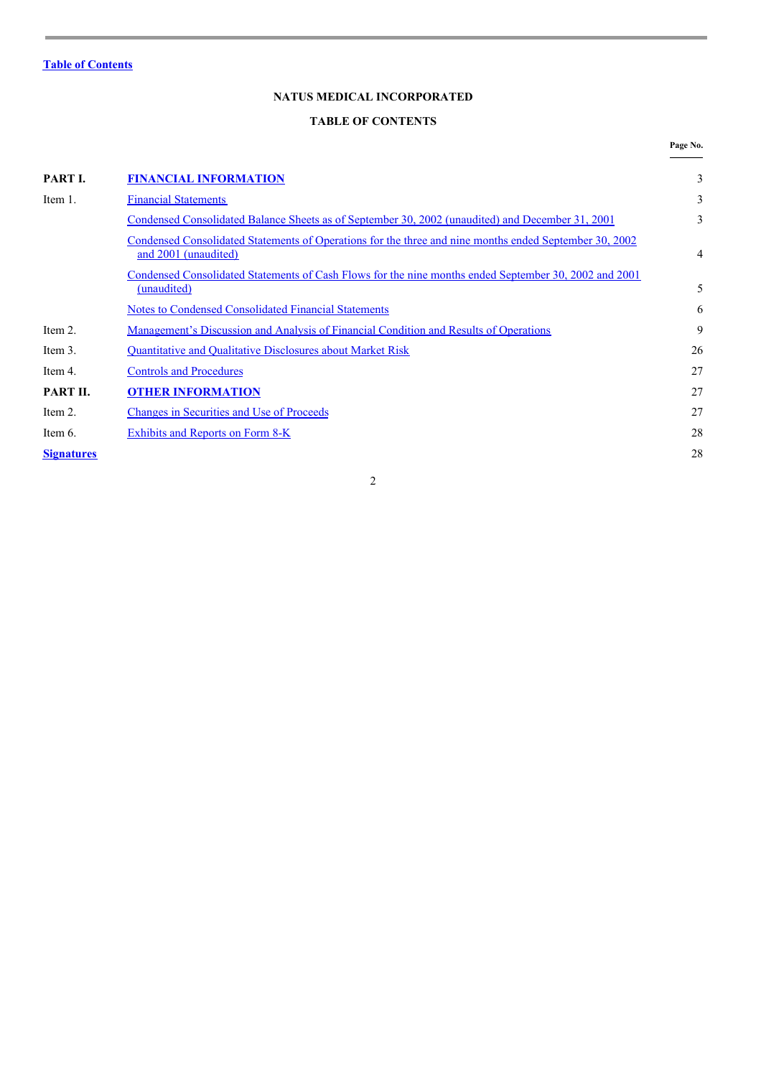## **NATUS MEDICAL INCORPORATED**

## **TABLE OF CONTENTS**

|                   |                                                                                                                                | Page No. |
|-------------------|--------------------------------------------------------------------------------------------------------------------------------|----------|
| PART I.           | <b>FINANCIAL INFORMATION</b>                                                                                                   | 3        |
| Item 1.           | <b>Financial Statements</b>                                                                                                    | 3        |
|                   | Condensed Consolidated Balance Sheets as of September 30, 2002 (unaudited) and December 31, 2001                               | 3        |
|                   | Condensed Consolidated Statements of Operations for the three and nine months ended September 30, 2002<br>and 2001 (unaudited) | 4        |
|                   | Condensed Consolidated Statements of Cash Flows for the nine months ended September 30, 2002 and 2001<br>(unaudited)           | 5        |
|                   | <b>Notes to Condensed Consolidated Financial Statements</b>                                                                    | 6        |
| Item 2.           | Management's Discussion and Analysis of Financial Condition and Results of Operations                                          | 9        |
| Item 3.           | <b>Ouantitative and Oualitative Disclosures about Market Risk</b>                                                              | 26       |
| Item 4.           | <b>Controls and Procedures</b>                                                                                                 | 27       |
| PART II.          | <b>OTHER INFORMATION</b>                                                                                                       | 27       |
| Item 2.           | Changes in Securities and Use of Proceeds                                                                                      | 27       |
| Item 6.           | <b>Exhibits and Reports on Form 8-K</b>                                                                                        | 28       |
| <b>Signatures</b> |                                                                                                                                | 28       |
|                   |                                                                                                                                |          |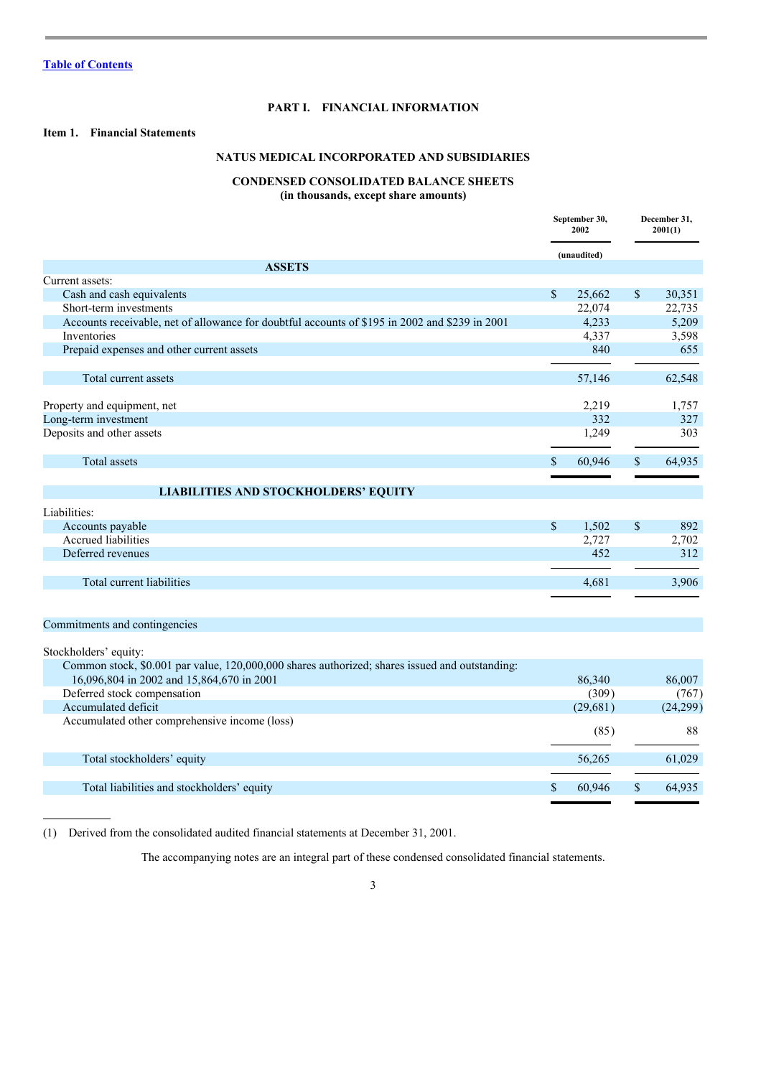## **PART I. FINANCIAL INFORMATION**

## **Item 1. Financial Statements**

## **NATUS MEDICAL INCORPORATED AND SUBSIDIARIES**

## **CONDENSED CONSOLIDATED BALANCE SHEETS**

**(in thousands, except share amounts)**

|                                                                                                |                           | September 30,<br>2002 |             | December 31,<br>2001(1) |  |
|------------------------------------------------------------------------------------------------|---------------------------|-----------------------|-------------|-------------------------|--|
|                                                                                                |                           | (unaudited)           |             |                         |  |
| <b>ASSETS</b><br>Current assets:                                                               |                           |                       |             |                         |  |
| Cash and cash equivalents                                                                      | $\boldsymbol{\mathsf{S}}$ | 25,662                | $\mathbf S$ | 30,351                  |  |
| Short-term investments                                                                         |                           | 22,074                |             | 22,735                  |  |
| Accounts receivable, net of allowance for doubtful accounts of \$195 in 2002 and \$239 in 2001 |                           | 4,233                 |             | 5,209                   |  |
| Inventories                                                                                    |                           | 4,337                 |             | 3,598                   |  |
| Prepaid expenses and other current assets                                                      |                           | 840                   |             | 655                     |  |
|                                                                                                |                           |                       |             |                         |  |
| Total current assets                                                                           |                           | 57,146                |             | 62,548                  |  |
|                                                                                                |                           |                       |             |                         |  |
| Property and equipment, net                                                                    |                           | 2,219                 |             | 1,757                   |  |
| Long-term investment<br>Deposits and other assets                                              |                           | 332                   |             | 327<br>303              |  |
|                                                                                                |                           | 1,249                 |             |                         |  |
| <b>Total</b> assets                                                                            | $\mathbf{\hat{s}}$        | 60,946                | \$          | 64,935                  |  |
|                                                                                                |                           |                       |             |                         |  |
| <b>LIABILITIES AND STOCKHOLDERS' EQUITY</b>                                                    |                           |                       |             |                         |  |
| Liabilities:                                                                                   |                           |                       |             |                         |  |
| Accounts payable                                                                               | $\mathbb{S}$              | 1,502                 | \$          | 892                     |  |
| Accrued liabilities                                                                            |                           | 2,727                 |             | 2,702                   |  |
| Deferred revenues                                                                              |                           | 452                   |             | 312                     |  |
|                                                                                                |                           |                       |             |                         |  |
| Total current liabilities                                                                      |                           | 4.681                 |             | 3,906                   |  |
|                                                                                                |                           |                       |             |                         |  |
|                                                                                                |                           |                       |             |                         |  |
| Commitments and contingencies                                                                  |                           |                       |             |                         |  |
| Stockholders' equity:                                                                          |                           |                       |             |                         |  |
| Common stock, \$0.001 par value, 120,000,000 shares authorized; shares issued and outstanding: |                           |                       |             |                         |  |
| 16,096,804 in 2002 and 15,864,670 in 2001                                                      |                           | 86,340                |             | 86,007                  |  |
| Deferred stock compensation                                                                    |                           | (309)                 |             | (767)                   |  |
| Accumulated deficit                                                                            |                           | (29, 681)             |             | (24,299)                |  |
| Accumulated other comprehensive income (loss)                                                  |                           |                       |             |                         |  |
|                                                                                                |                           | (85)                  |             | 88                      |  |
| Total stockholders' equity                                                                     |                           | 56,265                |             | 61,029                  |  |
|                                                                                                |                           |                       |             |                         |  |
| Total liabilities and stockholders' equity                                                     | $\mathbb{S}$              | 60,946                | \$          | 64,935                  |  |
|                                                                                                |                           |                       |             |                         |  |

(1) Derived from the consolidated audited financial statements at December 31, 2001.

The accompanying notes are an integral part of these condensed consolidated financial statements.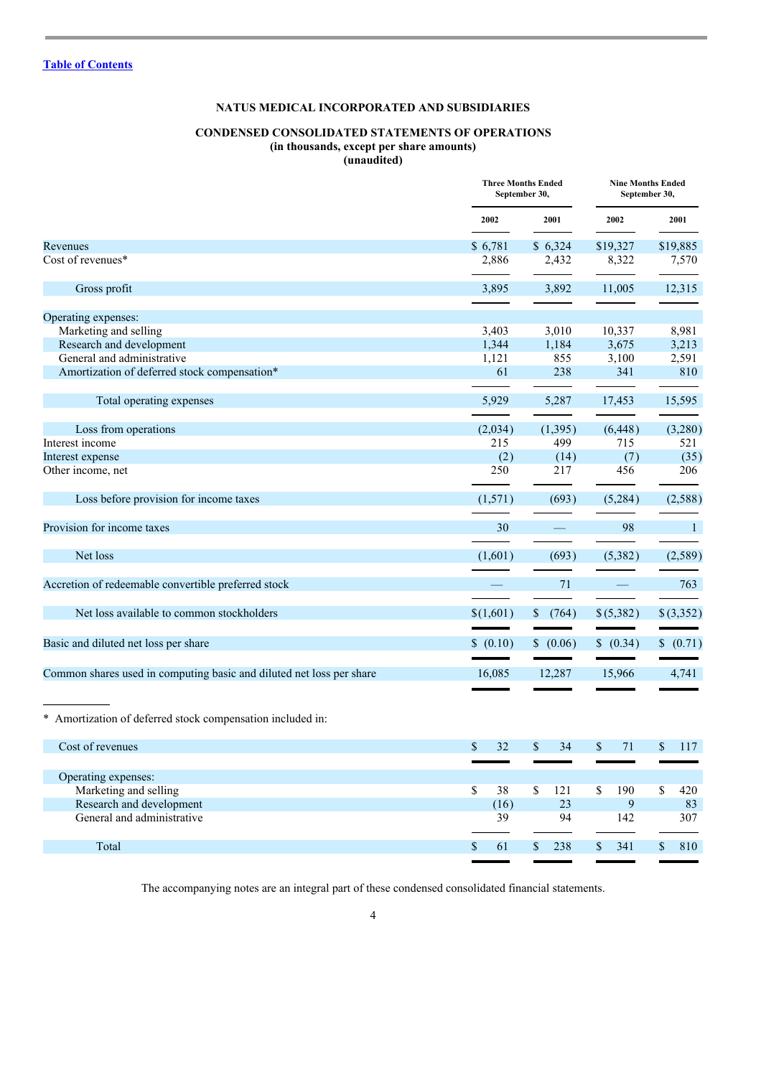## **NATUS MEDICAL INCORPORATED AND SUBSIDIARIES**

## **CONDENSED CONSOLIDATED STATEMENTS OF OPERATIONS (in thousands, except per share amounts)**

**(unaudited)**

|                                                                      | <b>Three Months Ended</b><br>September 30, |                     | <b>Nine Months Ended</b><br>September 30, |              |  |
|----------------------------------------------------------------------|--------------------------------------------|---------------------|-------------------------------------------|--------------|--|
|                                                                      | 2002                                       | 2001                | 2002                                      | 2001         |  |
| Revenues                                                             | \$6,781                                    | \$6,324             | \$19,327                                  | \$19,885     |  |
| Cost of revenues*                                                    | 2,886                                      | 2,432               | 8,322                                     | 7,570        |  |
| Gross profit                                                         | 3,895                                      | 3,892               | 11,005                                    | 12,315       |  |
| Operating expenses:                                                  |                                            |                     |                                           |              |  |
| Marketing and selling                                                | 3,403                                      | 3,010               | 10,337                                    | 8,981        |  |
| Research and development                                             | 1,344                                      | 1,184               | 3,675                                     | 3,213        |  |
| General and administrative                                           | 1,121                                      | 855                 | 3,100                                     | 2,591        |  |
| Amortization of deferred stock compensation*                         | 61                                         | 238                 | 341                                       | 810          |  |
| Total operating expenses                                             | 5,929                                      | 5,287               | 17,453                                    | 15,595       |  |
|                                                                      |                                            |                     |                                           |              |  |
| Loss from operations                                                 | (2,034)                                    | (1,395)             | (6, 448)                                  | (3,280)      |  |
| Interest income                                                      | 215                                        | 499                 | 715                                       | 521          |  |
| Interest expense                                                     | (2)                                        | (14)                | (7)                                       | (35)         |  |
| Other income, net                                                    | 250                                        | 217                 | 456                                       | 206          |  |
| Loss before provision for income taxes                               | (1,571)                                    | (693)               | (5,284)                                   | (2,588)      |  |
| Provision for income taxes                                           | 30                                         |                     | 98                                        | $\mathbf{1}$ |  |
| Net loss                                                             | (1,601)                                    | (693)               | (5,382)                                   | (2,589)      |  |
| Accretion of redeemable convertible preferred stock                  |                                            | 71                  |                                           | 763          |  |
|                                                                      |                                            |                     |                                           |              |  |
| Net loss available to common stockholders                            | \$(1,601)                                  | \$(764)             | \$ (5,382)                                | \$(3,352)    |  |
| Basic and diluted net loss per share                                 | \$ (0.10)                                  | \$ (0.06)           | \$ (0.34)                                 | \$ (0.71)    |  |
| Common shares used in computing basic and diluted net loss per share | 16,085                                     | 12,287              | 15,966                                    | 4,741        |  |
|                                                                      |                                            |                     |                                           |              |  |
| * Amortization of deferred stock compensation included in:           |                                            |                     |                                           |              |  |
| Cost of revenues                                                     | \$<br>32                                   | \$<br>34            | \$<br>71                                  | \$<br>117    |  |
|                                                                      |                                            |                     |                                           |              |  |
| Operating expenses:                                                  |                                            |                     |                                           |              |  |
| Marketing and selling                                                | $\mathbb{S}$<br>38                         | $\mathbb{S}$<br>121 | \$<br>190                                 | \$<br>420    |  |
| Research and development                                             | (16)                                       | 23                  | $\overline{9}$                            | 83           |  |
| General and administrative                                           | 39                                         | 94                  | 142                                       | 307          |  |
| Total                                                                | $\mathbb{S}$<br>61                         | $\mathbb{S}$<br>238 | \$<br>341                                 | 810<br>\$    |  |
|                                                                      |                                            |                     |                                           |              |  |

The accompanying notes are an integral part of these condensed consolidated financial statements.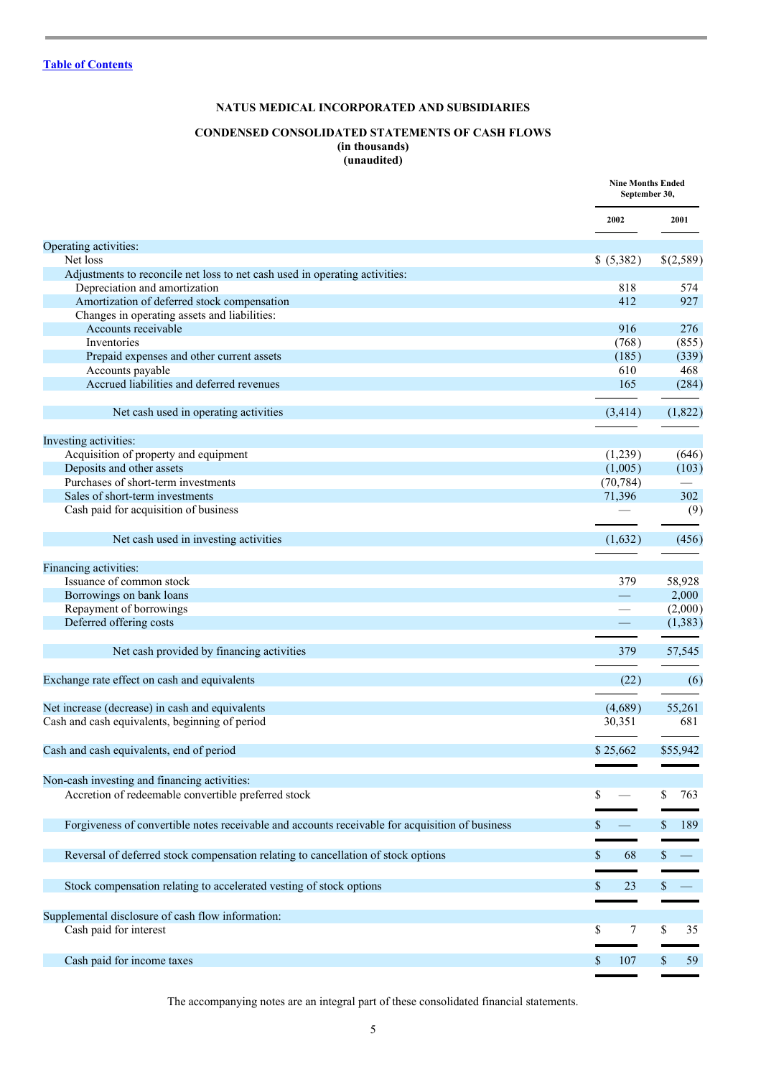## **NATUS MEDICAL INCORPORATED AND SUBSIDIARIES**

## **CONDENSED CONSOLIDATED STATEMENTS OF CASH FLOWS (in thousands)**

**(unaudited)**

|                                                                                                     | <b>Nine Months Ended</b><br>September 30, |           |
|-----------------------------------------------------------------------------------------------------|-------------------------------------------|-----------|
|                                                                                                     | 2002                                      | 2001      |
| Operating activities:                                                                               |                                           |           |
| Net loss                                                                                            | \$ (5,382)                                | \$(2,589) |
| Adjustments to reconcile net loss to net cash used in operating activities:                         |                                           |           |
| Depreciation and amortization                                                                       | 818                                       | 574       |
| Amortization of deferred stock compensation                                                         | 412                                       | 927       |
| Changes in operating assets and liabilities:                                                        |                                           |           |
| Accounts receivable                                                                                 | 916                                       | 276       |
| Inventories                                                                                         | (768)                                     | (855)     |
| Prepaid expenses and other current assets                                                           | (185)                                     | (339)     |
| Accounts payable                                                                                    | 610                                       | 468       |
| Accrued liabilities and deferred revenues                                                           | 165                                       | (284)     |
| Net cash used in operating activities                                                               | (3, 414)                                  | (1,822)   |
| Investing activities:                                                                               |                                           |           |
| Acquisition of property and equipment                                                               | (1,239)                                   | (646)     |
| Deposits and other assets                                                                           | (1,005)                                   | (103)     |
| Purchases of short-term investments                                                                 | (70, 784)                                 |           |
| Sales of short-term investments                                                                     | 71,396                                    | 302       |
| Cash paid for acquisition of business                                                               |                                           | (9)       |
|                                                                                                     |                                           |           |
| Net cash used in investing activities                                                               | (1,632)                                   | (456)     |
| Financing activities:                                                                               |                                           |           |
| Issuance of common stock                                                                            | 379                                       | 58,928    |
| Borrowings on bank loans                                                                            |                                           | 2,000     |
| Repayment of borrowings                                                                             |                                           | (2,000)   |
| Deferred offering costs                                                                             |                                           | (1, 383)  |
| Net cash provided by financing activities                                                           | 379                                       | 57,545    |
|                                                                                                     |                                           |           |
| Exchange rate effect on cash and equivalents                                                        | (22)                                      | (6)       |
| Net increase (decrease) in cash and equivalents                                                     | (4,689)                                   | 55,261    |
| Cash and cash equivalents, beginning of period                                                      | 30,351                                    | 681       |
|                                                                                                     |                                           |           |
| Cash and cash equivalents, end of period                                                            | \$25,662                                  | \$55,942  |
|                                                                                                     |                                           |           |
| Non-cash investing and financing activities:<br>Accretion of redeemable convertible preferred stock |                                           |           |
|                                                                                                     |                                           | \$<br>763 |
| Forgiveness of convertible notes receivable and accounts receivable for acquisition of business     |                                           | \$<br>189 |
|                                                                                                     |                                           |           |
| Reversal of deferred stock compensation relating to cancellation of stock options                   | \$<br>68                                  | \$        |
| Stock compensation relating to accelerated vesting of stock options                                 | \$<br>23                                  | \$        |
|                                                                                                     |                                           |           |
| Supplemental disclosure of cash flow information:                                                   |                                           |           |
| Cash paid for interest                                                                              | 7<br>S                                    | \$<br>35  |
| Cash paid for income taxes                                                                          | 107<br>\$                                 | \$<br>59  |
|                                                                                                     |                                           |           |

The accompanying notes are an integral part of these consolidated financial statements.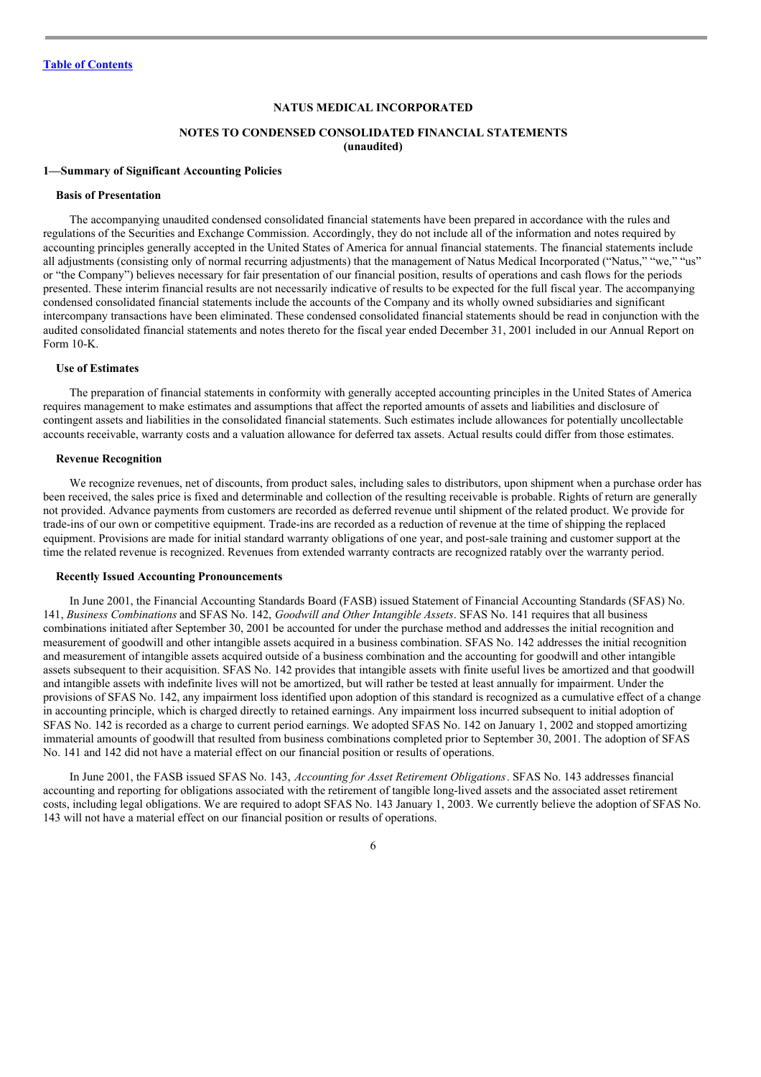#### **NATUS MEDICAL INCORPORATED**

#### **NOTES TO CONDENSED CONSOLIDATED FINANCIAL STATEMENTS (unaudited)**

#### **1—Summary of Significant Accounting Policies**

#### **Basis of Presentation**

The accompanying unaudited condensed consolidated financial statements have been prepared in accordance with the rules and regulations of the Securities and Exchange Commission. Accordingly, they do not include all of the information and notes required by accounting principles generally accepted in the United States of America for annual financial statements. The financial statements include all adjustments (consisting only of normal recurring adjustments) that the management of Natus Medical Incorporated ("Natus," "we," "us" or "the Company") believes necessary for fair presentation of our financial position, results of operations and cash flows for the periods presented. These interim financial results are not necessarily indicative of results to be expected for the full fiscal year. The accompanying condensed consolidated financial statements include the accounts of the Company and its wholly owned subsidiaries and significant intercompany transactions have been eliminated. These condensed consolidated financial statements should be read in conjunction with the audited consolidated financial statements and notes thereto for the fiscal year ended December 31, 2001 included in our Annual Report on Form  $10-K$ .

#### **Use of Estimates**

The preparation of financial statements in conformity with generally accepted accounting principles in the United States of America requires management to make estimates and assumptions that affect the reported amounts of assets and liabilities and disclosure of contingent assets and liabilities in the consolidated financial statements. Such estimates include allowances for potentially uncollectable accounts receivable, warranty costs and a valuation allowance for deferred tax assets. Actual results could differ from those estimates.

#### **Revenue Recognition**

We recognize revenues, net of discounts, from product sales, including sales to distributors, upon shipment when a purchase order has been received, the sales price is fixed and determinable and collection of the resulting receivable is probable. Rights of return are generally not provided. Advance payments from customers are recorded as deferred revenue until shipment of the related product. We provide for trade-ins of our own or competitive equipment. Trade-ins are recorded as a reduction of revenue at the time of shipping the replaced equipment. Provisions are made for initial standard warranty obligations of one year, and post-sale training and customer support at the time the related revenue is recognized. Revenues from extended warranty contracts are recognized ratably over the warranty period.

#### **Recently Issued Accounting Pronouncements**

In June 2001, the Financial Accounting Standards Board (FASB) issued Statement of Financial Accounting Standards (SFAS) No. 141, *Business Combinations* and SFAS No. 142, *Goodwill and Other Intangible Assets*. SFAS No. 141 requires that all business combinations initiated after September 30, 2001 be accounted for under the purchase method and addresses the initial recognition and measurement of goodwill and other intangible assets acquired in a business combination. SFAS No. 142 addresses the initial recognition and measurement of intangible assets acquired outside of a business combination and the accounting for goodwill and other intangible assets subsequent to their acquisition. SFAS No. 142 provides that intangible assets with finite useful lives be amortized and that goodwill and intangible assets with indefinite lives will not be amortized, but will rather be tested at least annually for impairment. Under the provisions of SFAS No. 142, any impairment loss identified upon adoption of this standard is recognized as a cumulative effect of a change in accounting principle, which is charged directly to retained earnings. Any impairment loss incurred subsequent to initial adoption of SFAS No. 142 is recorded as a charge to current period earnings. We adopted SFAS No. 142 on January 1, 2002 and stopped amortizing immaterial amounts of goodwill that resulted from business combinations completed prior to September 30, 2001. The adoption of SFAS No. 141 and 142 did not have a material effect on our financial position or results of operations.

In June 2001, the FASB issued SFAS No. 143, *Accounting for Asset Retirement Obligations*. SFAS No. 143 addresses financial accounting and reporting for obligations associated with the retirement of tangible long-lived assets and the associated asset retirement costs, including legal obligations. We are required to adopt SFAS No. 143 January 1, 2003. We currently believe the adoption of SFAS No. 143 will not have a material effect on our financial position or results of operations.

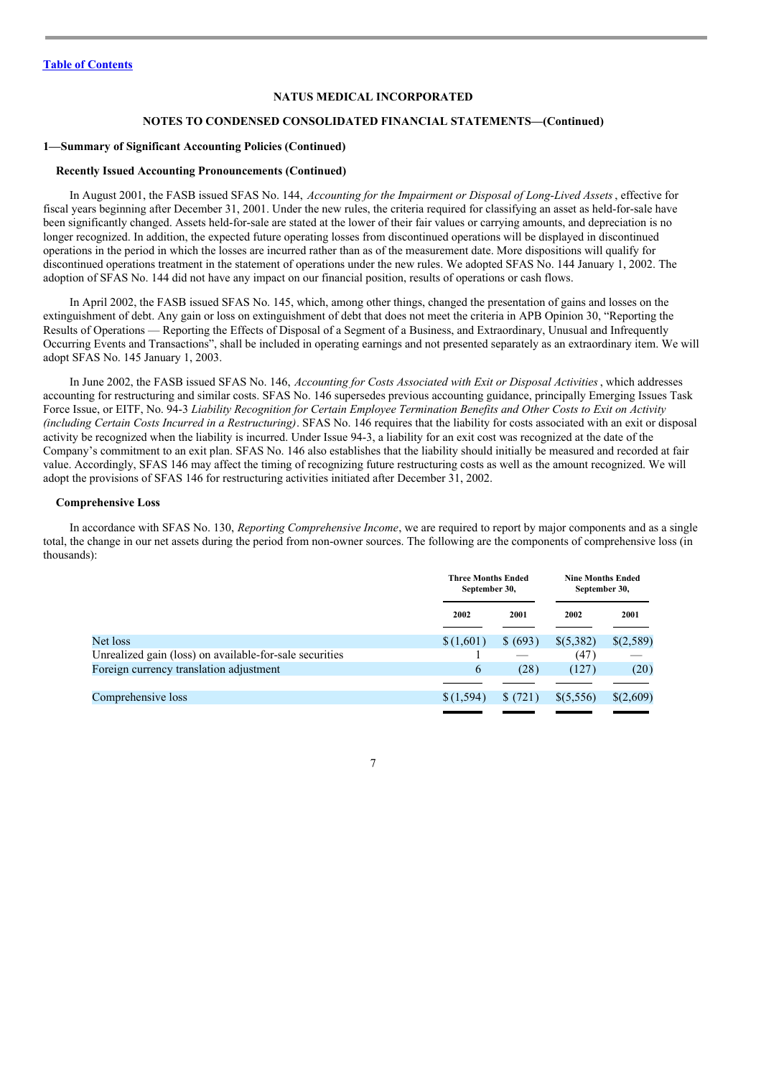#### **NATUS MEDICAL INCORPORATED**

#### **NOTES TO CONDENSED CONSOLIDATED FINANCIAL STATEMENTS—(Continued)**

#### **1—Summary of Significant Accounting Policies (Continued)**

#### **Recently Issued Accounting Pronouncements (Continued)**

In August 2001, the FASB issued SFAS No. 144, *Accounting for the Impairment or Disposal of Long-Lived Assets*, effective for fiscal years beginning after December 31, 2001. Under the new rules, the criteria required for classifying an asset as held-for-sale have been significantly changed. Assets held-for-sale are stated at the lower of their fair values or carrying amounts, and depreciation is no longer recognized. In addition, the expected future operating losses from discontinued operations will be displayed in discontinued operations in the period in which the losses are incurred rather than as of the measurement date. More dispositions will qualify for discontinued operations treatment in the statement of operations under the new rules. We adopted SFAS No. 144 January 1, 2002. The adoption of SFAS No. 144 did not have any impact on our financial position, results of operations or cash flows.

In April 2002, the FASB issued SFAS No. 145, which, among other things, changed the presentation of gains and losses on the extinguishment of debt. Any gain or loss on extinguishment of debt that does not meet the criteria in APB Opinion 30, "Reporting the Results of Operations — Reporting the Effects of Disposal of a Segment of a Business, and Extraordinary, Unusual and Infrequently Occurring Events and Transactions", shall be included in operating earnings and not presented separately as an extraordinary item. We will adopt SFAS No. 145 January 1, 2003.

In June 2002, the FASB issued SFAS No. 146, *Accounting for Costs Associated with Exit or Disposal Activities*, which addresses accounting for restructuring and similar costs. SFAS No. 146 supersedes previous accounting guidance, principally Emerging Issues Task Force Issue, or EITF, No. 94-3 Liability Recognition for Certain Employee Termination Benefits and Other Costs to Exit on Activity *(including Certain Costs Incurred in a Restructuring)*. SFAS No. 146 requires that the liability for costs associated with an exit or disposal activity be recognized when the liability is incurred. Under Issue 94-3, a liability for an exit cost was recognized at the date of the Company's commitment to an exit plan. SFAS No. 146 also establishes that the liability should initially be measured and recorded at fair value. Accordingly, SFAS 146 may affect the timing of recognizing future restructuring costs as well as the amount recognized. We will adopt the provisions of SFAS 146 for restructuring activities initiated after December 31, 2002.

#### **Comprehensive Loss**

In accordance with SFAS No. 130, *Reporting Comprehensive Income*, we are required to report by major components and as a single total, the change in our net assets during the period from non-owner sources. The following are the components of comprehensive loss (in thousands):

|                                                         |           | <b>Three Months Ended</b><br>September 30, |           | <b>Nine Months Ended</b><br>September 30, |
|---------------------------------------------------------|-----------|--------------------------------------------|-----------|-------------------------------------------|
|                                                         | 2002      | 2001                                       | 2002      | 2001                                      |
| Net loss                                                | \$(1,601) | \$ (693)                                   | \$(5,382) | \$(2,589)                                 |
| Unrealized gain (loss) on available-for-sale securities |           |                                            | (47)      |                                           |
| Foreign currency translation adjustment                 | 6         | (28)                                       | (127)     | (20)                                      |
|                                                         |           |                                            |           |                                           |
| Comprehensive loss                                      | \$(1,594) | \$(721)                                    | \$(5,556) | \$(2,609)                                 |
|                                                         |           |                                            |           |                                           |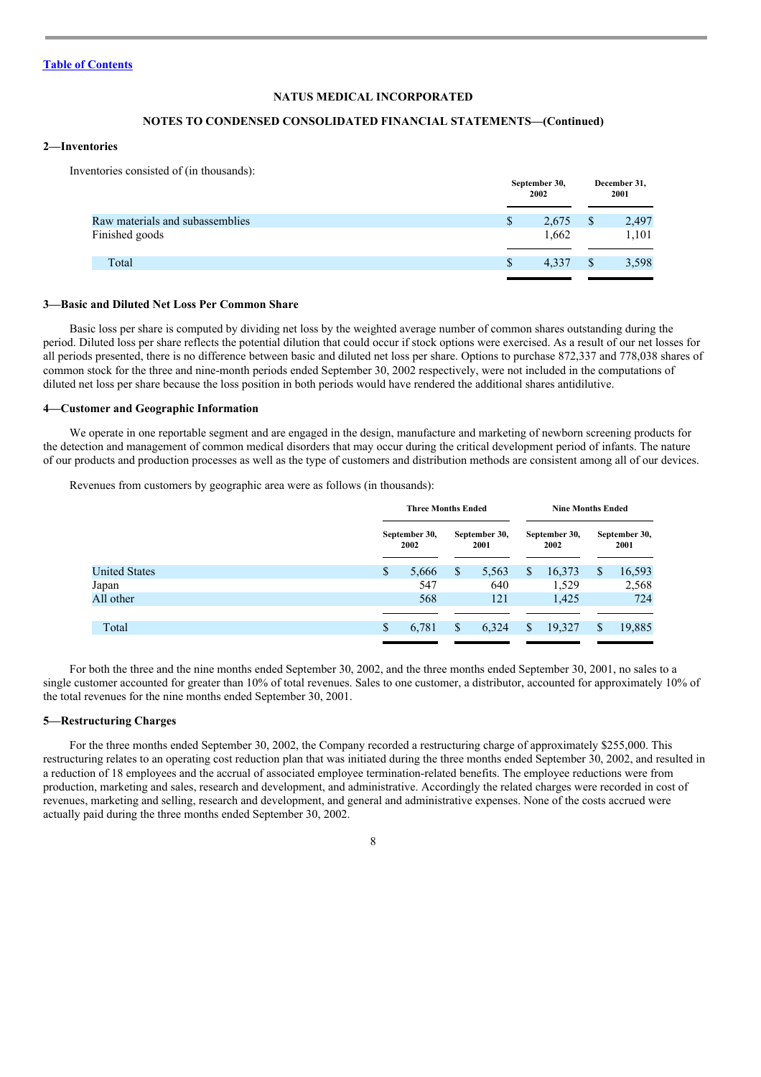#### **NATUS MEDICAL INCORPORATED**

#### **NOTES TO CONDENSED CONSOLIDATED FINANCIAL STATEMENTS—(Continued)**

#### **2—Inventories**

Inventories consisted of (in thousands):

|                                 |              | September 30,<br>2002 | December 31,<br>2001 |       |  |
|---------------------------------|--------------|-----------------------|----------------------|-------|--|
| Raw materials and subassemblies | <sup>S</sup> | 2,675                 | S                    | 2,497 |  |
| Finished goods                  |              | 1,662                 |                      | 1,101 |  |
|                                 |              |                       |                      |       |  |
| Total                           | <sup>S</sup> | 4.337                 | <sup>\$</sup>        | 3,598 |  |
|                                 |              |                       |                      |       |  |

#### **3—Basic and Diluted Net Loss Per Common Share**

Basic loss per share is computed by dividing net loss by the weighted average number of common shares outstanding during the period. Diluted loss per share reflects the potential dilution that could occur if stock options were exercised. As a result of our net losses for all periods presented, there is no difference between basic and diluted net loss per share. Options to purchase 872,337 and 778,038 shares of common stock for the three and nine-month periods ended September 30, 2002 respectively, were not included in the computations of diluted net loss per share because the loss position in both periods would have rendered the additional shares antidilutive.

#### **4—Customer and Geographic Information**

We operate in one reportable segment and are engaged in the design, manufacture and marketing of newborn screening products for the detection and management of common medical disorders that may occur during the critical development period of infants. The nature of our products and production processes as well as the type of customers and distribution methods are consistent among all of our devices.

Revenues from customers by geographic area were as follows (in thousands):

|                      |    | <b>Three Months Ended</b>     |    |               | <b>Nine Months Ended</b> |                       |    |                       |
|----------------------|----|-------------------------------|----|---------------|--------------------------|-----------------------|----|-----------------------|
|                      |    | September 30,<br>2002<br>2001 |    | September 30, |                          | September 30,<br>2002 |    | September 30,<br>2001 |
| <b>United States</b> | \$ | 5,666                         | \$ | 5,563         | \$                       | 16,373                | \$ | 16,593                |
| Japan                |    | 547                           |    | 640           |                          | 1,529                 |    | 2,568                 |
| All other            |    | 568                           |    | 121           |                          | 1,425                 |    | 724                   |
|                      |    |                               |    |               |                          |                       |    |                       |
| Total                | \$ | 6,781                         | \$ | 6,324         | \$                       | 19,327                | \$ | 19,885                |
|                      |    |                               |    |               |                          |                       |    |                       |

For both the three and the nine months ended September 30, 2002, and the three months ended September 30, 2001, no sales to a single customer accounted for greater than 10% of total revenues. Sales to one customer, a distributor, accounted for approximately 10% of the total revenues for the nine months ended September 30, 2001.

#### **5—Restructuring Charges**

For the three months ended September 30, 2002, the Company recorded a restructuring charge of approximately \$255,000. This restructuring relates to an operating cost reduction plan that was initiated during the three months ended September 30, 2002, and resulted in a reduction of 18 employees and the accrual of associated employee termination-related benefits. The employee reductions were from production, marketing and sales, research and development, and administrative. Accordingly the related charges were recorded in cost of revenues, marketing and selling, research and development, and general and administrative expenses. None of the costs accrued were actually paid during the three months ended September 30, 2002.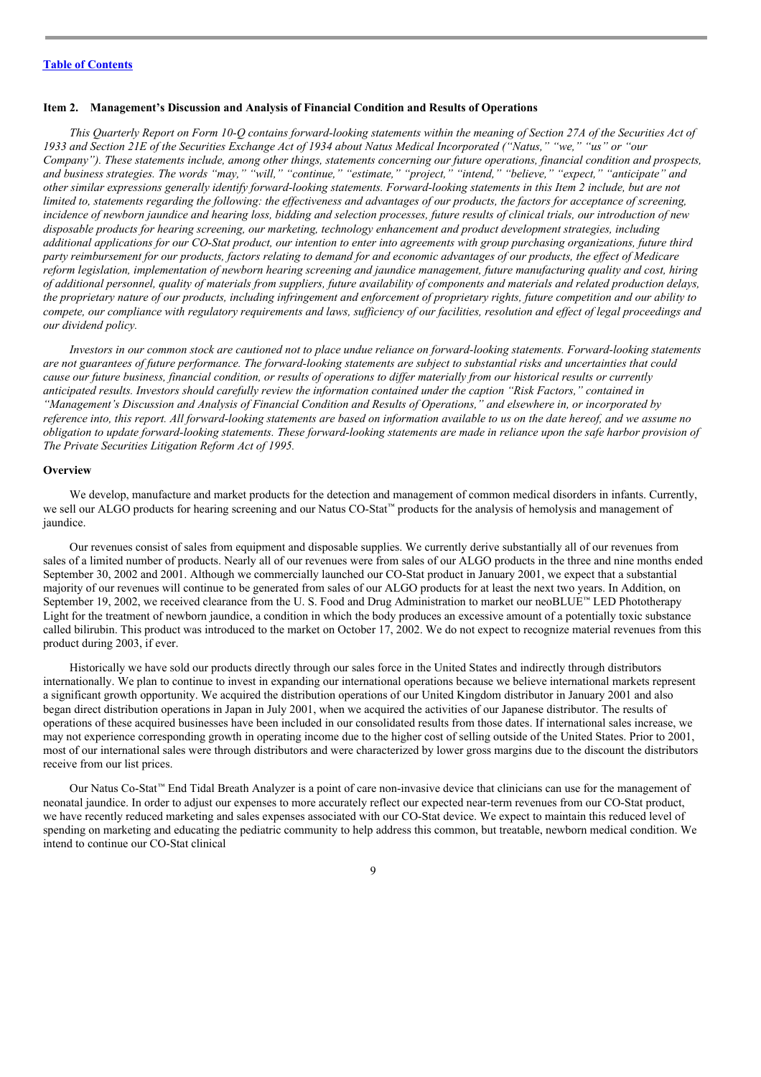#### **Item 2. Management's Discussion and Analysis of Financial Condition and Results of Operations**

This Quarterly Report on Form 10-Q contains forward-looking statements within the meaning of Section 27A of the Securities Act of 1933 and Section 21E of the Securities Exchange Act of 1934 about Natus Medical Incorporated ("Natus," "we," "us" or "our Company"). These statements include, among other things, statements concerning our future operations, financial condition and prospects, and business strategies. The words "may," "will," "continue," "estimate," "project," "intend," "believe," "expect," "anticipate" and other similar expressions generally identify forward-looking statements. Forward-looking statements in this Item 2 include, but are not limited to, statements regarding the following: the effectiveness and advantages of our products, the factors for acceptance of screening, incidence of newborn jaundice and hearing loss, bidding and selection processes, future results of clinical trials, our introduction of new *disposable products for hearing screening, our marketing, technology enhancement and product development strategies, including* additional applications for our CO-Stat product, our intention to enter into agreements with group purchasing organizations, future third party reimbursement for our products, factors relating to demand for and economic advantages of our products, the effect of Medicare reform legislation, implementation of newborn hearing screening and jaundice management, future manufacturing quality and cost, hiring of additional personnel, quality of materials from suppliers, future availability of components and materials and related production delays, the proprietary nature of our products, including infringement and enforcement of proprietary rights, future competition and our ability to compete, our compliance with regulatory requirements and laws, sufficiency of our facilities, resolution and effect of legal proceedings and *our dividend policy.*

Investors in our common stock are cautioned not to place undue reliance on forward-looking statements. Forward-looking statements are not guarantees of future performance. The forward-looking statements are subject to substantial risks and uncertainties that could cause our future business, financial condition, or results of operations to differ materially from our historical results or currently anticipated results. Investors should carefully review the information contained under the caption "Risk Factors," contained in "Management's Discussion and Analysis of Financial Condition and Results of Operations," and elsewhere in, or incorporated by reference into, this report. All forward-looking statements are based on information available to us on the date hereof, and we assume no obligation to update forward-looking statements. These forward-looking statements are made in reliance upon the safe harbor provision of *The Private Securities Litigation Reform Act of 1995.*

#### **Overview**

We develop, manufacture and market products for the detection and management of common medical disorders in infants. Currently, we sell our ALGO products for hearing screening and our Natus CO-Stat™ products for the analysis of hemolysis and management of jaundice.

Our revenues consist of sales from equipment and disposable supplies. We currently derive substantially all of our revenues from sales of a limited number of products. Nearly all of our revenues were from sales of our ALGO products in the three and nine months ended September 30, 2002 and 2001. Although we commercially launched our CO-Stat product in January 2001, we expect that a substantial majority of our revenues will continue to be generated from sales of our ALGO products for at least the next two years. In Addition, on September 19, 2002, we received clearance from the U.S. Food and Drug Administration to market our neoBLUE™ LED Phototherapy Light for the treatment of newborn jaundice, a condition in which the body produces an excessive amount of a potentially toxic substance called bilirubin. This product was introduced to the market on October 17, 2002. We do not expect to recognize material revenues from this product during 2003, if ever.

Historically we have sold our products directly through our sales force in the United States and indirectly through distributors internationally. We plan to continue to invest in expanding our international operations because we believe international markets represent a significant growth opportunity. We acquired the distribution operations of our United Kingdom distributor in January 2001 and also began direct distribution operations in Japan in July 2001, when we acquired the activities of our Japanese distributor. The results of operations of these acquired businesses have been included in our consolidated results from those dates. If international sales increase, we may not experience corresponding growth in operating income due to the higher cost of selling outside of the United States. Prior to 2001, most of our international sales were through distributors and were characterized by lower gross margins due to the discount the distributors receive from our list prices.

Our Natus Co-Stat™ End Tidal Breath Analyzer is a point of care non-invasive device that clinicians can use for the management of neonatal jaundice. In order to adjust our expenses to more accurately reflect our expected near-term revenues from our CO-Stat product, we have recently reduced marketing and sales expenses associated with our CO-Stat device. We expect to maintain this reduced level of spending on marketing and educating the pediatric community to help address this common, but treatable, newborn medical condition. We intend to continue our CO-Stat clinical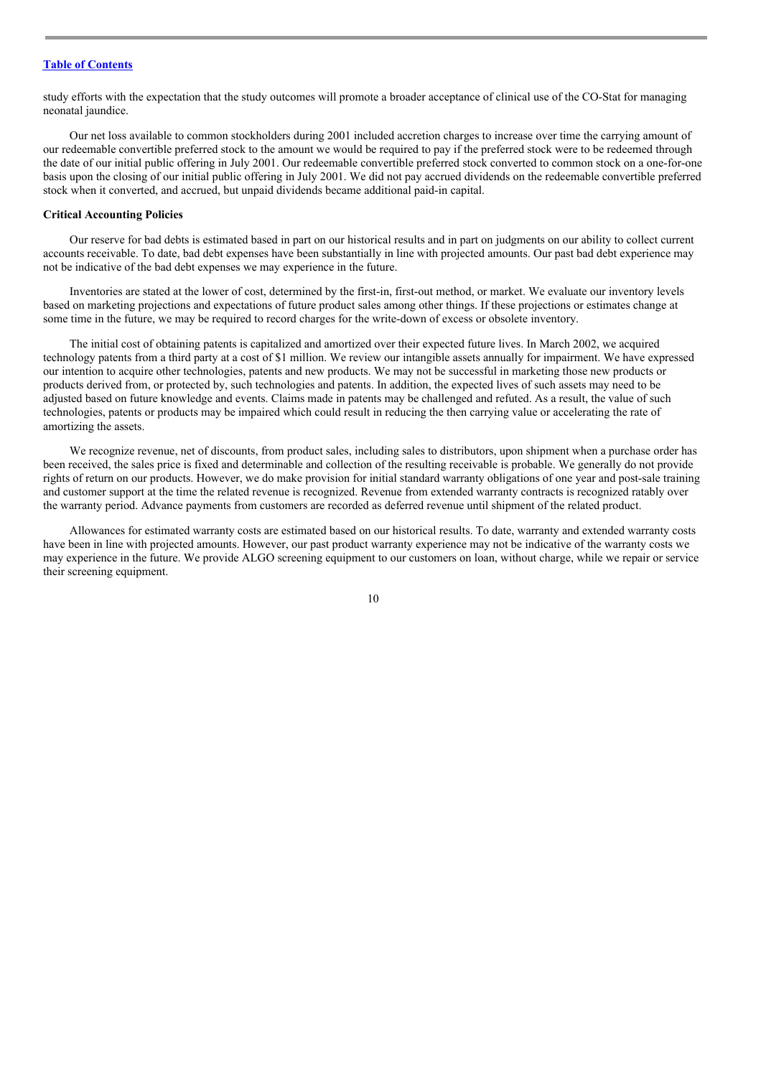study efforts with the expectation that the study outcomes will promote a broader acceptance of clinical use of the CO-Stat for managing neonatal jaundice.

Our net loss available to common stockholders during 2001 included accretion charges to increase over time the carrying amount of our redeemable convertible preferred stock to the amount we would be required to pay if the preferred stock were to be redeemed through the date of our initial public offering in July 2001. Our redeemable convertible preferred stock converted to common stock on a one-for-one basis upon the closing of our initial public offering in July 2001. We did not pay accrued dividends on the redeemable convertible preferred stock when it converted, and accrued, but unpaid dividends became additional paid-in capital.

#### **Critical Accounting Policies**

Our reserve for bad debts is estimated based in part on our historical results and in part on judgments on our ability to collect current accounts receivable. To date, bad debt expenses have been substantially in line with projected amounts. Our past bad debt experience may not be indicative of the bad debt expenses we may experience in the future.

Inventories are stated at the lower of cost, determined by the first-in, first-out method, or market. We evaluate our inventory levels based on marketing projections and expectations of future product sales among other things. If these projections or estimates change at some time in the future, we may be required to record charges for the write-down of excess or obsolete inventory.

The initial cost of obtaining patents is capitalized and amortized over their expected future lives. In March 2002, we acquired technology patents from a third party at a cost of \$1 million. We review our intangible assets annually for impairment. We have expressed our intention to acquire other technologies, patents and new products. We may not be successful in marketing those new products or products derived from, or protected by, such technologies and patents. In addition, the expected lives of such assets may need to be adjusted based on future knowledge and events. Claims made in patents may be challenged and refuted. As a result, the value of such technologies, patents or products may be impaired which could result in reducing the then carrying value or accelerating the rate of amortizing the assets.

We recognize revenue, net of discounts, from product sales, including sales to distributors, upon shipment when a purchase order has been received, the sales price is fixed and determinable and collection of the resulting receivable is probable. We generally do not provide rights of return on our products. However, we do make provision for initial standard warranty obligations of one year and post-sale training and customer support at the time the related revenue is recognized. Revenue from extended warranty contracts is recognized ratably over the warranty period. Advance payments from customers are recorded as deferred revenue until shipment of the related product.

Allowances for estimated warranty costs are estimated based on our historical results. To date, warranty and extended warranty costs have been in line with projected amounts. However, our past product warranty experience may not be indicative of the warranty costs we may experience in the future. We provide ALGO screening equipment to our customers on loan, without charge, while we repair or service their screening equipment.

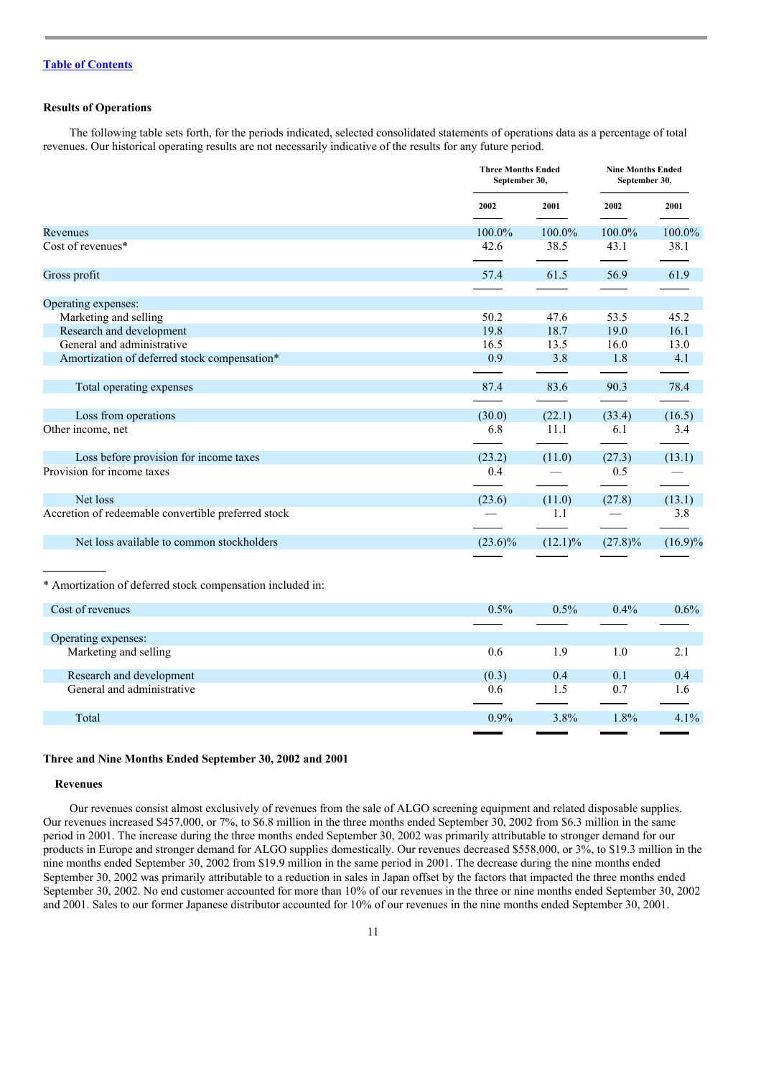## **Results of Operations**

The following table sets forth, for the periods indicated, selected consolidated statements of operations data as a percentage of total revenues. Our historical operating results are not necessarily indicative of the results for any future period.

|                                                            |            | <b>Three Months Ended</b><br>September 30, |            | <b>Nine Months Ended</b><br>September 30, |
|------------------------------------------------------------|------------|--------------------------------------------|------------|-------------------------------------------|
|                                                            | 2002       | 2001                                       | 2002       | 2001                                      |
| Revenues                                                   | 100.0%     | 100.0%                                     | 100.0%     | 100.0%                                    |
| Cost of revenues*                                          | 42.6       | 38.5                                       | 43.1       | 38.1                                      |
| Gross profit                                               | 57.4       | 61.5                                       | 56.9       | 61.9                                      |
| Operating expenses:                                        |            |                                            |            |                                           |
| Marketing and selling                                      | 50.2       | 47.6                                       | 53.5       | 45.2                                      |
| Research and development                                   | 19.8       | 18.7                                       | 19.0       | 16.1                                      |
| General and administrative                                 | 16.5       | 13.5                                       | 16.0       | 13.0                                      |
| Amortization of deferred stock compensation*               | 0.9        | 3.8                                        | 1.8        | 4.1                                       |
| Total operating expenses                                   | 87.4       | 83.6                                       | 90.3       | 78.4                                      |
|                                                            |            |                                            |            |                                           |
| Loss from operations                                       | (30.0)     | (22.1)                                     | (33.4)     | (16.5)                                    |
| Other income, net                                          | 6.8        | 11.1                                       | 6.1        | 3.4                                       |
| Loss before provision for income taxes                     | (23.2)     | (11.0)                                     | (27.3)     | (13.1)                                    |
| Provision for income taxes                                 | 0.4        |                                            | 0.5        |                                           |
| Net loss                                                   | (23.6)     | (11.0)                                     | (27.8)     | (13.1)                                    |
| Accretion of redeemable convertible preferred stock        |            | 1.1                                        |            | 3.8                                       |
| Net loss available to common stockholders                  | $(23.6)\%$ | $(12.1)\%$                                 | $(27.8)\%$ | $(16.9)\%$                                |
| * Amortization of deferred stock compensation included in: |            |                                            |            |                                           |
| Cost of revenues                                           | 0.5%       | 0.5%                                       | 0.4%       | 0.6%                                      |
| Operating expenses:                                        |            |                                            |            |                                           |
| Marketing and selling                                      | 0.6        | 1.9                                        | 1.0        | 2.1                                       |
| Research and development                                   | (0.3)      | 0.4                                        | 0.1        | 0.4                                       |
| General and administrative                                 | 0.6        | 1.5                                        | 0.7        | 1.6                                       |

#### **Three and Nine Months Ended September 30, 2002 and 2001**

#### **Revenues**

Our revenues consist almost exclusively of revenues from the sale of ALGO screening equipment and related disposable supplies. Our revenues increased \$457,000, or 7%, to \$6.8 million in the three months ended September 30, 2002 from \$6.3 million in the same period in 2001. The increase during the three months ended September 30, 2002 was primarily attributable to stronger demand for our products in Europe and stronger demand for ALGO supplies domestically. Our revenues decreased \$558,000, or 3%, to \$19.3 million in the nine months ended September 30, 2002 from \$19.9 million in the same period in 2001. The decrease during the nine months ended September 30, 2002 was primarily attributable to a reduction in sales in Japan offset by the factors that impacted the three months ended September 30, 2002. No end customer accounted for more than 10% of our revenues in the three or nine months ended September 30, 2002 and 2001. Sales to our former Japanese distributor accounted for 10% of our revenues in the nine months ended September 30, 2001.

Total  $0.9\%$   $3.8\%$   $1.8\%$   $4.1\%$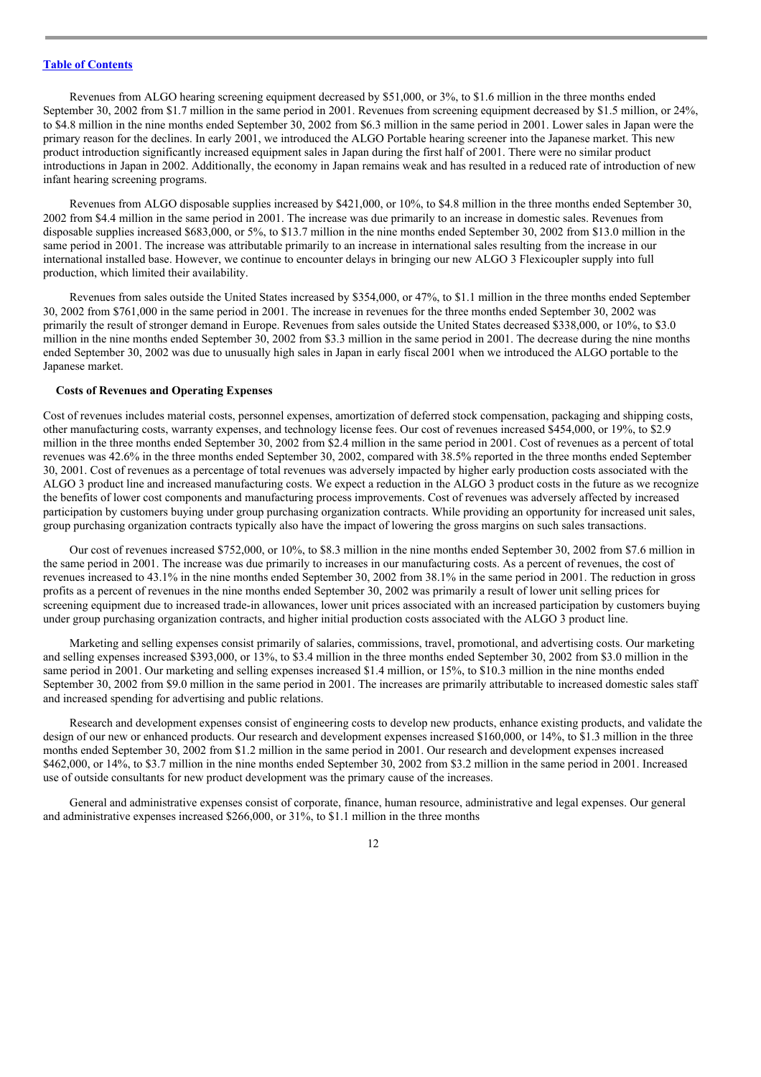Revenues from ALGO hearing screening equipment decreased by \$51,000, or 3%, to \$1.6 million in the three months ended September 30, 2002 from \$1.7 million in the same period in 2001. Revenues from screening equipment decreased by \$1.5 million, or 24%, to \$4.8 million in the nine months ended September 30, 2002 from \$6.3 million in the same period in 2001. Lower sales in Japan were the primary reason for the declines. In early 2001, we introduced the ALGO Portable hearing screener into the Japanese market. This new product introduction significantly increased equipment sales in Japan during the first half of 2001. There were no similar product introductions in Japan in 2002. Additionally, the economy in Japan remains weak and has resulted in a reduced rate of introduction of new infant hearing screening programs.

Revenues from ALGO disposable supplies increased by \$421,000, or 10%, to \$4.8 million in the three months ended September 30, 2002 from \$4.4 million in the same period in 2001. The increase was due primarily to an increase in domestic sales. Revenues from disposable supplies increased \$683,000, or 5%, to \$13.7 million in the nine months ended September 30, 2002 from \$13.0 million in the same period in 2001. The increase was attributable primarily to an increase in international sales resulting from the increase in our international installed base. However, we continue to encounter delays in bringing our new ALGO 3 Flexicoupler supply into full production, which limited their availability.

Revenues from sales outside the United States increased by \$354,000, or 47%, to \$1.1 million in the three months ended September 30, 2002 from \$761,000 in the same period in 2001. The increase in revenues for the three months ended September 30, 2002 was primarily the result of stronger demand in Europe. Revenues from sales outside the United States decreased \$338,000, or 10%, to \$3.0 million in the nine months ended September 30, 2002 from \$3.3 million in the same period in 2001. The decrease during the nine months ended September 30, 2002 was due to unusually high sales in Japan in early fiscal 2001 when we introduced the ALGO portable to the Japanese market.

#### **Costs of Revenues and Operating Expenses**

Cost of revenues includes material costs, personnel expenses, amortization of deferred stock compensation, packaging and shipping costs, other manufacturing costs, warranty expenses, and technology license fees. Our cost of revenues increased \$454,000, or 19%, to \$2.9 million in the three months ended September 30, 2002 from \$2.4 million in the same period in 2001. Cost of revenues as a percent of total revenues was 42.6% in the three months ended September 30, 2002, compared with 38.5% reported in the three months ended September 30, 2001. Cost of revenues as a percentage of total revenues was adversely impacted by higher early production costs associated with the ALGO 3 product line and increased manufacturing costs. We expect a reduction in the ALGO 3 product costs in the future as we recognize the benefits of lower cost components and manufacturing process improvements. Cost of revenues was adversely affected by increased participation by customers buying under group purchasing organization contracts. While providing an opportunity for increased unit sales, group purchasing organization contracts typically also have the impact of lowering the gross margins on such sales transactions.

Our cost of revenues increased \$752,000, or 10%, to \$8.3 million in the nine months ended September 30, 2002 from \$7.6 million in the same period in 2001. The increase was due primarily to increases in our manufacturing costs. As a percent of revenues, the cost of revenues increased to 43.1% in the nine months ended September 30, 2002 from 38.1% in the same period in 2001. The reduction in gross profits as a percent of revenues in the nine months ended September 30, 2002 was primarily a result of lower unit selling prices for screening equipment due to increased trade-in allowances, lower unit prices associated with an increased participation by customers buying under group purchasing organization contracts, and higher initial production costs associated with the ALGO 3 product line.

Marketing and selling expenses consist primarily of salaries, commissions, travel, promotional, and advertising costs. Our marketing and selling expenses increased \$393,000, or 13%, to \$3.4 million in the three months ended September 30, 2002 from \$3.0 million in the same period in 2001. Our marketing and selling expenses increased \$1.4 million, or 15%, to \$10.3 million in the nine months ended September 30, 2002 from \$9.0 million in the same period in 2001. The increases are primarily attributable to increased domestic sales staff and increased spending for advertising and public relations.

Research and development expenses consist of engineering costs to develop new products, enhance existing products, and validate the design of our new or enhanced products. Our research and development expenses increased \$160,000, or 14%, to \$1.3 million in the three months ended September 30, 2002 from \$1.2 million in the same period in 2001. Our research and development expenses increased \$462,000, or 14%, to \$3.7 million in the nine months ended September 30, 2002 from \$3.2 million in the same period in 2001. Increased use of outside consultants for new product development was the primary cause of the increases.

General and administrative expenses consist of corporate, finance, human resource, administrative and legal expenses. Our general and administrative expenses increased \$266,000, or 31%, to \$1.1 million in the three months

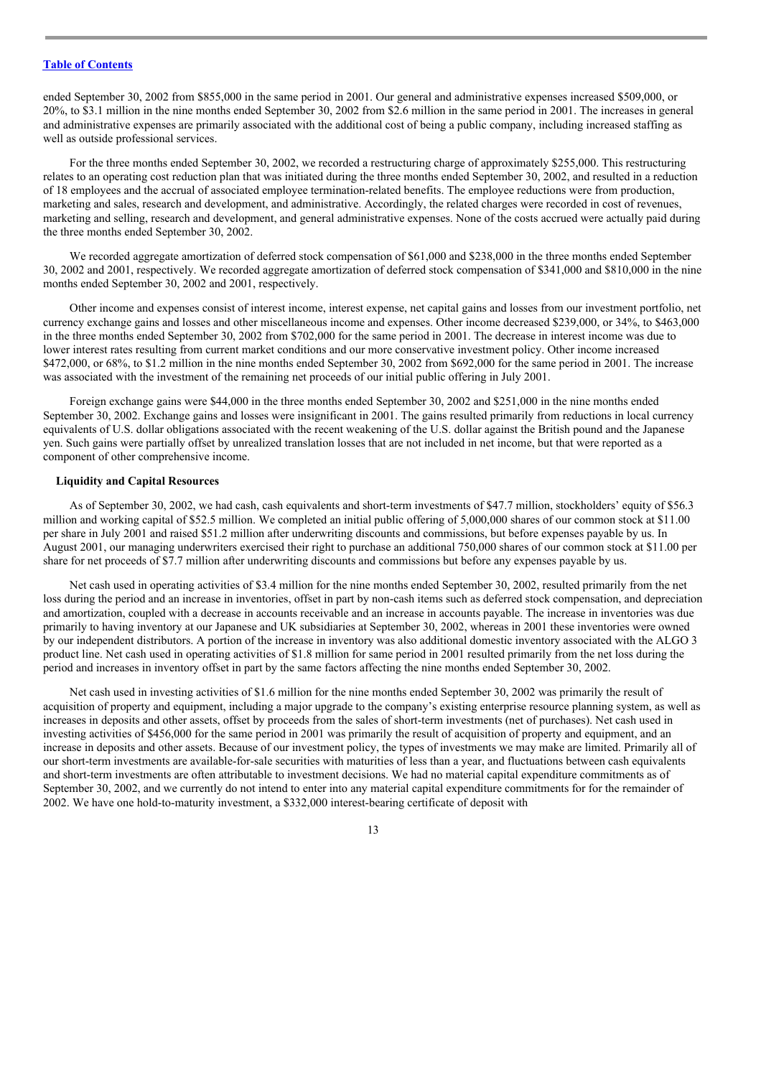ended September 30, 2002 from \$855,000 in the same period in 2001. Our general and administrative expenses increased \$509,000, or 20%, to \$3.1 million in the nine months ended September 30, 2002 from \$2.6 million in the same period in 2001. The increases in general and administrative expenses are primarily associated with the additional cost of being a public company, including increased staffing as well as outside professional services.

For the three months ended September 30, 2002, we recorded a restructuring charge of approximately \$255,000. This restructuring relates to an operating cost reduction plan that was initiated during the three months ended September 30, 2002, and resulted in a reduction of 18 employees and the accrual of associated employee termination-related benefits. The employee reductions were from production, marketing and sales, research and development, and administrative. Accordingly, the related charges were recorded in cost of revenues, marketing and selling, research and development, and general administrative expenses. None of the costs accrued were actually paid during the three months ended September 30, 2002.

We recorded aggregate amortization of deferred stock compensation of \$61,000 and \$238,000 in the three months ended September 30, 2002 and 2001, respectively. We recorded aggregate amortization of deferred stock compensation of \$341,000 and \$810,000 in the nine months ended September 30, 2002 and 2001, respectively.

Other income and expenses consist of interest income, interest expense, net capital gains and losses from our investment portfolio, net currency exchange gains and losses and other miscellaneous income and expenses. Other income decreased \$239,000, or 34%, to \$463,000 in the three months ended September 30, 2002 from \$702,000 for the same period in 2001. The decrease in interest income was due to lower interest rates resulting from current market conditions and our more conservative investment policy. Other income increased \$472,000, or 68%, to \$1.2 million in the nine months ended September 30, 2002 from \$692,000 for the same period in 2001. The increase was associated with the investment of the remaining net proceeds of our initial public offering in July 2001.

Foreign exchange gains were \$44,000 in the three months ended September 30, 2002 and \$251,000 in the nine months ended September 30, 2002. Exchange gains and losses were insignificant in 2001. The gains resulted primarily from reductions in local currency equivalents of U.S. dollar obligations associated with the recent weakening of the U.S. dollar against the British pound and the Japanese yen. Such gains were partially offset by unrealized translation losses that are not included in net income, but that were reported as a component of other comprehensive income.

#### **Liquidity and Capital Resources**

As of September 30, 2002, we had cash, cash equivalents and short-term investments of \$47.7 million, stockholders' equity of \$56.3 million and working capital of \$52.5 million. We completed an initial public offering of 5,000,000 shares of our common stock at \$11.00 per share in July 2001 and raised \$51.2 million after underwriting discounts and commissions, but before expenses payable by us. In August 2001, our managing underwriters exercised their right to purchase an additional 750,000 shares of our common stock at \$11.00 per share for net proceeds of \$7.7 million after underwriting discounts and commissions but before any expenses payable by us.

Net cash used in operating activities of \$3.4 million for the nine months ended September 30, 2002, resulted primarily from the net loss during the period and an increase in inventories, offset in part by non-cash items such as deferred stock compensation, and depreciation and amortization, coupled with a decrease in accounts receivable and an increase in accounts payable. The increase in inventories was due primarily to having inventory at our Japanese and UK subsidiaries at September 30, 2002, whereas in 2001 these inventories were owned by our independent distributors. A portion of the increase in inventory was also additional domestic inventory associated with the ALGO 3 product line. Net cash used in operating activities of \$1.8 million for same period in 2001 resulted primarily from the net loss during the period and increases in inventory offset in part by the same factors affecting the nine months ended September 30, 2002.

Net cash used in investing activities of \$1.6 million for the nine months ended September 30, 2002 was primarily the result of acquisition of property and equipment, including a major upgrade to the company's existing enterprise resource planning system, as well as increases in deposits and other assets, offset by proceeds from the sales of short-term investments (net of purchases). Net cash used in investing activities of \$456,000 for the same period in 2001 was primarily the result of acquisition of property and equipment, and an increase in deposits and other assets. Because of our investment policy, the types of investments we may make are limited. Primarily all of our short-term investments are available-for-sale securities with maturities of less than a year, and fluctuations between cash equivalents and short-term investments are often attributable to investment decisions. We had no material capital expenditure commitments as of September 30, 2002, and we currently do not intend to enter into any material capital expenditure commitments for for the remainder of 2002. We have one hold-to-maturity investment, a \$332,000 interest-bearing certificate of deposit with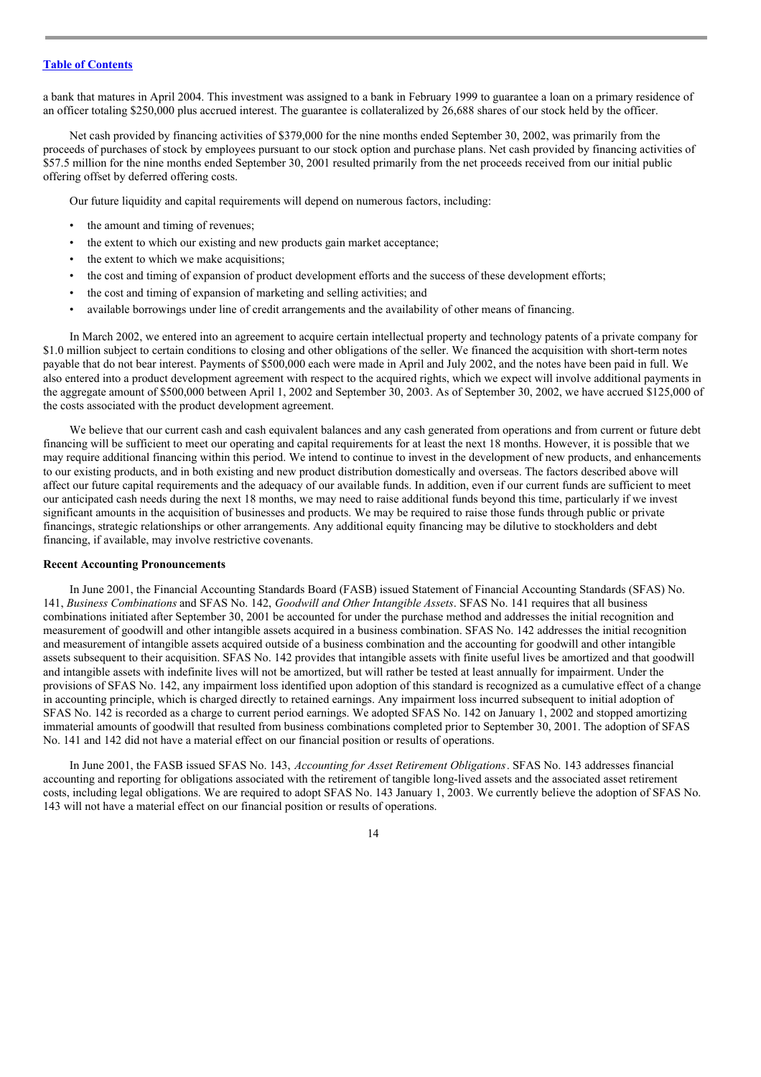a bank that matures in April 2004. This investment was assigned to a bank in February 1999 to guarantee a loan on a primary residence of an officer totaling \$250,000 plus accrued interest. The guarantee is collateralized by 26,688 shares of our stock held by the officer.

Net cash provided by financing activities of \$379,000 for the nine months ended September 30, 2002, was primarily from the proceeds of purchases of stock by employees pursuant to our stock option and purchase plans. Net cash provided by financing activities of \$57.5 million for the nine months ended September 30, 2001 resulted primarily from the net proceeds received from our initial public offering offset by deferred offering costs.

Our future liquidity and capital requirements will depend on numerous factors, including:

- the amount and timing of revenues;
- the extent to which our existing and new products gain market acceptance;
- the extent to which we make acquisitions:
- the cost and timing of expansion of product development efforts and the success of these development efforts;
- the cost and timing of expansion of marketing and selling activities; and
- available borrowings under line of credit arrangements and the availability of other means of financing.

In March 2002, we entered into an agreement to acquire certain intellectual property and technology patents of a private company for \$1.0 million subject to certain conditions to closing and other obligations of the seller. We financed the acquisition with short-term notes payable that do not bear interest. Payments of \$500,000 each were made in April and July 2002, and the notes have been paid in full. We also entered into a product development agreement with respect to the acquired rights, which we expect will involve additional payments in the aggregate amount of \$500,000 between April 1, 2002 and September 30, 2003. As of September 30, 2002, we have accrued \$125,000 of the costs associated with the product development agreement.

We believe that our current cash and cash equivalent balances and any cash generated from operations and from current or future debt financing will be sufficient to meet our operating and capital requirements for at least the next 18 months. However, it is possible that we may require additional financing within this period. We intend to continue to invest in the development of new products, and enhancements to our existing products, and in both existing and new product distribution domestically and overseas. The factors described above will affect our future capital requirements and the adequacy of our available funds. In addition, even if our current funds are sufficient to meet our anticipated cash needs during the next 18 months, we may need to raise additional funds beyond this time, particularly if we invest significant amounts in the acquisition of businesses and products. We may be required to raise those funds through public or private financings, strategic relationships or other arrangements. Any additional equity financing may be dilutive to stockholders and debt financing, if available, may involve restrictive covenants.

#### **Recent Accounting Pronouncements**

In June 2001, the Financial Accounting Standards Board (FASB) issued Statement of Financial Accounting Standards (SFAS) No. 141, *Business Combinations* and SFAS No. 142, *Goodwill and Other Intangible Assets*. SFAS No. 141 requires that all business combinations initiated after September 30, 2001 be accounted for under the purchase method and addresses the initial recognition and measurement of goodwill and other intangible assets acquired in a business combination. SFAS No. 142 addresses the initial recognition and measurement of intangible assets acquired outside of a business combination and the accounting for goodwill and other intangible assets subsequent to their acquisition. SFAS No. 142 provides that intangible assets with finite useful lives be amortized and that goodwill and intangible assets with indefinite lives will not be amortized, but will rather be tested at least annually for impairment. Under the provisions of SFAS No. 142, any impairment loss identified upon adoption of this standard is recognized as a cumulative effect of a change in accounting principle, which is charged directly to retained earnings. Any impairment loss incurred subsequent to initial adoption of SFAS No. 142 is recorded as a charge to current period earnings. We adopted SFAS No. 142 on January 1, 2002 and stopped amortizing immaterial amounts of goodwill that resulted from business combinations completed prior to September 30, 2001. The adoption of SFAS No. 141 and 142 did not have a material effect on our financial position or results of operations.

In June 2001, the FASB issued SFAS No. 143, *Accounting for Asset Retirement Obligations*. SFAS No. 143 addresses financial accounting and reporting for obligations associated with the retirement of tangible long-lived assets and the associated asset retirement costs, including legal obligations. We are required to adopt SFAS No. 143 January 1, 2003. We currently believe the adoption of SFAS No. 143 will not have a material effect on our financial position or results of operations.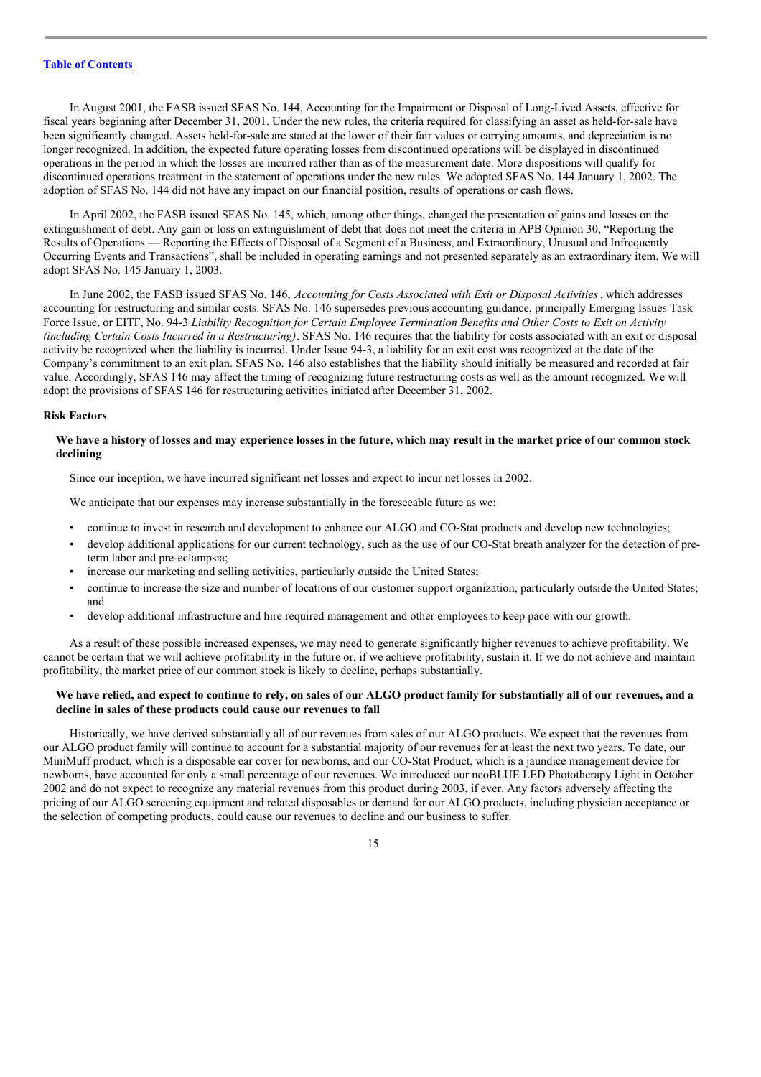In August 2001, the FASB issued SFAS No. 144, Accounting for the Impairment or Disposal of Long-Lived Assets, effective for fiscal years beginning after December 31, 2001. Under the new rules, the criteria required for classifying an asset as held-for-sale have been significantly changed. Assets held-for-sale are stated at the lower of their fair values or carrying amounts, and depreciation is no longer recognized. In addition, the expected future operating losses from discontinued operations will be displayed in discontinued operations in the period in which the losses are incurred rather than as of the measurement date. More dispositions will qualify for discontinued operations treatment in the statement of operations under the new rules. We adopted SFAS No. 144 January 1, 2002. The adoption of SFAS No. 144 did not have any impact on our financial position, results of operations or cash flows.

In April 2002, the FASB issued SFAS No. 145, which, among other things, changed the presentation of gains and losses on the extinguishment of debt. Any gain or loss on extinguishment of debt that does not meet the criteria in APB Opinion 30, "Reporting the Results of Operations — Reporting the Effects of Disposal of a Segment of a Business, and Extraordinary, Unusual and Infrequently Occurring Events and Transactions", shall be included in operating earnings and not presented separately as an extraordinary item. We will adopt SFAS No. 145 January 1, 2003.

In June 2002, the FASB issued SFAS No. 146, *Accounting for Costs Associated with Exit or Disposal Activities*, which addresses accounting for restructuring and similar costs. SFAS No. 146 supersedes previous accounting guidance, principally Emerging Issues Task Force Issue, or EITF, No. 94-3 Liability Recognition for Certain Employee Termination Benefits and Other Costs to Exit on Activity *(including Certain Costs Incurred in a Restructuring)*. SFAS No. 146 requires that the liability for costs associated with an exit or disposal activity be recognized when the liability is incurred. Under Issue 94-3, a liability for an exit cost was recognized at the date of the Company's commitment to an exit plan. SFAS No. 146 also establishes that the liability should initially be measured and recorded at fair value. Accordingly, SFAS 146 may affect the timing of recognizing future restructuring costs as well as the amount recognized. We will adopt the provisions of SFAS 146 for restructuring activities initiated after December 31, 2002.

#### **Risk Factors**

#### We have a history of losses and may experience losses in the future, which may result in the market price of our common stock **declining**

Since our inception, we have incurred significant net losses and expect to incur net losses in 2002.

We anticipate that our expenses may increase substantially in the foreseeable future as we:

- continue to invest in research and development to enhance our ALGO and CO-Stat products and develop new technologies;
- develop additional applications for our current technology, such as the use of our CO-Stat breath analyzer for the detection of preterm labor and pre-eclampsia;
- increase our marketing and selling activities, particularly outside the United States;
- continue to increase the size and number of locations of our customer support organization, particularly outside the United States; and
- develop additional infrastructure and hire required management and other employees to keep pace with our growth.

As a result of these possible increased expenses, we may need to generate significantly higher revenues to achieve profitability. We cannot be certain that we will achieve profitability in the future or, if we achieve profitability, sustain it. If we do not achieve and maintain profitability, the market price of our common stock is likely to decline, perhaps substantially.

#### We have relied, and expect to continue to rely, on sales of our ALGO product family for substantially all of our revenues, and a **decline in sales of these products could cause our revenues to fall**

Historically, we have derived substantially all of our revenues from sales of our ALGO products. We expect that the revenues from our ALGO product family will continue to account for a substantial majority of our revenues for at least the next two years. To date, our MiniMuff product, which is a disposable ear cover for newborns, and our CO-Stat Product, which is a jaundice management device for newborns, have accounted for only a small percentage of our revenues. We introduced our neoBLUE LED Phototherapy Light in October 2002 and do not expect to recognize any material revenues from this product during 2003, if ever. Any factors adversely affecting the pricing of our ALGO screening equipment and related disposables or demand for our ALGO products, including physician acceptance or the selection of competing products, could cause our revenues to decline and our business to suffer.

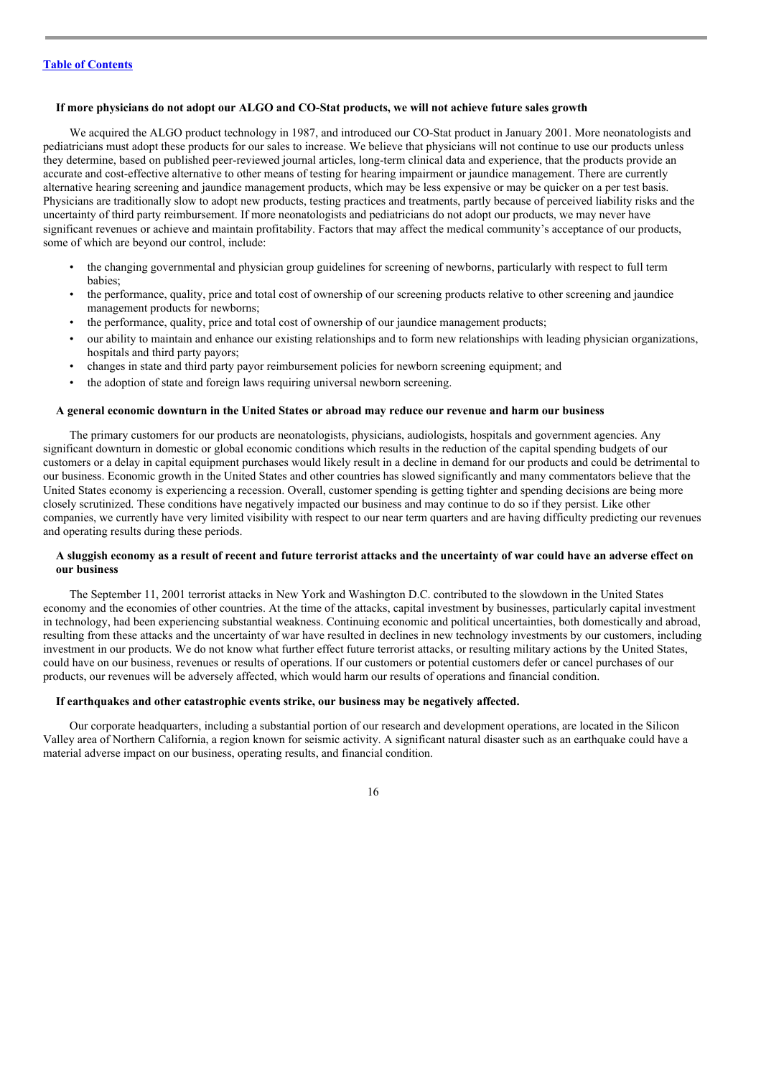#### If more physicians do not adopt our ALGO and CO-Stat products, we will not achieve future sales growth

We acquired the ALGO product technology in 1987, and introduced our CO-Stat product in January 2001. More neonatologists and pediatricians must adopt these products for our sales to increase. We believe that physicians will not continue to use our products unless they determine, based on published peer-reviewed journal articles, long-term clinical data and experience, that the products provide an accurate and cost-effective alternative to other means of testing for hearing impairment or jaundice management. There are currently alternative hearing screening and jaundice management products, which may be less expensive or may be quicker on a per test basis. Physicians are traditionally slow to adopt new products, testing practices and treatments, partly because of perceived liability risks and the uncertainty of third party reimbursement. If more neonatologists and pediatricians do not adopt our products, we may never have significant revenues or achieve and maintain profitability. Factors that may affect the medical community's acceptance of our products, some of which are beyond our control, include:

- the changing governmental and physician group guidelines for screening of newborns, particularly with respect to full term babies;
- the performance, quality, price and total cost of ownership of our screening products relative to other screening and jaundice management products for newborns;
- the performance, quality, price and total cost of ownership of our jaundice management products;
- our ability to maintain and enhance our existing relationships and to form new relationships with leading physician organizations, hospitals and third party payors;
- changes in state and third party payor reimbursement policies for newborn screening equipment; and
- the adoption of state and foreign laws requiring universal newborn screening.

#### A general economic downturn in the United States or abroad may reduce our revenue and harm our business

The primary customers for our products are neonatologists, physicians, audiologists, hospitals and government agencies. Any significant downturn in domestic or global economic conditions which results in the reduction of the capital spending budgets of our customers or a delay in capital equipment purchases would likely result in a decline in demand for our products and could be detrimental to our business. Economic growth in the United States and other countries has slowed significantly and many commentators believe that the United States economy is experiencing a recession. Overall, customer spending is getting tighter and spending decisions are being more closely scrutinized. These conditions have negatively impacted our business and may continue to do so if they persist. Like other companies, we currently have very limited visibility with respect to our near term quarters and are having difficulty predicting our revenues and operating results during these periods.

#### A sluggish economy as a result of recent and future terrorist attacks and the uncertainty of war could have an adverse effect on **our business**

The September 11, 2001 terrorist attacks in New York and Washington D.C. contributed to the slowdown in the United States economy and the economies of other countries. At the time of the attacks, capital investment by businesses, particularly capital investment in technology, had been experiencing substantial weakness. Continuing economic and political uncertainties, both domestically and abroad, resulting from these attacks and the uncertainty of war have resulted in declines in new technology investments by our customers, including investment in our products. We do not know what further effect future terrorist attacks, or resulting military actions by the United States, could have on our business, revenues or results of operations. If our customers or potential customers defer or cancel purchases of our products, our revenues will be adversely affected, which would harm our results of operations and financial condition.

#### **If earthquakes and other catastrophic events strike, our business may be negatively affected.**

Our corporate headquarters, including a substantial portion of our research and development operations, are located in the Silicon Valley area of Northern California, a region known for seismic activity. A significant natural disaster such as an earthquake could have a material adverse impact on our business, operating results, and financial condition.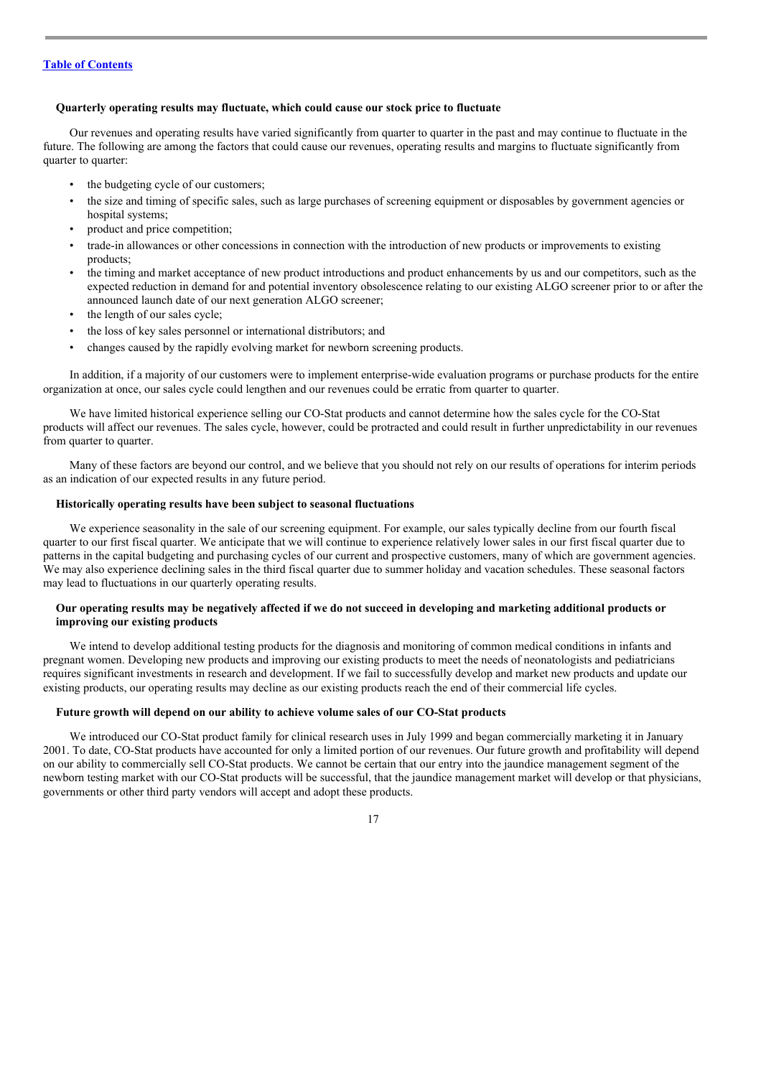#### **Quarterly operating results may fluctuate, which could cause our stock price to fluctuate**

Our revenues and operating results have varied significantly from quarter to quarter in the past and may continue to fluctuate in the future. The following are among the factors that could cause our revenues, operating results and margins to fluctuate significantly from quarter to quarter:

- the budgeting cycle of our customers;
- the size and timing of specific sales, such as large purchases of screening equipment or disposables by government agencies or hospital systems;
- product and price competition;
- trade-in allowances or other concessions in connection with the introduction of new products or improvements to existing products;
- the timing and market acceptance of new product introductions and product enhancements by us and our competitors, such as the expected reduction in demand for and potential inventory obsolescence relating to our existing ALGO screener prior to or after the announced launch date of our next generation ALGO screener;
- the length of our sales cycle;
- the loss of key sales personnel or international distributors; and
- changes caused by the rapidly evolving market for newborn screening products.

In addition, if a majority of our customers were to implement enterprise-wide evaluation programs or purchase products for the entire organization at once, our sales cycle could lengthen and our revenues could be erratic from quarter to quarter.

We have limited historical experience selling our CO-Stat products and cannot determine how the sales cycle for the CO-Stat products will affect our revenues. The sales cycle, however, could be protracted and could result in further unpredictability in our revenues from quarter to quarter.

Many of these factors are beyond our control, and we believe that you should not rely on our results of operations for interim periods as an indication of our expected results in any future period.

#### **Historically operating results have been subject to seasonal fluctuations**

We experience seasonality in the sale of our screening equipment. For example, our sales typically decline from our fourth fiscal quarter to our first fiscal quarter. We anticipate that we will continue to experience relatively lower sales in our first fiscal quarter due to patterns in the capital budgeting and purchasing cycles of our current and prospective customers, many of which are government agencies. We may also experience declining sales in the third fiscal quarter due to summer holiday and vacation schedules. These seasonal factors may lead to fluctuations in our quarterly operating results.

#### Our operating results may be negatively affected if we do not succeed in developing and marketing additional products or **improving our existing products**

We intend to develop additional testing products for the diagnosis and monitoring of common medical conditions in infants and pregnant women. Developing new products and improving our existing products to meet the needs of neonatologists and pediatricians requires significant investments in research and development. If we fail to successfully develop and market new products and update our existing products, our operating results may decline as our existing products reach the end of their commercial life cycles.

#### **Future growth will depend on our ability to achieve volume sales of our CO-Stat products**

We introduced our CO-Stat product family for clinical research uses in July 1999 and began commercially marketing it in January 2001. To date, CO-Stat products have accounted for only a limited portion of our revenues. Our future growth and profitability will depend on our ability to commercially sell CO-Stat products. We cannot be certain that our entry into the jaundice management segment of the newborn testing market with our CO-Stat products will be successful, that the jaundice management market will develop or that physicians, governments or other third party vendors will accept and adopt these products.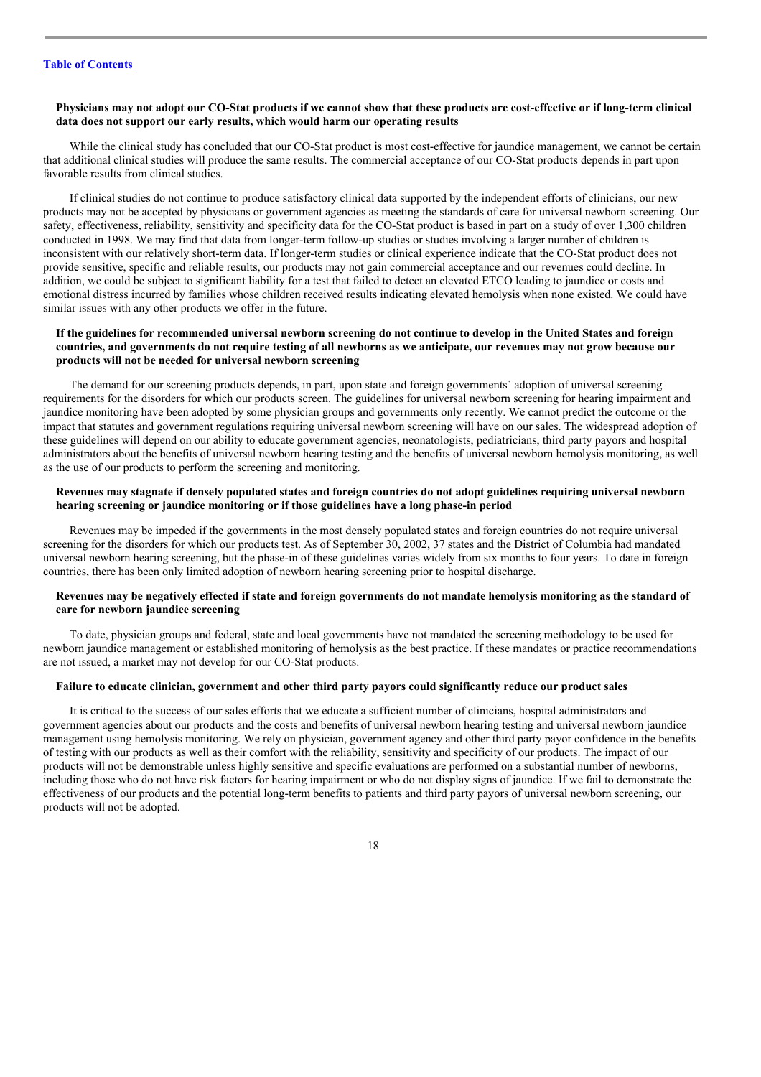#### Physicians may not adopt our CO-Stat products if we cannot show that these products are cost-effective or if long-term clinical **data does not support our early results, which would harm our operating results**

While the clinical study has concluded that our CO-Stat product is most cost-effective for jaundice management, we cannot be certain that additional clinical studies will produce the same results. The commercial acceptance of our CO-Stat products depends in part upon favorable results from clinical studies.

If clinical studies do not continue to produce satisfactory clinical data supported by the independent efforts of clinicians, our new products may not be accepted by physicians or government agencies as meeting the standards of care for universal newborn screening. Our safety, effectiveness, reliability, sensitivity and specificity data for the CO-Stat product is based in part on a study of over 1,300 children conducted in 1998. We may find that data from longer-term follow-up studies or studies involving a larger number of children is inconsistent with our relatively short-term data. If longer-term studies or clinical experience indicate that the CO-Stat product does not provide sensitive, specific and reliable results, our products may not gain commercial acceptance and our revenues could decline. In addition, we could be subject to significant liability for a test that failed to detect an elevated ETCO leading to jaundice or costs and emotional distress incurred by families whose children received results indicating elevated hemolysis when none existed. We could have similar issues with any other products we offer in the future.

#### If the guidelines for recommended universal newborn screening do not continue to develop in the United States and foreign countries, and governments do not require testing of all newborns as we anticipate, our revenues may not grow because our **products will not be needed for universal newborn screening**

The demand for our screening products depends, in part, upon state and foreign governments' adoption of universal screening requirements for the disorders for which our products screen. The guidelines for universal newborn screening for hearing impairment and jaundice monitoring have been adopted by some physician groups and governments only recently. We cannot predict the outcome or the impact that statutes and government regulations requiring universal newborn screening will have on our sales. The widespread adoption of these guidelines will depend on our ability to educate government agencies, neonatologists, pediatricians, third party payors and hospital administrators about the benefits of universal newborn hearing testing and the benefits of universal newborn hemolysis monitoring, as well as the use of our products to perform the screening and monitoring.

#### Revenues may stagnate if densely populated states and foreign countries do not adopt guidelines requiring universal newborn **hearing screening or jaundice monitoring or if those guidelines have a long phase-in period**

Revenues may be impeded if the governments in the most densely populated states and foreign countries do not require universal screening for the disorders for which our products test. As of September 30, 2002, 37 states and the District of Columbia had mandated universal newborn hearing screening, but the phase-in of these guidelines varies widely from six months to four years. To date in foreign countries, there has been only limited adoption of newborn hearing screening prior to hospital discharge.

#### Revenues may be negatively effected if state and foreign governments do not mandate hemolysis monitoring as the standard of **care for newborn jaundice screening**

To date, physician groups and federal, state and local governments have not mandated the screening methodology to be used for newborn jaundice management or established monitoring of hemolysis as the best practice. If these mandates or practice recommendations are not issued, a market may not develop for our CO-Stat products.

#### Failure to educate clinician, government and other third party payors could significantly reduce our product sales

It is critical to the success of our sales efforts that we educate a sufficient number of clinicians, hospital administrators and government agencies about our products and the costs and benefits of universal newborn hearing testing and universal newborn jaundice management using hemolysis monitoring. We rely on physician, government agency and other third party payor confidence in the benefits of testing with our products as well as their comfort with the reliability, sensitivity and specificity of our products. The impact of our products will not be demonstrable unless highly sensitive and specific evaluations are performed on a substantial number of newborns, including those who do not have risk factors for hearing impairment or who do not display signs of jaundice. If we fail to demonstrate the effectiveness of our products and the potential long-term benefits to patients and third party payors of universal newborn screening, our products will not be adopted.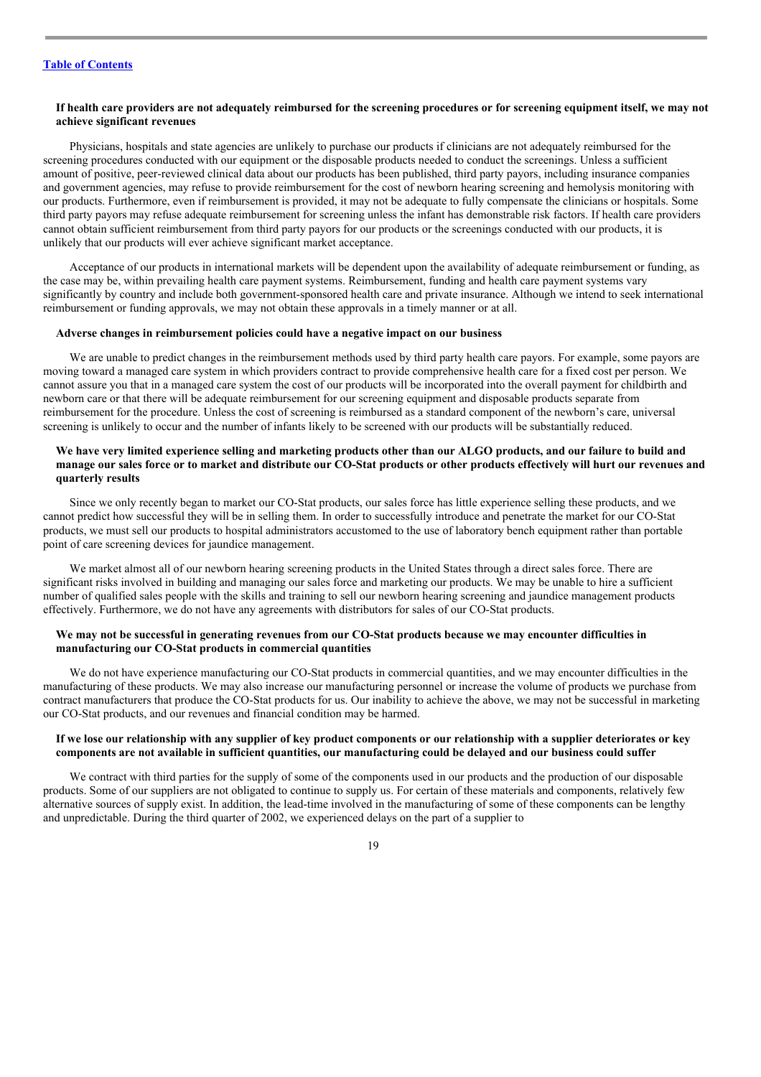#### If health care providers are not adequately reimbursed for the screening procedures or for screening equipment itself, we may not **achieve significant revenues**

Physicians, hospitals and state agencies are unlikely to purchase our products if clinicians are not adequately reimbursed for the screening procedures conducted with our equipment or the disposable products needed to conduct the screenings. Unless a sufficient amount of positive, peer-reviewed clinical data about our products has been published, third party payors, including insurance companies and government agencies, may refuse to provide reimbursement for the cost of newborn hearing screening and hemolysis monitoring with our products. Furthermore, even if reimbursement is provided, it may not be adequate to fully compensate the clinicians or hospitals. Some third party payors may refuse adequate reimbursement for screening unless the infant has demonstrable risk factors. If health care providers cannot obtain sufficient reimbursement from third party payors for our products or the screenings conducted with our products, it is unlikely that our products will ever achieve significant market acceptance.

Acceptance of our products in international markets will be dependent upon the availability of adequate reimbursement or funding, as the case may be, within prevailing health care payment systems. Reimbursement, funding and health care payment systems vary significantly by country and include both government-sponsored health care and private insurance. Although we intend to seek international reimbursement or funding approvals, we may not obtain these approvals in a timely manner or at all.

#### **Adverse changes in reimbursement policies could have a negative impact on our business**

We are unable to predict changes in the reimbursement methods used by third party health care payors. For example, some payors are moving toward a managed care system in which providers contract to provide comprehensive health care for a fixed cost per person. We cannot assure you that in a managed care system the cost of our products will be incorporated into the overall payment for childbirth and newborn care or that there will be adequate reimbursement for our screening equipment and disposable products separate from reimbursement for the procedure. Unless the cost of screening is reimbursed as a standard component of the newborn's care, universal screening is unlikely to occur and the number of infants likely to be screened with our products will be substantially reduced.

#### We have very limited experience selling and marketing products other than our ALGO products, and our failure to build and manage our sales force or to market and distribute our CO-Stat products or other products effectively will hurt our revenues and **quarterly results**

Since we only recently began to market our CO-Stat products, our sales force has little experience selling these products, and we cannot predict how successful they will be in selling them. In order to successfully introduce and penetrate the market for our CO-Stat products, we must sell our products to hospital administrators accustomed to the use of laboratory bench equipment rather than portable point of care screening devices for jaundice management.

We market almost all of our newborn hearing screening products in the United States through a direct sales force. There are significant risks involved in building and managing our sales force and marketing our products. We may be unable to hire a sufficient number of qualified sales people with the skills and training to sell our newborn hearing screening and jaundice management products effectively. Furthermore, we do not have any agreements with distributors for sales of our CO-Stat products.

#### We may not be successful in generating revenues from our CO-Stat products because we may encounter difficulties in **manufacturing our CO-Stat products in commercial quantities**

We do not have experience manufacturing our CO-Stat products in commercial quantities, and we may encounter difficulties in the manufacturing of these products. We may also increase our manufacturing personnel or increase the volume of products we purchase from contract manufacturers that produce the CO-Stat products for us. Our inability to achieve the above, we may not be successful in marketing our CO-Stat products, and our revenues and financial condition may be harmed.

## If we lose our relationship with any supplier of key product components or our relationship with a supplier deteriorates or key components are not available in sufficient quantities, our manufacturing could be delayed and our business could suffer

We contract with third parties for the supply of some of the components used in our products and the production of our disposable products. Some of our suppliers are not obligated to continue to supply us. For certain of these materials and components, relatively few alternative sources of supply exist. In addition, the lead-time involved in the manufacturing of some of these components can be lengthy and unpredictable. During the third quarter of 2002, we experienced delays on the part of a supplier to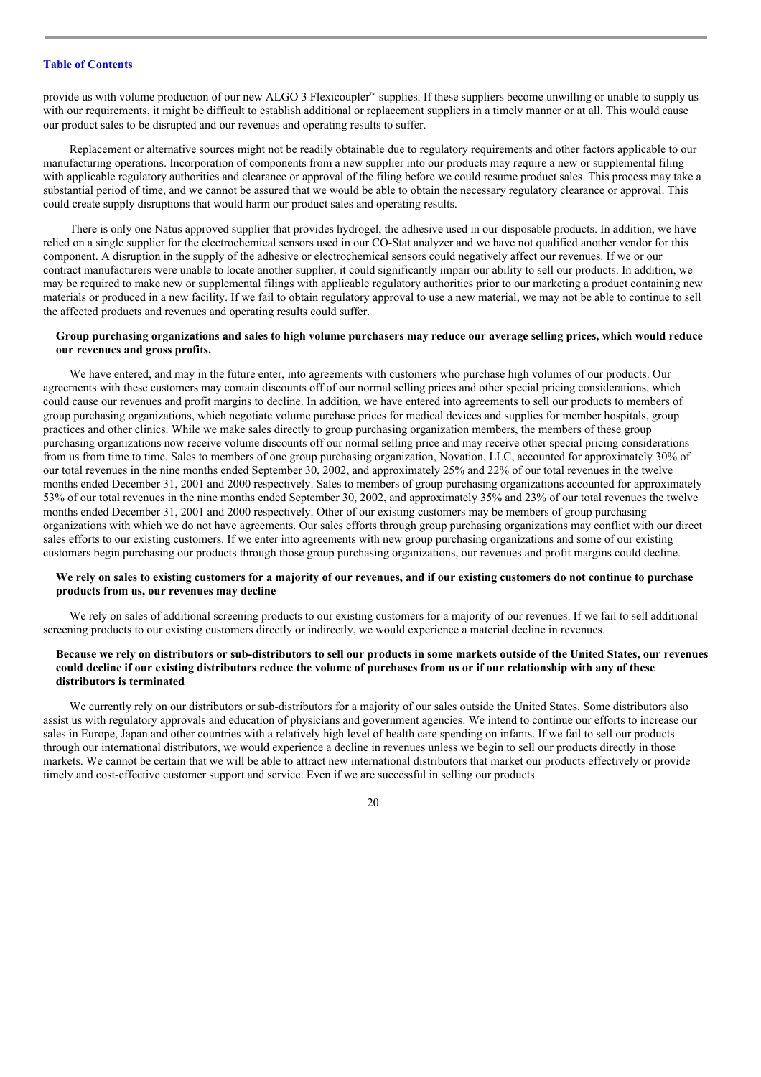provide us with volume production of our new ALGO 3 Flexicoupler™ supplies. If these suppliers become unwilling or unable to supply us with our requirements, it might be difficult to establish additional or replacement suppliers in a timely manner or at all. This would cause our product sales to be disrupted and our revenues and operating results to suffer.

Replacement or alternative sources might not be readily obtainable due to regulatory requirements and other factors applicable to our manufacturing operations. Incorporation of components from a new supplier into our products may require a new or supplemental filing with applicable regulatory authorities and clearance or approval of the filing before we could resume product sales. This process may take a substantial period of time, and we cannot be assured that we would be able to obtain the necessary regulatory clearance or approval. This could create supply disruptions that would harm our product sales and operating results.

There is only one Natus approved supplier that provides hydrogel, the adhesive used in our disposable products. In addition, we have relied on a single supplier for the electrochemical sensors used in our CO-Stat analyzer and we have not qualified another vendor for this component. A disruption in the supply of the adhesive or electrochemical sensors could negatively affect our revenues. If we or our contract manufacturers were unable to locate another supplier, it could significantly impair our ability to sell our products. In addition, we may be required to make new or supplemental filings with applicable regulatory authorities prior to our marketing a product containing new materials or produced in a new facility. If we fail to obtain regulatory approval to use a new material, we may not be able to continue to sell the affected products and revenues and operating results could suffer.

#### Group purchasing organizations and sales to high volume purchasers may reduce our average selling prices, which would reduce **our revenues and gross profits.**

We have entered, and may in the future enter, into agreements with customers who purchase high volumes of our products. Our agreements with these customers may contain discounts off of our normal selling prices and other special pricing considerations, which could cause our revenues and profit margins to decline. In addition, we have entered into agreements to sell our products to members of group purchasing organizations, which negotiate volume purchase prices for medical devices and supplies for member hospitals, group practices and other clinics. While we make sales directly to group purchasing organization members, the members of these group purchasing organizations now receive volume discounts off our normal selling price and may receive other special pricing considerations from us from time to time. Sales to members of one group purchasing organization, Novation, LLC, accounted for approximately 30% of our total revenues in the nine months ended September 30, 2002, and approximately 25% and 22% of our total revenues in the twelve months ended December 31, 2001 and 2000 respectively. Sales to members of group purchasing organizations accounted for approximately 53% of our total revenues in the nine months ended September 30, 2002, and approximately 35% and 23% of our total revenues the twelve months ended December 31, 2001 and 2000 respectively. Other of our existing customers may be members of group purchasing organizations with which we do not have agreements. Our sales efforts through group purchasing organizations may conflict with our direct sales efforts to our existing customers. If we enter into agreements with new group purchasing organizations and some of our existing customers begin purchasing our products through those group purchasing organizations, our revenues and profit margins could decline.

#### We rely on sales to existing customers for a majority of our revenues, and if our existing customers do not continue to purchase **products from us, our revenues may decline**

We rely on sales of additional screening products to our existing customers for a majority of our revenues. If we fail to sell additional screening products to our existing customers directly or indirectly, we would experience a material decline in revenues.

#### Because we rely on distributors or sub-distributors to sell our products in some markets outside of the United States, our revenues could decline if our existing distributors reduce the volume of purchases from us or if our relationship with any of these **distributors is terminated**

We currently rely on our distributors or sub-distributors for a majority of our sales outside the United States. Some distributors also assist us with regulatory approvals and education of physicians and government agencies. We intend to continue our efforts to increase our sales in Europe, Japan and other countries with a relatively high level of health care spending on infants. If we fail to sell our products through our international distributors, we would experience a decline in revenues unless we begin to sell our products directly in those markets. We cannot be certain that we will be able to attract new international distributors that market our products effectively or provide timely and cost-effective customer support and service. Even if we are successful in selling our products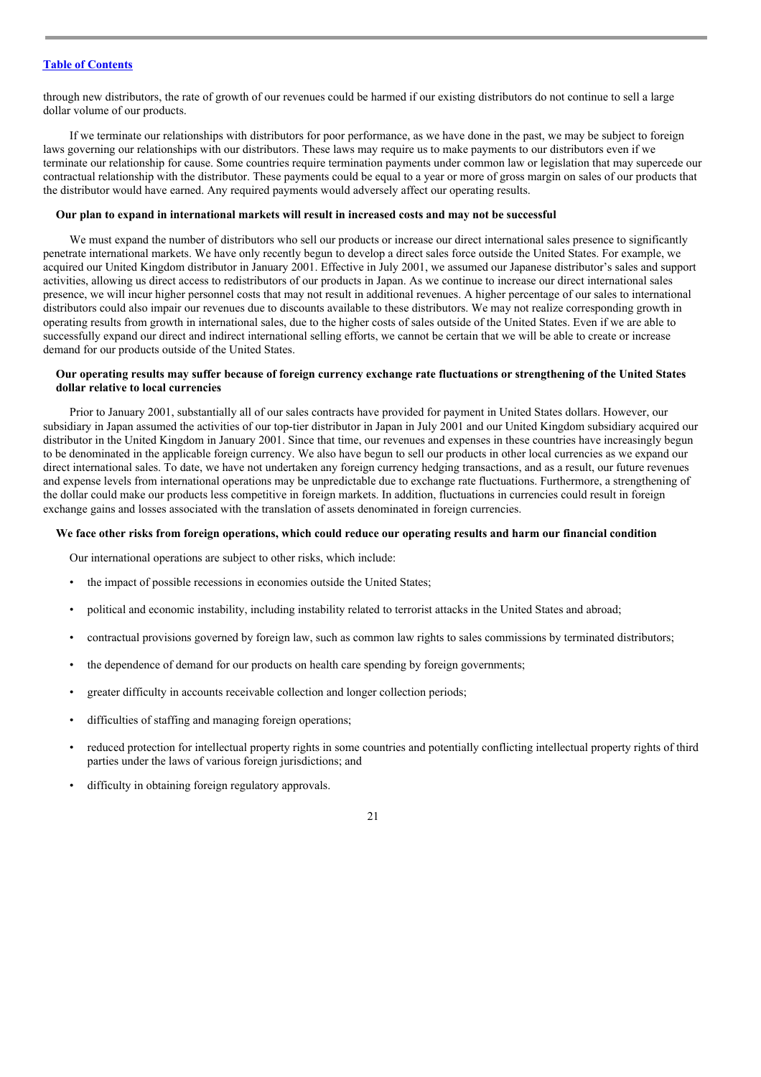through new distributors, the rate of growth of our revenues could be harmed if our existing distributors do not continue to sell a large dollar volume of our products.

If we terminate our relationships with distributors for poor performance, as we have done in the past, we may be subject to foreign laws governing our relationships with our distributors. These laws may require us to make payments to our distributors even if we terminate our relationship for cause. Some countries require termination payments under common law or legislation that may supercede our contractual relationship with the distributor. These payments could be equal to a year or more of gross margin on sales of our products that the distributor would have earned. Any required payments would adversely affect our operating results.

#### **Our plan to expand in international markets will result in increased costs and may not be successful**

We must expand the number of distributors who sell our products or increase our direct international sales presence to significantly penetrate international markets. We have only recently begun to develop a direct sales force outside the United States. For example, we acquired our United Kingdom distributor in January 2001. Effective in July 2001, we assumed our Japanese distributor's sales and support activities, allowing us direct access to redistributors of our products in Japan. As we continue to increase our direct international sales presence, we will incur higher personnel costs that may not result in additional revenues. A higher percentage of our sales to international distributors could also impair our revenues due to discounts available to these distributors. We may not realize corresponding growth in operating results from growth in international sales, due to the higher costs of sales outside of the United States. Even if we are able to successfully expand our direct and indirect international selling efforts, we cannot be certain that we will be able to create or increase demand for our products outside of the United States.

#### Our operating results may suffer because of foreign currency exchange rate fluctuations or strengthening of the United States **dollar relative to local currencies**

Prior to January 2001, substantially all of our sales contracts have provided for payment in United States dollars. However, our subsidiary in Japan assumed the activities of our top-tier distributor in Japan in July 2001 and our United Kingdom subsidiary acquired our distributor in the United Kingdom in January 2001. Since that time, our revenues and expenses in these countries have increasingly begun to be denominated in the applicable foreign currency. We also have begun to sell our products in other local currencies as we expand our direct international sales. To date, we have not undertaken any foreign currency hedging transactions, and as a result, our future revenues and expense levels from international operations may be unpredictable due to exchange rate fluctuations. Furthermore, a strengthening of the dollar could make our products less competitive in foreign markets. In addition, fluctuations in currencies could result in foreign exchange gains and losses associated with the translation of assets denominated in foreign currencies.

#### We face other risks from foreign operations, which could reduce our operating results and harm our financial condition

Our international operations are subject to other risks, which include:

- the impact of possible recessions in economies outside the United States;
- political and economic instability, including instability related to terrorist attacks in the United States and abroad;
- contractual provisions governed by foreign law, such as common law rights to sales commissions by terminated distributors;
- the dependence of demand for our products on health care spending by foreign governments;
- greater difficulty in accounts receivable collection and longer collection periods;
- difficulties of staffing and managing foreign operations;
- reduced protection for intellectual property rights in some countries and potentially conflicting intellectual property rights of third parties under the laws of various foreign jurisdictions; and
- difficulty in obtaining foreign regulatory approvals.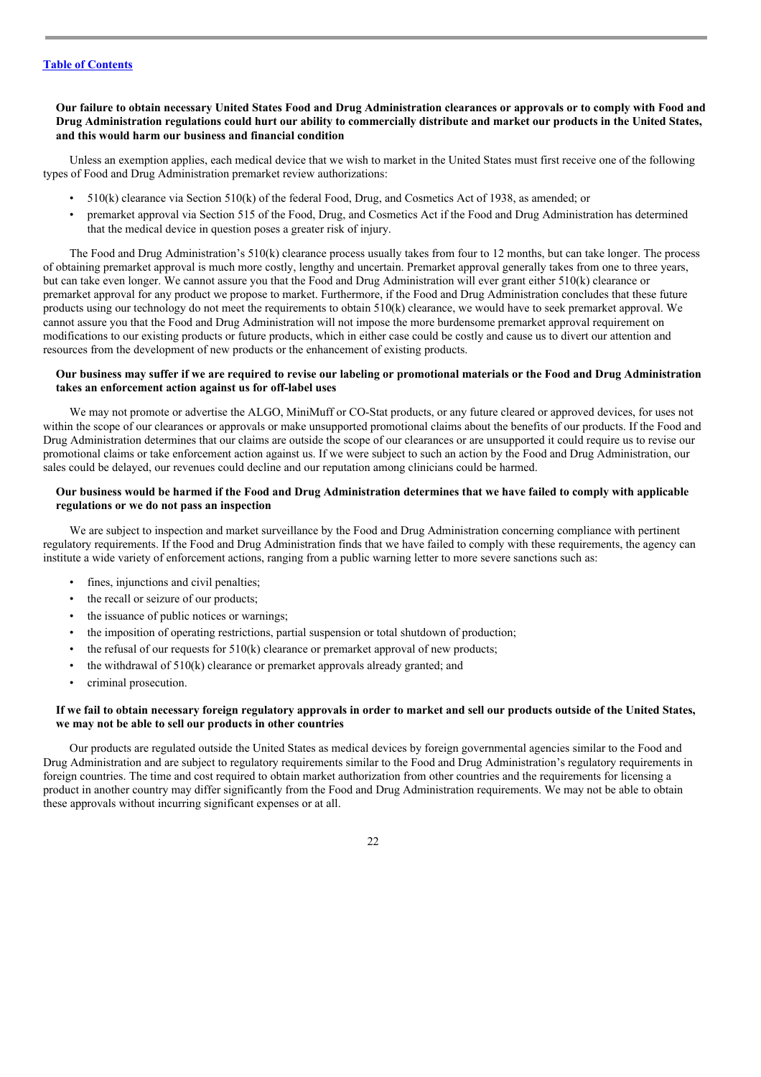#### Our failure to obtain necessary United States Food and Drug Administration clearances or approvals or to comply with Food and Drug Administration regulations could hurt our ability to commercially distribute and market our products in the United States, **and this would harm our business and financial condition**

Unless an exemption applies, each medical device that we wish to market in the United States must first receive one of the following types of Food and Drug Administration premarket review authorizations:

- 510(k) clearance via Section 510(k) of the federal Food, Drug, and Cosmetics Act of 1938, as amended; or
- premarket approval via Section 515 of the Food, Drug, and Cosmetics Act if the Food and Drug Administration has determined that the medical device in question poses a greater risk of injury.

The Food and Drug Administration's 510(k) clearance process usually takes from four to 12 months, but can take longer. The process of obtaining premarket approval is much more costly, lengthy and uncertain. Premarket approval generally takes from one to three years, but can take even longer. We cannot assure you that the Food and Drug Administration will ever grant either 510(k) clearance or premarket approval for any product we propose to market. Furthermore, if the Food and Drug Administration concludes that these future products using our technology do not meet the requirements to obtain 510(k) clearance, we would have to seek premarket approval. We cannot assure you that the Food and Drug Administration will not impose the more burdensome premarket approval requirement on modifications to our existing products or future products, which in either case could be costly and cause us to divert our attention and resources from the development of new products or the enhancement of existing products.

#### Our business may suffer if we are required to revise our labeling or promotional materials or the Food and Drug Administration **takes an enforcement action against us for off-label uses**

We may not promote or advertise the ALGO, MiniMuff or CO-Stat products, or any future cleared or approved devices, for uses not within the scope of our clearances or approvals or make unsupported promotional claims about the benefits of our products. If the Food and Drug Administration determines that our claims are outside the scope of our clearances or are unsupported it could require us to revise our promotional claims or take enforcement action against us. If we were subject to such an action by the Food and Drug Administration, our sales could be delayed, our revenues could decline and our reputation among clinicians could be harmed.

#### Our business would be harmed if the Food and Drug Administration determines that we have failed to comply with applicable **regulations or we do not pass an inspection**

We are subject to inspection and market surveillance by the Food and Drug Administration concerning compliance with pertinent regulatory requirements. If the Food and Drug Administration finds that we have failed to comply with these requirements, the agency can institute a wide variety of enforcement actions, ranging from a public warning letter to more severe sanctions such as:

- fines, injunctions and civil penalties;
- the recall or seizure of our products;
- the issuance of public notices or warnings;
- the imposition of operating restrictions, partial suspension or total shutdown of production;
- the refusal of our requests for  $510(k)$  clearance or premarket approval of new products;
- the withdrawal of  $510(k)$  clearance or premarket approvals already granted; and
- criminal prosecution.

#### If we fail to obtain necessary foreign regulatory approvals in order to market and sell our products outside of the United States, **we may not be able to sell our products in other countries**

Our products are regulated outside the United States as medical devices by foreign governmental agencies similar to the Food and Drug Administration and are subject to regulatory requirements similar to the Food and Drug Administration's regulatory requirements in foreign countries. The time and cost required to obtain market authorization from other countries and the requirements for licensing a product in another country may differ significantly from the Food and Drug Administration requirements. We may not be able to obtain these approvals without incurring significant expenses or at all.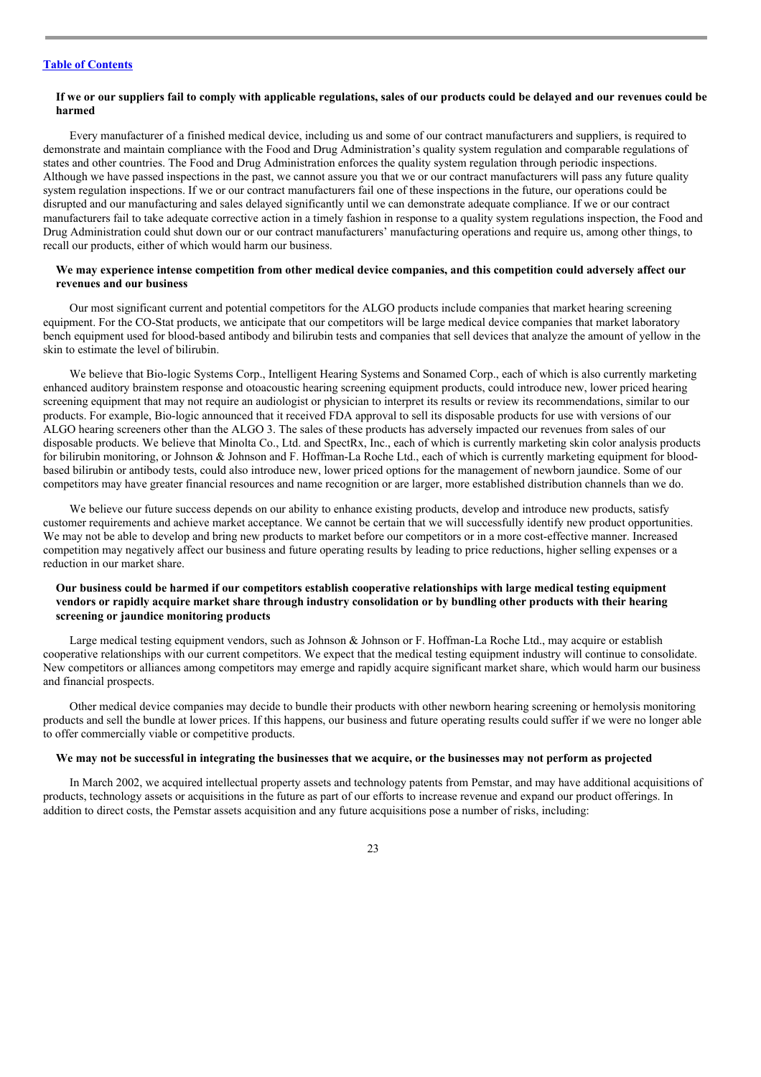#### If we or our suppliers fail to comply with applicable regulations, sales of our products could be delayed and our revenues could be **harmed**

Every manufacturer of a finished medical device, including us and some of our contract manufacturers and suppliers, is required to demonstrate and maintain compliance with the Food and Drug Administration's quality system regulation and comparable regulations of states and other countries. The Food and Drug Administration enforces the quality system regulation through periodic inspections. Although we have passed inspections in the past, we cannot assure you that we or our contract manufacturers will pass any future quality system regulation inspections. If we or our contract manufacturers fail one of these inspections in the future, our operations could be disrupted and our manufacturing and sales delayed significantly until we can demonstrate adequate compliance. If we or our contract manufacturers fail to take adequate corrective action in a timely fashion in response to a quality system regulations inspection, the Food and Drug Administration could shut down our or our contract manufacturers' manufacturing operations and require us, among other things, to recall our products, either of which would harm our business.

#### We may experience intense competition from other medical device companies, and this competition could adversely affect our **revenues and our business**

Our most significant current and potential competitors for the ALGO products include companies that market hearing screening equipment. For the CO-Stat products, we anticipate that our competitors will be large medical device companies that market laboratory bench equipment used for blood-based antibody and bilirubin tests and companies that sell devices that analyze the amount of yellow in the skin to estimate the level of bilirubin.

We believe that Bio-logic Systems Corp., Intelligent Hearing Systems and Sonamed Corp., each of which is also currently marketing enhanced auditory brainstem response and otoacoustic hearing screening equipment products, could introduce new, lower priced hearing screening equipment that may not require an audiologist or physician to interpret its results or review its recommendations, similar to our products. For example, Bio-logic announced that it received FDA approval to sell its disposable products for use with versions of our ALGO hearing screeners other than the ALGO 3. The sales of these products has adversely impacted our revenues from sales of our disposable products. We believe that Minolta Co., Ltd. and SpectRx, Inc., each of which is currently marketing skin color analysis products for bilirubin monitoring, or Johnson & Johnson and F. Hoffman-La Roche Ltd., each of which is currently marketing equipment for bloodbased bilirubin or antibody tests, could also introduce new, lower priced options for the management of newborn jaundice. Some of our competitors may have greater financial resources and name recognition or are larger, more established distribution channels than we do.

We believe our future success depends on our ability to enhance existing products, develop and introduce new products, satisfy customer requirements and achieve market acceptance. We cannot be certain that we will successfully identify new product opportunities. We may not be able to develop and bring new products to market before our competitors or in a more cost-effective manner. Increased competition may negatively affect our business and future operating results by leading to price reductions, higher selling expenses or a reduction in our market share.

#### Our business could be harmed if our competitors establish cooperative relationships with large medical testing equipment vendors or rapidly acquire market share through industry consolidation or by bundling other products with their hearing **screening or jaundice monitoring products**

Large medical testing equipment vendors, such as Johnson & Johnson or F. Hoffman-La Roche Ltd., may acquire or establish cooperative relationships with our current competitors. We expect that the medical testing equipment industry will continue to consolidate. New competitors or alliances among competitors may emerge and rapidly acquire significant market share, which would harm our business and financial prospects.

Other medical device companies may decide to bundle their products with other newborn hearing screening or hemolysis monitoring products and sell the bundle at lower prices. If this happens, our business and future operating results could suffer if we were no longer able to offer commercially viable or competitive products.

#### We may not be successful in integrating the businesses that we acquire, or the businesses may not perform as projected

In March 2002, we acquired intellectual property assets and technology patents from Pemstar, and may have additional acquisitions of products, technology assets or acquisitions in the future as part of our efforts to increase revenue and expand our product offerings. In addition to direct costs, the Pemstar assets acquisition and any future acquisitions pose a number of risks, including: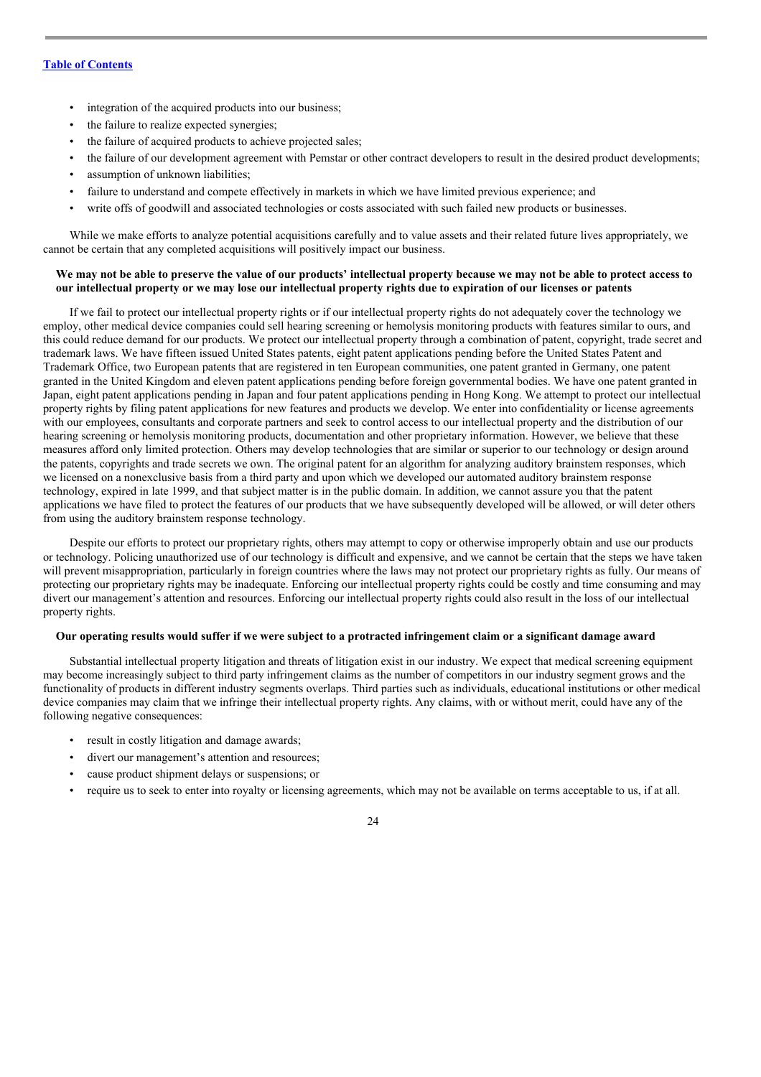- integration of the acquired products into our business;
- the failure to realize expected synergies;
- the failure of acquired products to achieve projected sales;
- the failure of our development agreement with Pemstar or other contract developers to result in the desired product developments;
- assumption of unknown liabilities;
- failure to understand and compete effectively in markets in which we have limited previous experience; and
- write offs of goodwill and associated technologies or costs associated with such failed new products or businesses.

While we make efforts to analyze potential acquisitions carefully and to value assets and their related future lives appropriately, we cannot be certain that any completed acquisitions will positively impact our business.

#### We may not be able to preserve the value of our products' intellectual property because we may not be able to protect access to our intellectual property or we may lose our intellectual property rights due to expiration of our licenses or patents

If we fail to protect our intellectual property rights or if our intellectual property rights do not adequately cover the technology we employ, other medical device companies could sell hearing screening or hemolysis monitoring products with features similar to ours, and this could reduce demand for our products. We protect our intellectual property through a combination of patent, copyright, trade secret and trademark laws. We have fifteen issued United States patents, eight patent applications pending before the United States Patent and Trademark Office, two European patents that are registered in ten European communities, one patent granted in Germany, one patent granted in the United Kingdom and eleven patent applications pending before foreign governmental bodies. We have one patent granted in Japan, eight patent applications pending in Japan and four patent applications pending in Hong Kong. We attempt to protect our intellectual property rights by filing patent applications for new features and products we develop. We enter into confidentiality or license agreements with our employees, consultants and corporate partners and seek to control access to our intellectual property and the distribution of our hearing screening or hemolysis monitoring products, documentation and other proprietary information. However, we believe that these measures afford only limited protection. Others may develop technologies that are similar or superior to our technology or design around the patents, copyrights and trade secrets we own. The original patent for an algorithm for analyzing auditory brainstem responses, which we licensed on a nonexclusive basis from a third party and upon which we developed our automated auditory brainstem response technology, expired in late 1999, and that subject matter is in the public domain. In addition, we cannot assure you that the patent applications we have filed to protect the features of our products that we have subsequently developed will be allowed, or will deter others from using the auditory brainstem response technology.

Despite our efforts to protect our proprietary rights, others may attempt to copy or otherwise improperly obtain and use our products or technology. Policing unauthorized use of our technology is difficult and expensive, and we cannot be certain that the steps we have taken will prevent misappropriation, particularly in foreign countries where the laws may not protect our proprietary rights as fully. Our means of protecting our proprietary rights may be inadequate. Enforcing our intellectual property rights could be costly and time consuming and may divert our management's attention and resources. Enforcing our intellectual property rights could also result in the loss of our intellectual property rights.

#### Our operating results would suffer if we were subject to a protracted infringement claim or a significant damage award

Substantial intellectual property litigation and threats of litigation exist in our industry. We expect that medical screening equipment may become increasingly subject to third party infringement claims as the number of competitors in our industry segment grows and the functionality of products in different industry segments overlaps. Third parties such as individuals, educational institutions or other medical device companies may claim that we infringe their intellectual property rights. Any claims, with or without merit, could have any of the following negative consequences:

- result in costly litigation and damage awards;
- divert our management's attention and resources;
- cause product shipment delays or suspensions; or
- require us to seek to enter into royalty or licensing agreements, which may not be available on terms acceptable to us, if at all.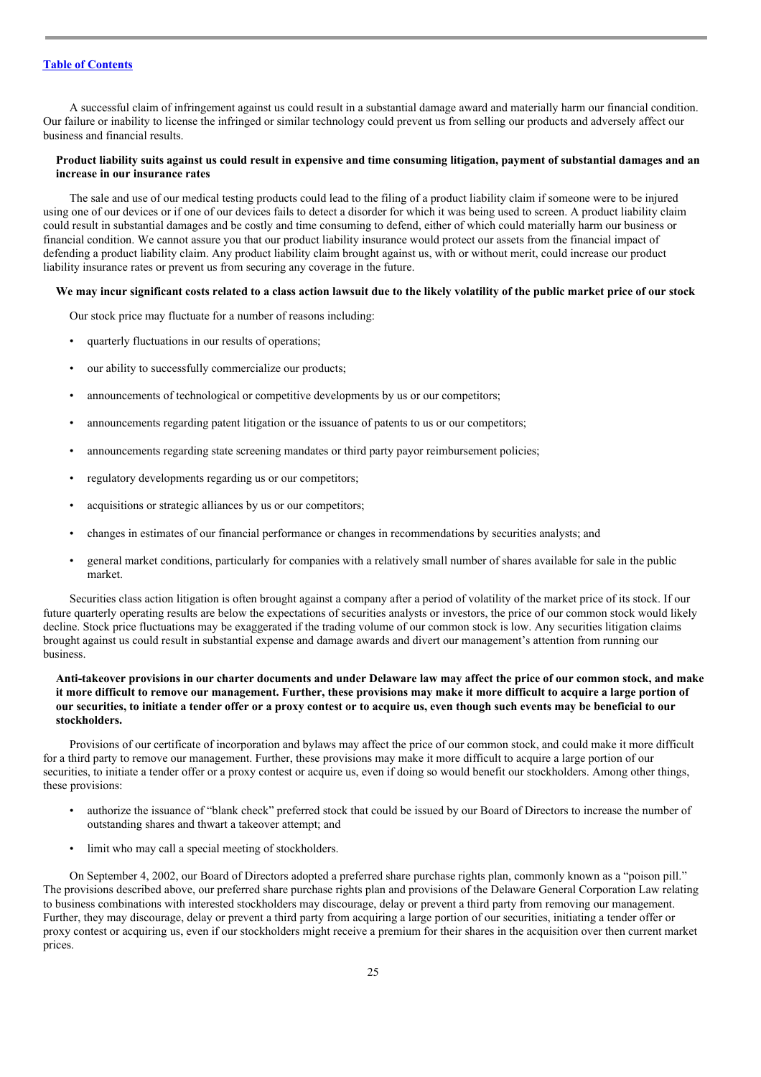A successful claim of infringement against us could result in a substantial damage award and materially harm our financial condition. Our failure or inability to license the infringed or similar technology could prevent us from selling our products and adversely affect our business and financial results.

#### Product liability suits against us could result in expensive and time consuming litigation, payment of substantial damages and an **increase in our insurance rates**

The sale and use of our medical testing products could lead to the filing of a product liability claim if someone were to be injured using one of our devices or if one of our devices fails to detect a disorder for which it was being used to screen. A product liability claim could result in substantial damages and be costly and time consuming to defend, either of which could materially harm our business or financial condition. We cannot assure you that our product liability insurance would protect our assets from the financial impact of defending a product liability claim. Any product liability claim brought against us, with or without merit, could increase our product liability insurance rates or prevent us from securing any coverage in the future.

#### We may incur significant costs related to a class action lawsuit due to the likely volatility of the public market price of our stock

Our stock price may fluctuate for a number of reasons including:

- quarterly fluctuations in our results of operations;
- our ability to successfully commercialize our products;
- announcements of technological or competitive developments by us or our competitors;
- announcements regarding patent litigation or the issuance of patents to us or our competitors;
- announcements regarding state screening mandates or third party payor reimbursement policies;
- regulatory developments regarding us or our competitors;
- acquisitions or strategic alliances by us or our competitors;
- changes in estimates of our financial performance or changes in recommendations by securities analysts; and
- general market conditions, particularly for companies with a relatively small number of shares available for sale in the public market.

Securities class action litigation is often brought against a company after a period of volatility of the market price of its stock. If our future quarterly operating results are below the expectations of securities analysts or investors, the price of our common stock would likely decline. Stock price fluctuations may be exaggerated if the trading volume of our common stock is low. Any securities litigation claims brought against us could result in substantial expense and damage awards and divert our management's attention from running our business.

#### Anti-takeover provisions in our charter documents and under Delaware law may affect the price of our common stock, and make it more difficult to remove our management. Further, these provisions may make it more difficult to acquire a large portion of our securities, to initiate a tender offer or a proxy contest or to acquire us, even though such events may be beneficial to our **stockholders.**

Provisions of our certificate of incorporation and bylaws may affect the price of our common stock, and could make it more difficult for a third party to remove our management. Further, these provisions may make it more difficult to acquire a large portion of our securities, to initiate a tender offer or a proxy contest or acquire us, even if doing so would benefit our stockholders. Among other things, these provisions:

- authorize the issuance of "blank check" preferred stock that could be issued by our Board of Directors to increase the number of outstanding shares and thwart a takeover attempt; and
- limit who may call a special meeting of stockholders.

On September 4, 2002, our Board of Directors adopted a preferred share purchase rights plan, commonly known as a "poison pill." The provisions described above, our preferred share purchase rights plan and provisions of the Delaware General Corporation Law relating to business combinations with interested stockholders may discourage, delay or prevent a third party from removing our management. Further, they may discourage, delay or prevent a third party from acquiring a large portion of our securities, initiating a tender offer or proxy contest or acquiring us, even if our stockholders might receive a premium for their shares in the acquisition over then current market prices.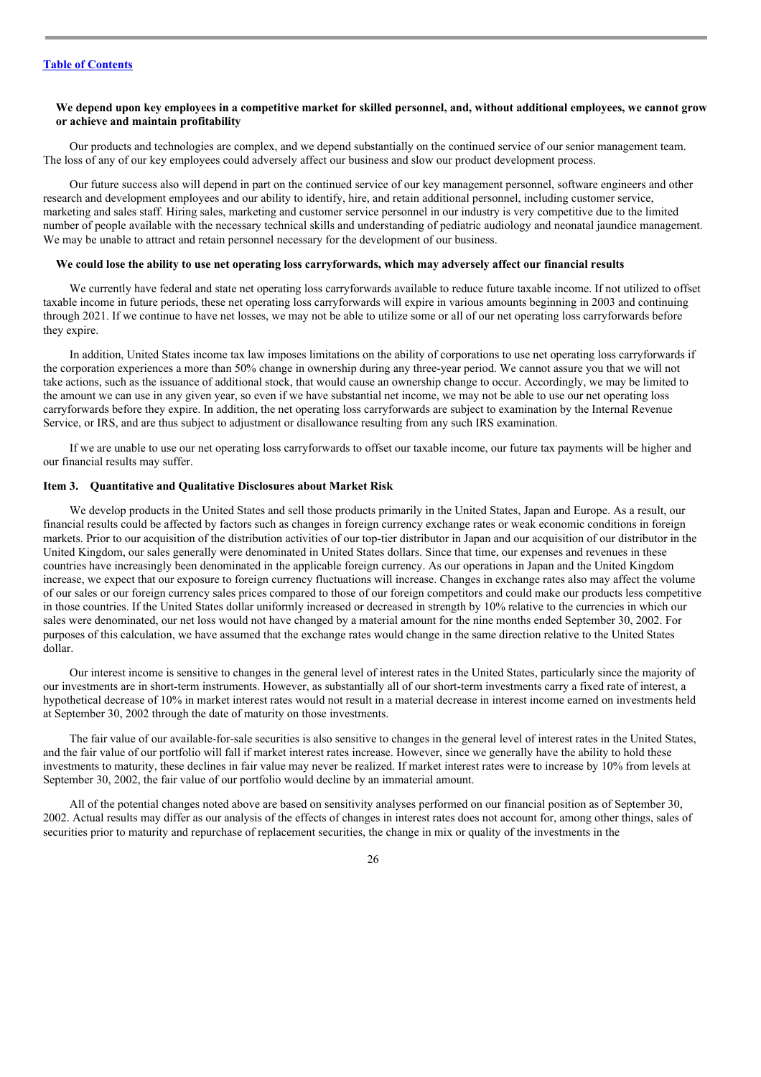#### We depend upon key employees in a competitive market for skilled personnel, and, without additional employees, we cannot grow **or achieve and maintain profitability**

Our products and technologies are complex, and we depend substantially on the continued service of our senior management team. The loss of any of our key employees could adversely affect our business and slow our product development process.

Our future success also will depend in part on the continued service of our key management personnel, software engineers and other research and development employees and our ability to identify, hire, and retain additional personnel, including customer service, marketing and sales staff. Hiring sales, marketing and customer service personnel in our industry is very competitive due to the limited number of people available with the necessary technical skills and understanding of pediatric audiology and neonatal jaundice management. We may be unable to attract and retain personnel necessary for the development of our business.

#### We could lose the ability to use net operating loss carryforwards, which may adversely affect our financial results

We currently have federal and state net operating loss carryforwards available to reduce future taxable income. If not utilized to offset taxable income in future periods, these net operating loss carryforwards will expire in various amounts beginning in 2003 and continuing through 2021. If we continue to have net losses, we may not be able to utilize some or all of our net operating loss carryforwards before they expire.

In addition, United States income tax law imposes limitations on the ability of corporations to use net operating loss carryforwards if the corporation experiences a more than 50% change in ownership during any three-year period. We cannot assure you that we will not take actions, such as the issuance of additional stock, that would cause an ownership change to occur. Accordingly, we may be limited to the amount we can use in any given year, so even if we have substantial net income, we may not be able to use our net operating loss carryforwards before they expire. In addition, the net operating loss carryforwards are subject to examination by the Internal Revenue Service, or IRS, and are thus subject to adjustment or disallowance resulting from any such IRS examination.

If we are unable to use our net operating loss carryforwards to offset our taxable income, our future tax payments will be higher and our financial results may suffer.

#### **Item 3. Quantitative and Qualitative Disclosures about Market Risk**

We develop products in the United States and sell those products primarily in the United States, Japan and Europe. As a result, our financial results could be affected by factors such as changes in foreign currency exchange rates or weak economic conditions in foreign markets. Prior to our acquisition of the distribution activities of our top-tier distributor in Japan and our acquisition of our distributor in the United Kingdom, our sales generally were denominated in United States dollars. Since that time, our expenses and revenues in these countries have increasingly been denominated in the applicable foreign currency. As our operations in Japan and the United Kingdom increase, we expect that our exposure to foreign currency fluctuations will increase. Changes in exchange rates also may affect the volume of our sales or our foreign currency sales prices compared to those of our foreign competitors and could make our products less competitive in those countries. If the United States dollar uniformly increased or decreased in strength by 10% relative to the currencies in which our sales were denominated, our net loss would not have changed by a material amount for the nine months ended September 30, 2002. For purposes of this calculation, we have assumed that the exchange rates would change in the same direction relative to the United States dollar.

Our interest income is sensitive to changes in the general level of interest rates in the United States, particularly since the majority of our investments are in short-term instruments. However, as substantially all of our short-term investments carry a fixed rate of interest, a hypothetical decrease of 10% in market interest rates would not result in a material decrease in interest income earned on investments held at September 30, 2002 through the date of maturity on those investments.

The fair value of our available-for-sale securities is also sensitive to changes in the general level of interest rates in the United States, and the fair value of our portfolio will fall if market interest rates increase. However, since we generally have the ability to hold these investments to maturity, these declines in fair value may never be realized. If market interest rates were to increase by 10% from levels at September 30, 2002, the fair value of our portfolio would decline by an immaterial amount.

All of the potential changes noted above are based on sensitivity analyses performed on our financial position as of September 30, 2002. Actual results may differ as our analysis of the effects of changes in interest rates does not account for, among other things, sales of securities prior to maturity and repurchase of replacement securities, the change in mix or quality of the investments in the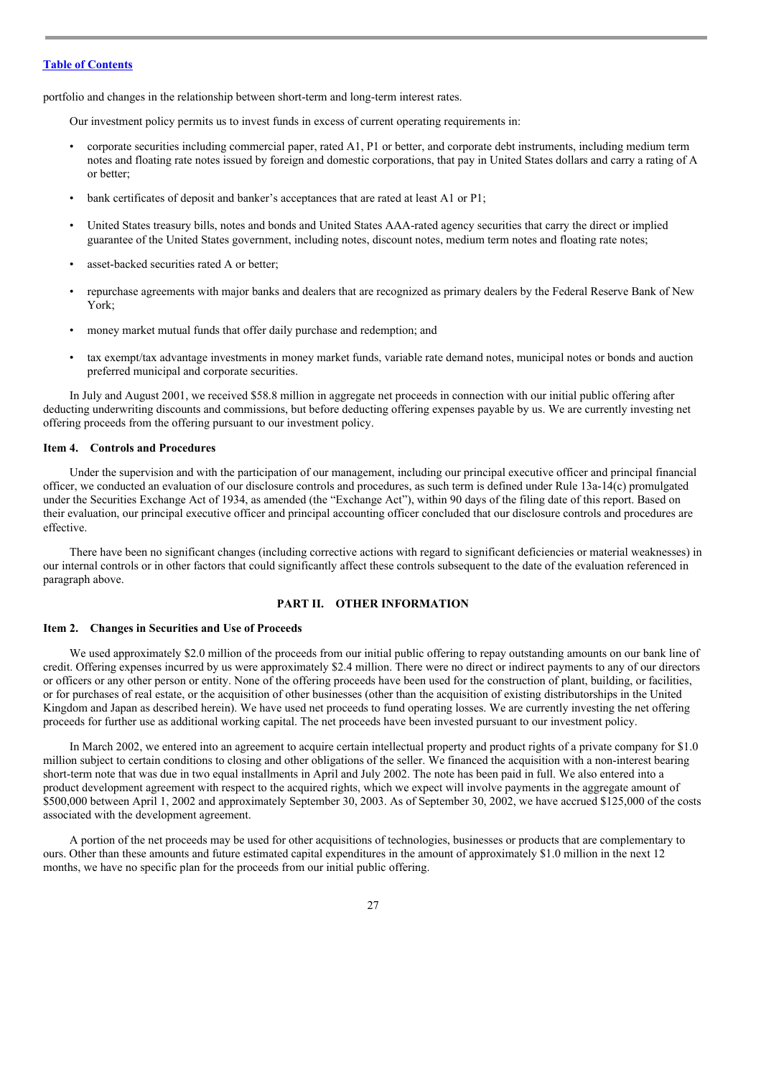portfolio and changes in the relationship between short-term and long-term interest rates.

Our investment policy permits us to invest funds in excess of current operating requirements in:

- corporate securities including commercial paper, rated A1, P1 or better, and corporate debt instruments, including medium term notes and floating rate notes issued by foreign and domestic corporations, that pay in United States dollars and carry a rating of A or better;
- bank certificates of deposit and banker's acceptances that are rated at least A1 or P1;
- United States treasury bills, notes and bonds and United States AAA-rated agency securities that carry the direct or implied guarantee of the United States government, including notes, discount notes, medium term notes and floating rate notes;
- asset-backed securities rated A or better;
- repurchase agreements with major banks and dealers that are recognized as primary dealers by the Federal Reserve Bank of New York;
- money market mutual funds that offer daily purchase and redemption; and
- tax exempt/tax advantage investments in money market funds, variable rate demand notes, municipal notes or bonds and auction preferred municipal and corporate securities.

In July and August 2001, we received \$58.8 million in aggregate net proceeds in connection with our initial public offering after deducting underwriting discounts and commissions, but before deducting offering expenses payable by us. We are currently investing net offering proceeds from the offering pursuant to our investment policy.

#### **Item 4. Controls and Procedures**

Under the supervision and with the participation of our management, including our principal executive officer and principal financial officer, we conducted an evaluation of our disclosure controls and procedures, as such term is defined under Rule 13a-14(c) promulgated under the Securities Exchange Act of 1934, as amended (the "Exchange Act"), within 90 days of the filing date of this report. Based on their evaluation, our principal executive officer and principal accounting officer concluded that our disclosure controls and procedures are effective.

There have been no significant changes (including corrective actions with regard to significant deficiencies or material weaknesses) in our internal controls or in other factors that could significantly affect these controls subsequent to the date of the evaluation referenced in paragraph above.

## **PART II. OTHER INFORMATION**

#### **Item 2. Changes in Securities and Use of Proceeds**

We used approximately \$2.0 million of the proceeds from our initial public offering to repay outstanding amounts on our bank line of credit. Offering expenses incurred by us were approximately \$2.4 million. There were no direct or indirect payments to any of our directors or officers or any other person or entity. None of the offering proceeds have been used for the construction of plant, building, or facilities, or for purchases of real estate, or the acquisition of other businesses (other than the acquisition of existing distributorships in the United Kingdom and Japan as described herein). We have used net proceeds to fund operating losses. We are currently investing the net offering proceeds for further use as additional working capital. The net proceeds have been invested pursuant to our investment policy.

In March 2002, we entered into an agreement to acquire certain intellectual property and product rights of a private company for \$1.0 million subject to certain conditions to closing and other obligations of the seller. We financed the acquisition with a non-interest bearing short-term note that was due in two equal installments in April and July 2002. The note has been paid in full. We also entered into a product development agreement with respect to the acquired rights, which we expect will involve payments in the aggregate amount of \$500,000 between April 1, 2002 and approximately September 30, 2003. As of September 30, 2002, we have accrued \$125,000 of the costs associated with the development agreement.

A portion of the net proceeds may be used for other acquisitions of technologies, businesses or products that are complementary to ours. Other than these amounts and future estimated capital expenditures in the amount of approximately \$1.0 million in the next 12 months, we have no specific plan for the proceeds from our initial public offering.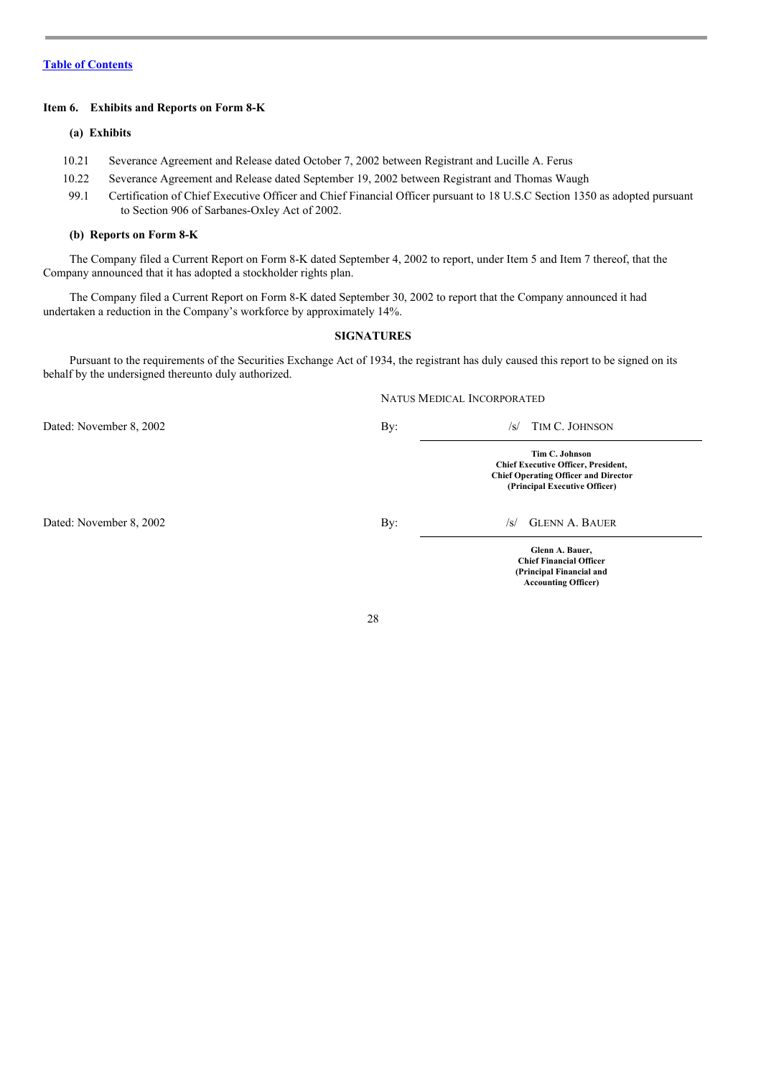#### **Item 6. Exhibits and Reports on Form 8-K**

#### **(a) Exhibits**

- 10.21 Severance Agreement and Release dated October 7, 2002 between Registrant and Lucille A. Ferus
- 10.22 Severance Agreement and Release dated September 19, 2002 between Registrant and Thomas Waugh
- 99.1 Certification of Chief Executive Officer and Chief Financial Officer pursuant to 18 U.S.C Section 1350 as adopted pursuant to Section 906 of Sarbanes-Oxley Act of 2002.

#### **(b) Reports on Form 8-K**

The Company filed a Current Report on Form 8-K dated September 4, 2002 to report, under Item 5 and Item 7 thereof, that the Company announced that it has adopted a stockholder rights plan.

The Company filed a Current Report on Form 8-K dated September 30, 2002 to report that the Company announced it had undertaken a reduction in the Company's workforce by approximately 14%.

#### **SIGNATURES**

Pursuant to the requirements of the Securities Exchange Act of 1934, the registrant has duly caused this report to be signed on its behalf by the undersigned thereunto duly authorized.

NATUS MEDICAL INCORPORATED

Dated: November 8, 2002 By: /s/ TIM C. JOHNSON

**Tim C. Johnson Chief Executive Officer, President, Chief Operating Officer and Director (Principal Executive Officer)**

Dated: November 8, 2002 By: /s/ GLENN A. BAUER

**Glenn A. Bauer, Chief Financial Officer (Principal Financial and Accounting Officer)**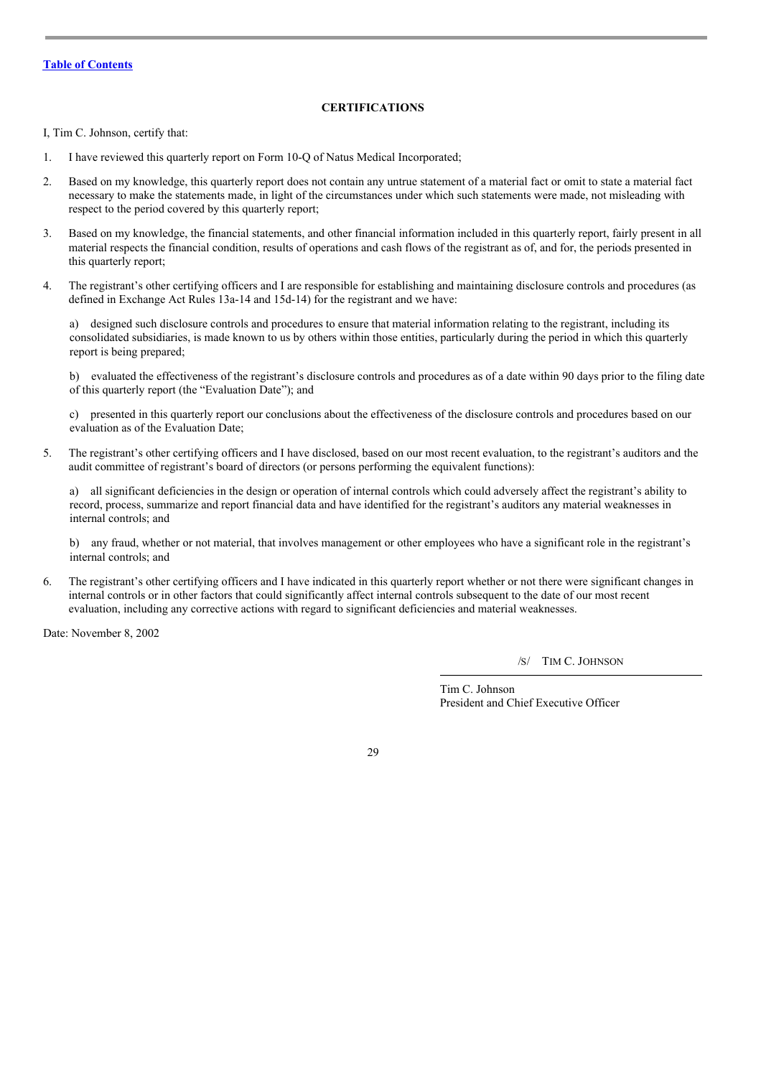#### **CERTIFICATIONS**

I, Tim C. Johnson, certify that:

- 1. I have reviewed this quarterly report on Form 10-Q of Natus Medical Incorporated;
- 2. Based on my knowledge, this quarterly report does not contain any untrue statement of a material fact or omit to state a material fact necessary to make the statements made, in light of the circumstances under which such statements were made, not misleading with respect to the period covered by this quarterly report;
- 3. Based on my knowledge, the financial statements, and other financial information included in this quarterly report, fairly present in all material respects the financial condition, results of operations and cash flows of the registrant as of, and for, the periods presented in this quarterly report;
- 4. The registrant's other certifying officers and I are responsible for establishing and maintaining disclosure controls and procedures (as defined in Exchange Act Rules 13a-14 and 15d-14) for the registrant and we have:

a) designed such disclosure controls and procedures to ensure that material information relating to the registrant, including its consolidated subsidiaries, is made known to us by others within those entities, particularly during the period in which this quarterly report is being prepared;

b) evaluated the effectiveness of the registrant's disclosure controls and procedures as of a date within 90 days prior to the filing date of this quarterly report (the "Evaluation Date"); and

c) presented in this quarterly report our conclusions about the effectiveness of the disclosure controls and procedures based on our evaluation as of the Evaluation Date;

5. The registrant's other certifying officers and I have disclosed, based on our most recent evaluation, to the registrant's auditors and the audit committee of registrant's board of directors (or persons performing the equivalent functions):

a) all significant deficiencies in the design or operation of internal controls which could adversely affect the registrant's ability to record, process, summarize and report financial data and have identified for the registrant's auditors any material weaknesses in internal controls; and

b) any fraud, whether or not material, that involves management or other employees who have a significant role in the registrant's internal controls; and

6. The registrant's other certifying officers and I have indicated in this quarterly report whether or not there were significant changes in internal controls or in other factors that could significantly affect internal controls subsequent to the date of our most recent evaluation, including any corrective actions with regard to significant deficiencies and material weaknesses.

Date: November 8, 2002

/S/ TIM C. JOHNSON

Tim C. Johnson President and Chief Executive Officer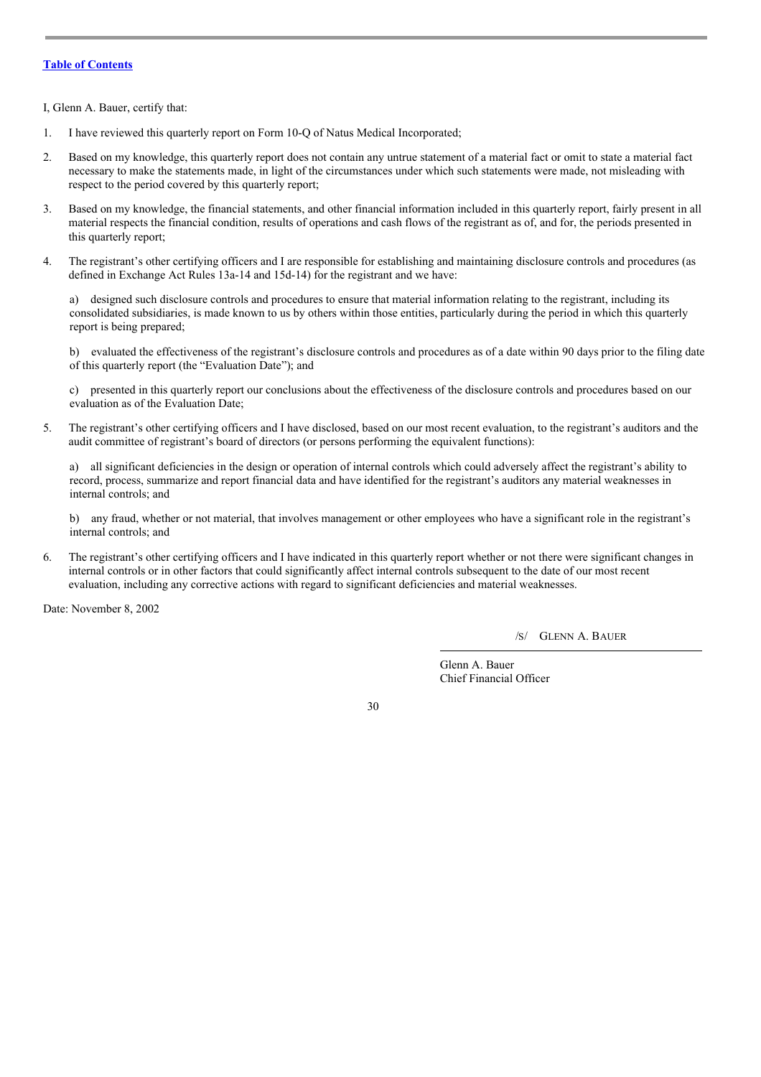I, Glenn A. Bauer, certify that:

- 1. I have reviewed this quarterly report on Form 10-Q of Natus Medical Incorporated;
- 2. Based on my knowledge, this quarterly report does not contain any untrue statement of a material fact or omit to state a material fact necessary to make the statements made, in light of the circumstances under which such statements were made, not misleading with respect to the period covered by this quarterly report;
- 3. Based on my knowledge, the financial statements, and other financial information included in this quarterly report, fairly present in all material respects the financial condition, results of operations and cash flows of the registrant as of, and for, the periods presented in this quarterly report;
- 4. The registrant's other certifying officers and I are responsible for establishing and maintaining disclosure controls and procedures (as defined in Exchange Act Rules 13a-14 and 15d-14) for the registrant and we have:

a) designed such disclosure controls and procedures to ensure that material information relating to the registrant, including its consolidated subsidiaries, is made known to us by others within those entities, particularly during the period in which this quarterly report is being prepared;

b) evaluated the effectiveness of the registrant's disclosure controls and procedures as of a date within 90 days prior to the filing date of this quarterly report (the "Evaluation Date"); and

c) presented in this quarterly report our conclusions about the effectiveness of the disclosure controls and procedures based on our evaluation as of the Evaluation Date;

5. The registrant's other certifying officers and I have disclosed, based on our most recent evaluation, to the registrant's auditors and the audit committee of registrant's board of directors (or persons performing the equivalent functions):

a) all significant deficiencies in the design or operation of internal controls which could adversely affect the registrant's ability to record, process, summarize and report financial data and have identified for the registrant's auditors any material weaknesses in internal controls; and

b) any fraud, whether or not material, that involves management or other employees who have a significant role in the registrant's internal controls; and

6. The registrant's other certifying officers and I have indicated in this quarterly report whether or not there were significant changes in internal controls or in other factors that could significantly affect internal controls subsequent to the date of our most recent evaluation, including any corrective actions with regard to significant deficiencies and material weaknesses.

Date: November 8, 2002

/S/ GLENN A. BAUER

Glenn A. Bauer Chief Financial Officer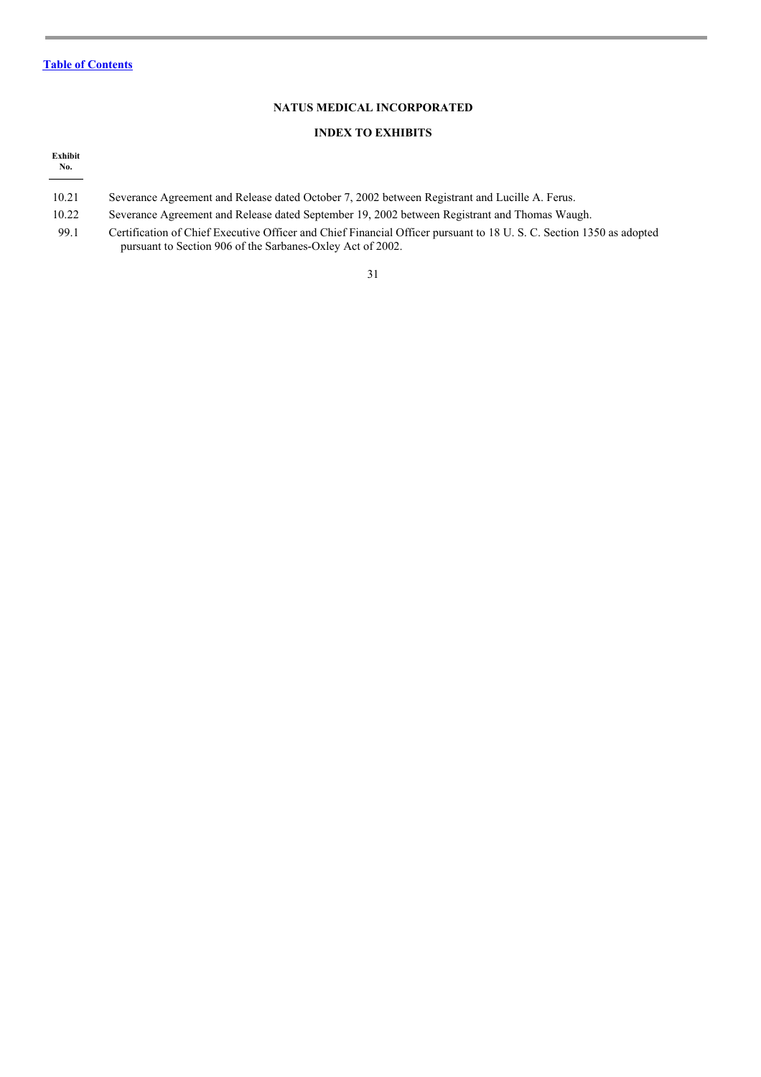## **NATUS MEDICAL INCORPORATED**

## **INDEX TO EXHIBITS**

**Exhibit No.**

- 10.21 Severance Agreement and Release dated October 7, 2002 between Registrant and Lucille A. Ferus.
- 10.22 Severance Agreement and Release dated September 19, 2002 between Registrant and Thomas Waugh.
- 99.1 Certification of Chief Executive Officer and Chief Financial Officer pursuant to 18 U. S. C. Section 1350 as adopted pursuant to Section 906 of the Sarbanes-Oxley Act of 2002.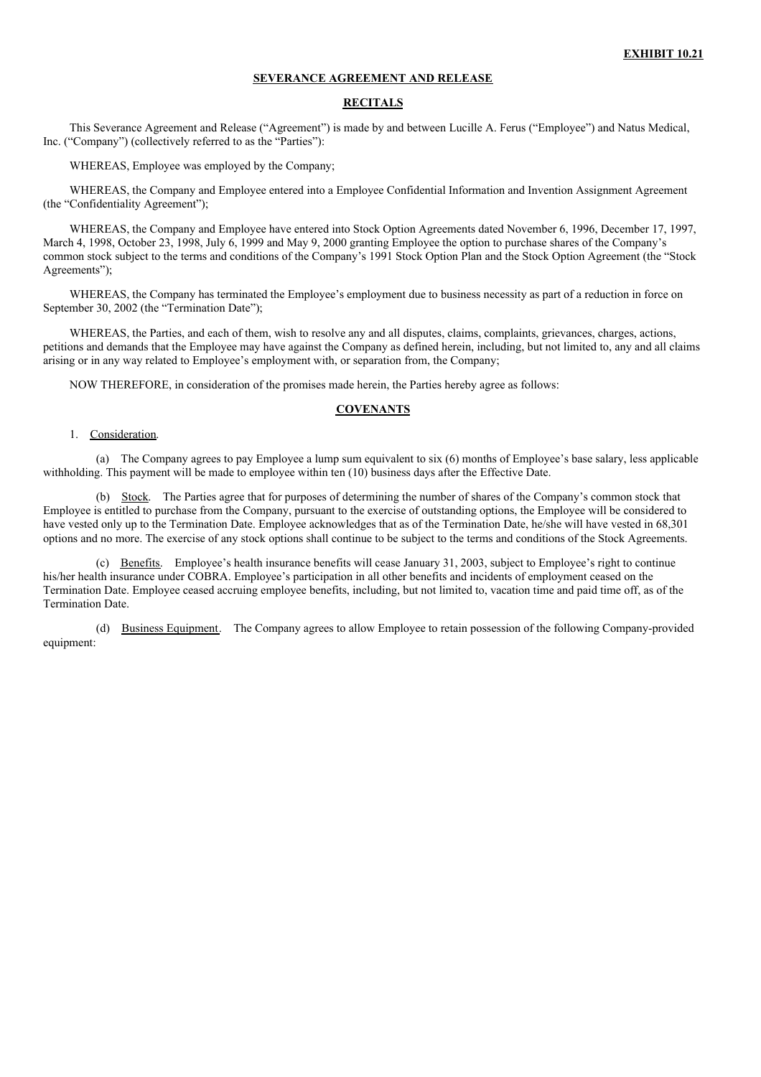#### **SEVERANCE AGREEMENT AND RELEASE**

#### **RECITALS**

This Severance Agreement and Release ("Agreement") is made by and between Lucille A. Ferus ("Employee") and Natus Medical, Inc. ("Company") (collectively referred to as the "Parties"):

WHEREAS, Employee was employed by the Company;

WHEREAS, the Company and Employee entered into a Employee Confidential Information and Invention Assignment Agreement (the "Confidentiality Agreement");

WHEREAS, the Company and Employee have entered into Stock Option Agreements dated November 6, 1996, December 17, 1997, March 4, 1998, October 23, 1998, July 6, 1999 and May 9, 2000 granting Employee the option to purchase shares of the Company's common stock subject to the terms and conditions of the Company's 1991 Stock Option Plan and the Stock Option Agreement (the "Stock Agreements");

WHEREAS, the Company has terminated the Employee's employment due to business necessity as part of a reduction in force on September 30, 2002 (the "Termination Date");

WHEREAS, the Parties, and each of them, wish to resolve any and all disputes, claims, complaints, grievances, charges, actions, petitions and demands that the Employee may have against the Company as defined herein, including, but not limited to, any and all claims arising or in any way related to Employee's employment with, or separation from, the Company;

NOW THEREFORE, in consideration of the promises made herein, the Parties hereby agree as follows:

## **COVENANTS**

#### 1. Consideration.

(a) The Company agrees to pay Employee a lump sum equivalent to six (6) months of Employee's base salary, less applicable withholding. This payment will be made to employee within ten (10) business days after the Effective Date.

(b) Stock. The Parties agree that for purposes of determining the number of shares of the Company's common stock that Employee is entitled to purchase from the Company, pursuant to the exercise of outstanding options, the Employee will be considered to have vested only up to the Termination Date. Employee acknowledges that as of the Termination Date, he/she will have vested in 68,301 options and no more. The exercise of any stock options shall continue to be subject to the terms and conditions of the Stock Agreements.

(c) Benefits. Employee's health insurance benefits will cease January 31, 2003, subject to Employee's right to continue his/her health insurance under COBRA. Employee's participation in all other benefits and incidents of employment ceased on the Termination Date. Employee ceased accruing employee benefits, including, but not limited to, vacation time and paid time off, as of the Termination Date.

(d) Business Equipment. The Company agrees to allow Employee to retain possession of the following Company-provided equipment: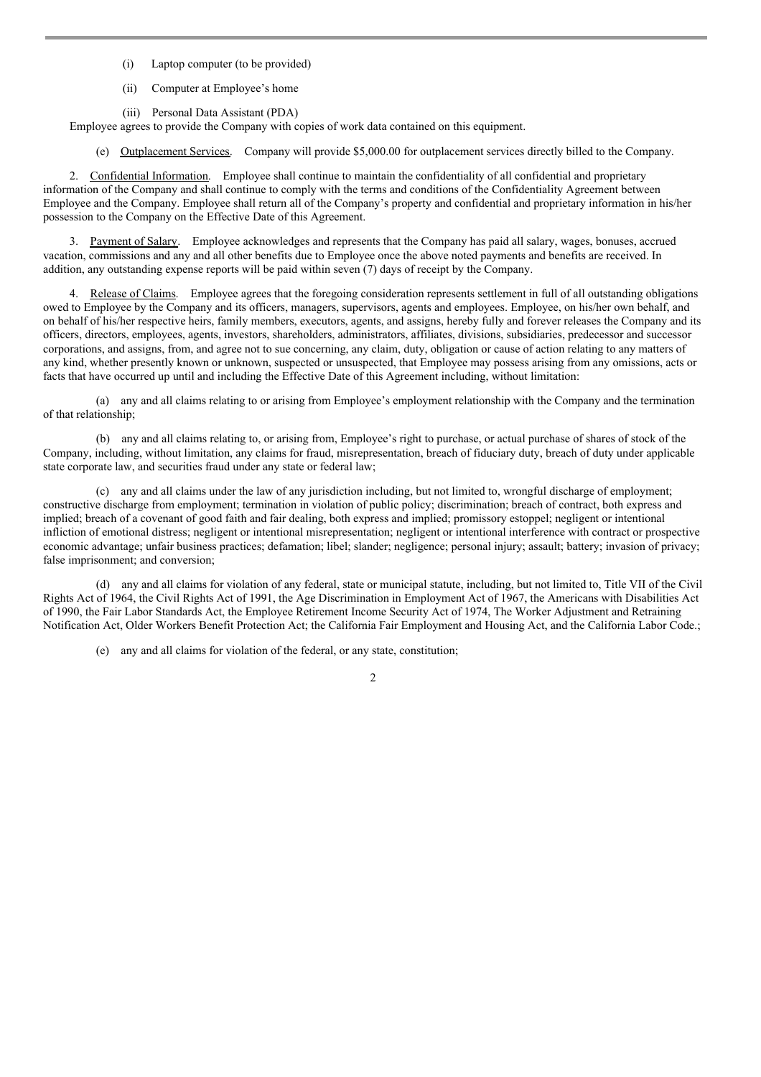- (i) Laptop computer (to be provided)
- (ii) Computer at Employee's home

(iii) Personal Data Assistant (PDA)

Employee agrees to provide the Company with copies of work data contained on this equipment.

(e) Outplacement Services. Company will provide \$5,000.00 for outplacement services directly billed to the Company.

2. Confidential Information. Employee shall continue to maintain the confidentiality of all confidential and proprietary information of the Company and shall continue to comply with the terms and conditions of the Confidentiality Agreement between Employee and the Company. Employee shall return all of the Company's property and confidential and proprietary information in his/her possession to the Company on the Effective Date of this Agreement.

3. Payment of Salary. Employee acknowledges and represents that the Company has paid all salary, wages, bonuses, accrued vacation, commissions and any and all other benefits due to Employee once the above noted payments and benefits are received. In addition, any outstanding expense reports will be paid within seven (7) days of receipt by the Company.

4. Release of Claims. Employee agrees that the foregoing consideration represents settlement in full of all outstanding obligations owed to Employee by the Company and its officers, managers, supervisors, agents and employees. Employee, on his/her own behalf, and on behalf of his/her respective heirs, family members, executors, agents, and assigns, hereby fully and forever releases the Company and its officers, directors, employees, agents, investors, shareholders, administrators, affiliates, divisions, subsidiaries, predecessor and successor corporations, and assigns, from, and agree not to sue concerning, any claim, duty, obligation or cause of action relating to any matters of any kind, whether presently known or unknown, suspected or unsuspected, that Employee may possess arising from any omissions, acts or facts that have occurred up until and including the Effective Date of this Agreement including, without limitation:

(a) any and all claims relating to or arising from Employee's employment relationship with the Company and the termination of that relationship;

(b) any and all claims relating to, or arising from, Employee's right to purchase, or actual purchase of shares of stock of the Company, including, without limitation, any claims for fraud, misrepresentation, breach of fiduciary duty, breach of duty under applicable state corporate law, and securities fraud under any state or federal law;

(c) any and all claims under the law of any jurisdiction including, but not limited to, wrongful discharge of employment; constructive discharge from employment; termination in violation of public policy; discrimination; breach of contract, both express and implied; breach of a covenant of good faith and fair dealing, both express and implied; promissory estoppel; negligent or intentional infliction of emotional distress; negligent or intentional misrepresentation; negligent or intentional interference with contract or prospective economic advantage; unfair business practices; defamation; libel; slander; negligence; personal injury; assault; battery; invasion of privacy; false imprisonment; and conversion;

(d) any and all claims for violation of any federal, state or municipal statute, including, but not limited to, Title VII of the Civil Rights Act of 1964, the Civil Rights Act of 1991, the Age Discrimination in Employment Act of 1967, the Americans with Disabilities Act of 1990, the Fair Labor Standards Act, the Employee Retirement Income Security Act of 1974, The Worker Adjustment and Retraining Notification Act, Older Workers Benefit Protection Act; the California Fair Employment and Housing Act, and the California Labor Code.;

 $\overline{2}$ 

(e) any and all claims for violation of the federal, or any state, constitution;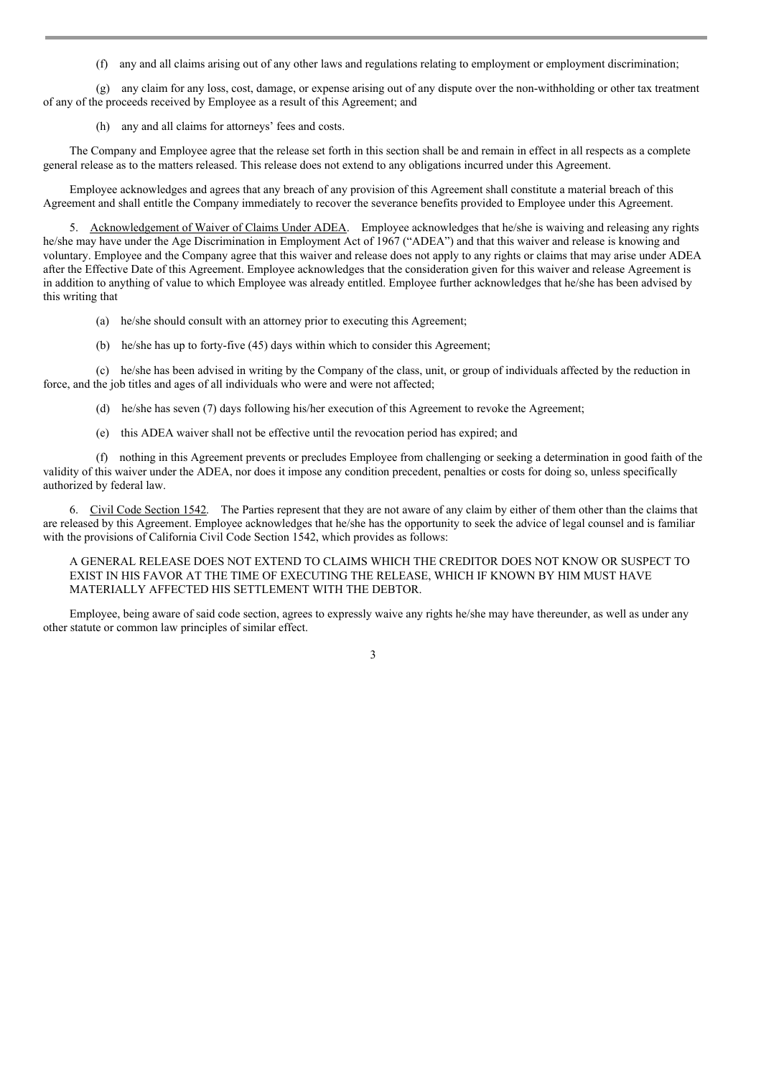(f) any and all claims arising out of any other laws and regulations relating to employment or employment discrimination;

(g) any claim for any loss, cost, damage, or expense arising out of any dispute over the non-withholding or other tax treatment of any of the proceeds received by Employee as a result of this Agreement; and

(h) any and all claims for attorneys' fees and costs.

The Company and Employee agree that the release set forth in this section shall be and remain in effect in all respects as a complete general release as to the matters released. This release does not extend to any obligations incurred under this Agreement.

Employee acknowledges and agrees that any breach of any provision of this Agreement shall constitute a material breach of this Agreement and shall entitle the Company immediately to recover the severance benefits provided to Employee under this Agreement.

5. Acknowledgement of Waiver of Claims Under ADEA. Employee acknowledges that he/she is waiving and releasing any rights he/she may have under the Age Discrimination in Employment Act of 1967 ("ADEA") and that this waiver and release is knowing and voluntary. Employee and the Company agree that this waiver and release does not apply to any rights or claims that may arise under ADEA after the Effective Date of this Agreement. Employee acknowledges that the consideration given for this waiver and release Agreement is in addition to anything of value to which Employee was already entitled. Employee further acknowledges that he/she has been advised by this writing that

- (a) he/she should consult with an attorney prior to executing this Agreement;
- (b) he/she has up to forty-five (45) days within which to consider this Agreement;

(c) he/she has been advised in writing by the Company of the class, unit, or group of individuals affected by the reduction in force, and the job titles and ages of all individuals who were and were not affected;

- (d) he/she has seven (7) days following his/her execution of this Agreement to revoke the Agreement;
- (e) this ADEA waiver shall not be effective until the revocation period has expired; and

(f) nothing in this Agreement prevents or precludes Employee from challenging or seeking a determination in good faith of the validity of this waiver under the ADEA, nor does it impose any condition precedent, penalties or costs for doing so, unless specifically authorized by federal law.

6. Civil Code Section 1542. The Parties represent that they are not aware of any claim by either of them other than the claims that are released by this Agreement. Employee acknowledges that he/she has the opportunity to seek the advice of legal counsel and is familiar with the provisions of California Civil Code Section 1542, which provides as follows:

A GENERAL RELEASE DOES NOT EXTEND TO CLAIMS WHICH THE CREDITOR DOES NOT KNOW OR SUSPECT TO EXIST IN HIS FAVOR AT THE TIME OF EXECUTING THE RELEASE, WHICH IF KNOWN BY HIM MUST HAVE MATERIALLY AFFECTED HIS SETTLEMENT WITH THE DEBTOR.

Employee, being aware of said code section, agrees to expressly waive any rights he/she may have thereunder, as well as under any other statute or common law principles of similar effect.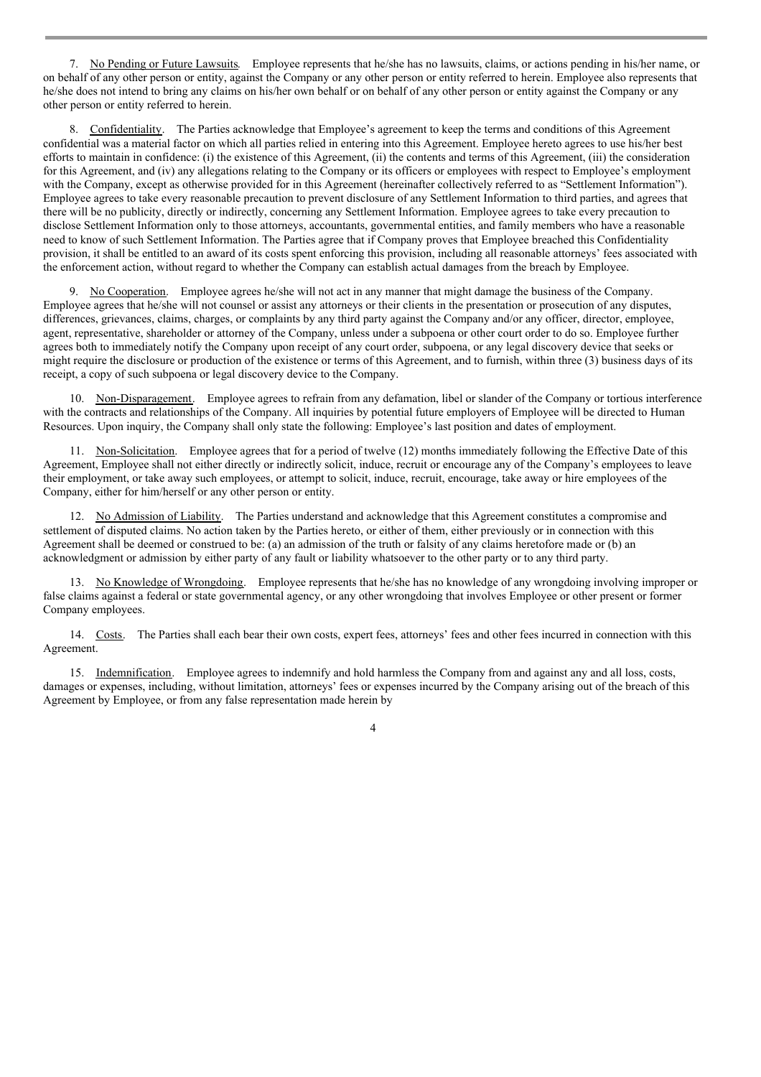7. No Pending or Future Lawsuits. Employee represents that he/she has no lawsuits, claims, or actions pending in his/her name, or on behalf of any other person or entity, against the Company or any other person or entity referred to herein. Employee also represents that he/she does not intend to bring any claims on his/her own behalf or on behalf of any other person or entity against the Company or any other person or entity referred to herein.

8. Confidentiality. The Parties acknowledge that Employee's agreement to keep the terms and conditions of this Agreement confidential was a material factor on which all parties relied in entering into this Agreement. Employee hereto agrees to use his/her best efforts to maintain in confidence: (i) the existence of this Agreement, (ii) the contents and terms of this Agreement, (iii) the consideration for this Agreement, and (iv) any allegations relating to the Company or its officers or employees with respect to Employee's employment with the Company, except as otherwise provided for in this Agreement (hereinafter collectively referred to as "Settlement Information"). Employee agrees to take every reasonable precaution to prevent disclosure of any Settlement Information to third parties, and agrees that there will be no publicity, directly or indirectly, concerning any Settlement Information. Employee agrees to take every precaution to disclose Settlement Information only to those attorneys, accountants, governmental entities, and family members who have a reasonable need to know of such Settlement Information. The Parties agree that if Company proves that Employee breached this Confidentiality provision, it shall be entitled to an award of its costs spent enforcing this provision, including all reasonable attorneys' fees associated with the enforcement action, without regard to whether the Company can establish actual damages from the breach by Employee.

9. No Cooperation. Employee agrees he/she will not act in any manner that might damage the business of the Company. Employee agrees that he/she will not counsel or assist any attorneys or their clients in the presentation or prosecution of any disputes. differences, grievances, claims, charges, or complaints by any third party against the Company and/or any officer, director, employee, agent, representative, shareholder or attorney of the Company, unless under a subpoena or other court order to do so. Employee further agrees both to immediately notify the Company upon receipt of any court order, subpoena, or any legal discovery device that seeks or might require the disclosure or production of the existence or terms of this Agreement, and to furnish, within three (3) business days of its receipt, a copy of such subpoena or legal discovery device to the Company.

10. Non-Disparagement. Employee agrees to refrain from any defamation, libel or slander of the Company or tortious interference with the contracts and relationships of the Company. All inquiries by potential future employers of Employee will be directed to Human Resources. Upon inquiry, the Company shall only state the following: Employee's last position and dates of employment.

11. Non-Solicitation. Employee agrees that for a period of twelve (12) months immediately following the Effective Date of this Agreement, Employee shall not either directly or indirectly solicit, induce, recruit or encourage any of the Company's employees to leave their employment, or take away such employees, or attempt to solicit, induce, recruit, encourage, take away or hire employees of the Company, either for him/herself or any other person or entity.

12. No Admission of Liability. The Parties understand and acknowledge that this Agreement constitutes a compromise and settlement of disputed claims. No action taken by the Parties hereto, or either of them, either previously or in connection with this Agreement shall be deemed or construed to be: (a) an admission of the truth or falsity of any claims heretofore made or (b) an acknowledgment or admission by either party of any fault or liability whatsoever to the other party or to any third party.

13. No Knowledge of Wrongdoing. Employee represents that he/she has no knowledge of any wrongdoing involving improper or false claims against a federal or state governmental agency, or any other wrongdoing that involves Employee or other present or former Company employees.

14. Costs. The Parties shall each bear their own costs, expert fees, attorneys' fees and other fees incurred in connection with this Agreement.

15. Indemnification. Employee agrees to indemnify and hold harmless the Company from and against any and all loss, costs, damages or expenses, including, without limitation, attorneys' fees or expenses incurred by the Company arising out of the breach of this Agreement by Employee, or from any false representation made herein by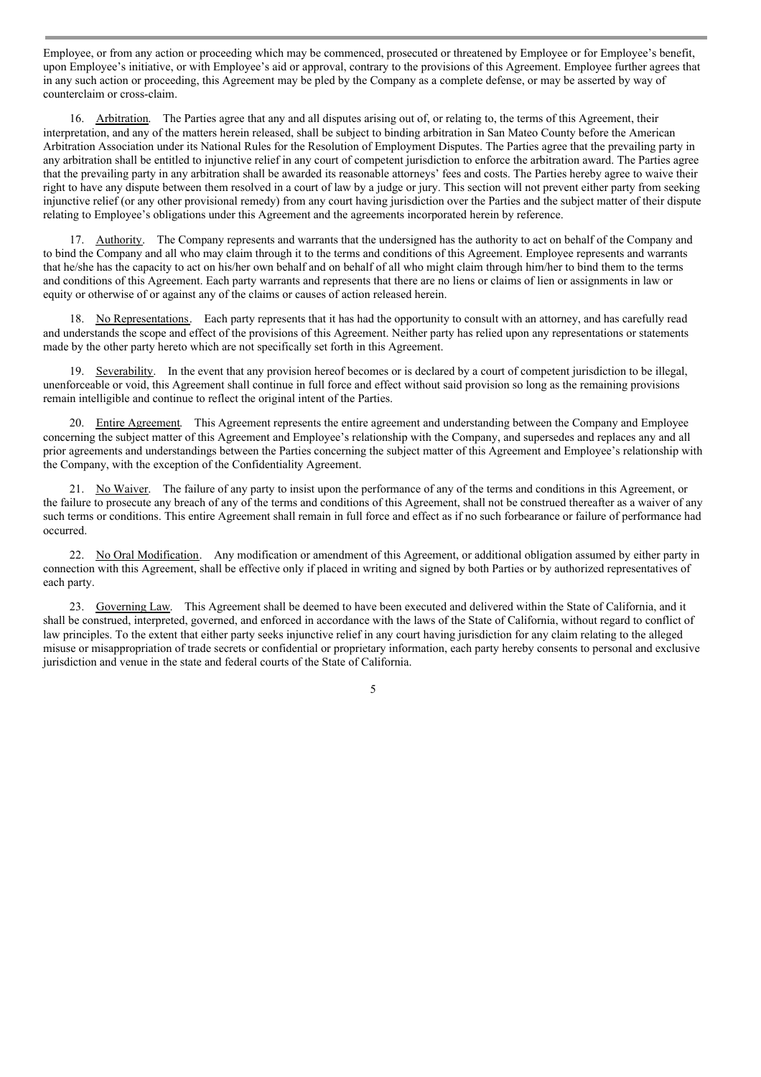Employee, or from any action or proceeding which may be commenced, prosecuted or threatened by Employee or for Employee's benefit, upon Employee's initiative, or with Employee's aid or approval, contrary to the provisions of this Agreement. Employee further agrees that in any such action or proceeding, this Agreement may be pled by the Company as a complete defense, or may be asserted by way of counterclaim or cross-claim.

16. Arbitration. The Parties agree that any and all disputes arising out of, or relating to, the terms of this Agreement, their interpretation, and any of the matters herein released, shall be subject to binding arbitration in San Mateo County before the American Arbitration Association under its National Rules for the Resolution of Employment Disputes. The Parties agree that the prevailing party in any arbitration shall be entitled to injunctive relief in any court of competent jurisdiction to enforce the arbitration award. The Parties agree that the prevailing party in any arbitration shall be awarded its reasonable attorneys' fees and costs. The Parties hereby agree to waive their right to have any dispute between them resolved in a court of law by a judge or jury. This section will not prevent either party from seeking injunctive relief (or any other provisional remedy) from any court having jurisdiction over the Parties and the subject matter of their dispute relating to Employee's obligations under this Agreement and the agreements incorporated herein by reference.

17. Authority. The Company represents and warrants that the undersigned has the authority to act on behalf of the Company and to bind the Company and all who may claim through it to the terms and conditions of this Agreement. Employee represents and warrants that he/she has the capacity to act on his/her own behalf and on behalf of all who might claim through him/her to bind them to the terms and conditions of this Agreement. Each party warrants and represents that there are no liens or claims of lien or assignments in law or equity or otherwise of or against any of the claims or causes of action released herein.

18. No Representations. Each party represents that it has had the opportunity to consult with an attorney, and has carefully read and understands the scope and effect of the provisions of this Agreement. Neither party has relied upon any representations or statements made by the other party hereto which are not specifically set forth in this Agreement.

19. Severability. In the event that any provision hereof becomes or is declared by a court of competent jurisdiction to be illegal, unenforceable or void, this Agreement shall continue in full force and effect without said provision so long as the remaining provisions remain intelligible and continue to reflect the original intent of the Parties.

20. Entire Agreement. This Agreement represents the entire agreement and understanding between the Company and Employee concerning the subject matter of this Agreement and Employee's relationship with the Company, and supersedes and replaces any and all prior agreements and understandings between the Parties concerning the subject matter of this Agreement and Employee's relationship with the Company, with the exception of the Confidentiality Agreement.

21. No Waiver. The failure of any party to insist upon the performance of any of the terms and conditions in this Agreement, or the failure to prosecute any breach of any of the terms and conditions of this Agreement, shall not be construed thereafter as a waiver of any such terms or conditions. This entire Agreement shall remain in full force and effect as if no such forbearance or failure of performance had occurred.

22. No Oral Modification. Any modification or amendment of this Agreement, or additional obligation assumed by either party in connection with this Agreement, shall be effective only if placed in writing and signed by both Parties or by authorized representatives of each party.

23. Governing Law. This Agreement shall be deemed to have been executed and delivered within the State of California, and it shall be construed, interpreted, governed, and enforced in accordance with the laws of the State of California, without regard to conflict of law principles. To the extent that either party seeks injunctive relief in any court having jurisdiction for any claim relating to the alleged misuse or misappropriation of trade secrets or confidential or proprietary information, each party hereby consents to personal and exclusive jurisdiction and venue in the state and federal courts of the State of California.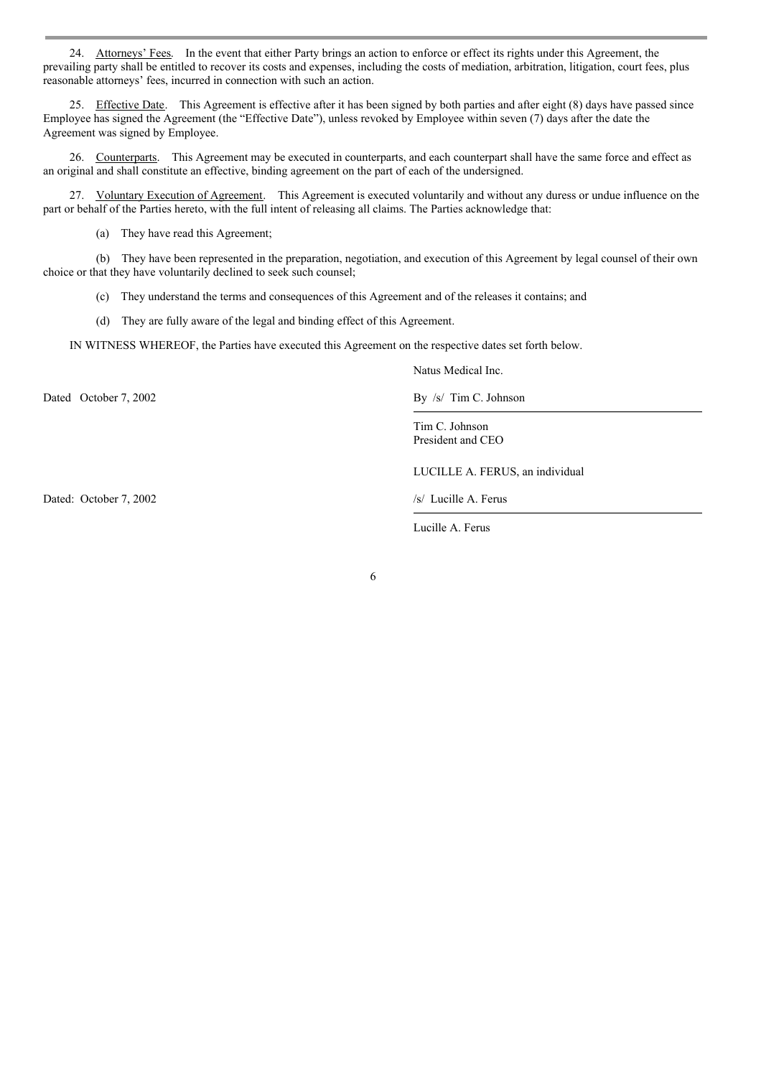24. Attorneys' Fees. In the event that either Party brings an action to enforce or effect its rights under this Agreement, the prevailing party shall be entitled to recover its costs and expenses, including the costs of mediation, arbitration, litigation, court fees, plus reasonable attorneys' fees, incurred in connection with such an action.

25. Effective Date. This Agreement is effective after it has been signed by both parties and after eight (8) days have passed since Employee has signed the Agreement (the "Effective Date"), unless revoked by Employee within seven (7) days after the date the Agreement was signed by Employee.

26. Counterparts. This Agreement may be executed in counterparts, and each counterpart shall have the same force and effect as an original and shall constitute an effective, binding agreement on the part of each of the undersigned.

27. Voluntary Execution of Agreement. This Agreement is executed voluntarily and without any duress or undue influence on the part or behalf of the Parties hereto, with the full intent of releasing all claims. The Parties acknowledge that:

(a) They have read this Agreement;

(b) They have been represented in the preparation, negotiation, and execution of this Agreement by legal counsel of their own choice or that they have voluntarily declined to seek such counsel;

(c) They understand the terms and consequences of this Agreement and of the releases it contains; and

(d) They are fully aware of the legal and binding effect of this Agreement.

IN WITNESS WHEREOF, the Parties have executed this Agreement on the respective dates set forth below.

Natus Medical Inc.

Dated October 7, 2002 By /s/ Tim C. Johnson

Tim C. Johnson President and CEO

LUCILLE A. FERUS, an individual

Dated: October 7, 2002 /s/ Lucille A. Ferus

Lucille A. Ferus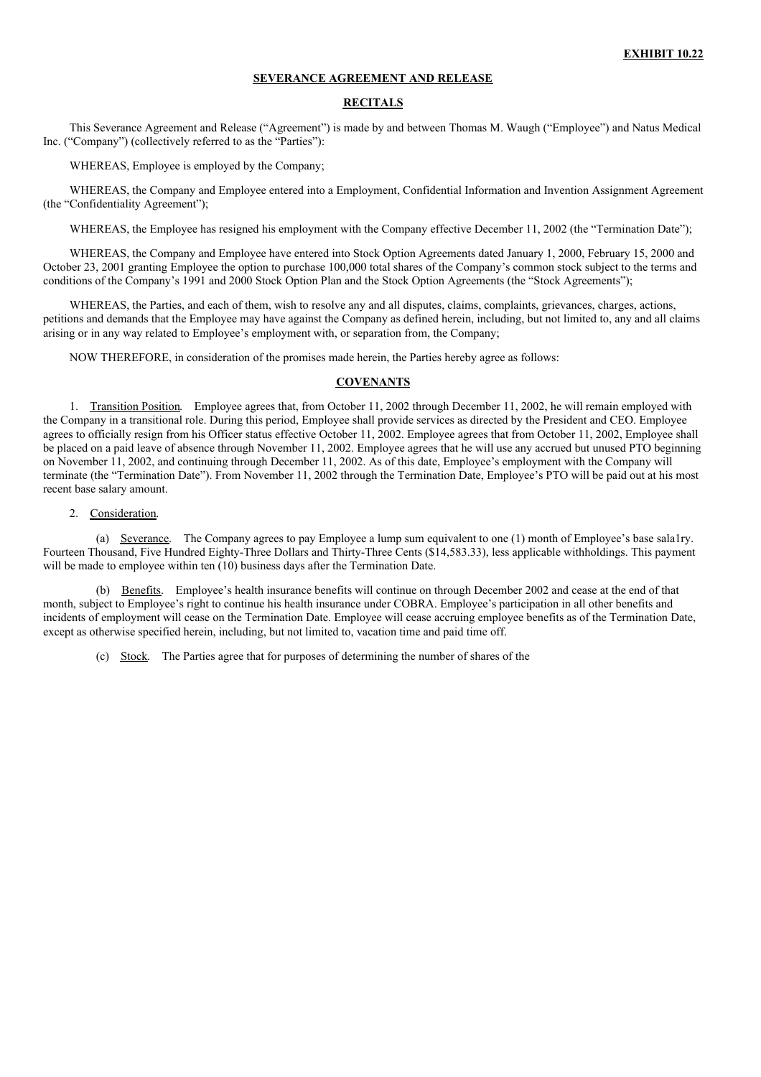## **SEVERANCE AGREEMENT AND RELEASE**

## **RECITALS**

This Severance Agreement and Release ("Agreement") is made by and between Thomas M. Waugh ("Employee") and Natus Medical Inc. ("Company") (collectively referred to as the "Parties"):

WHEREAS, Employee is employed by the Company;

WHEREAS, the Company and Employee entered into a Employment, Confidential Information and Invention Assignment Agreement (the "Confidentiality Agreement");

WHEREAS, the Employee has resigned his employment with the Company effective December 11, 2002 (the "Termination Date");

WHEREAS, the Company and Employee have entered into Stock Option Agreements dated January 1, 2000, February 15, 2000 and October 23, 2001 granting Employee the option to purchase 100,000 total shares of the Company's common stock subject to the terms and conditions of the Company's 1991 and 2000 Stock Option Plan and the Stock Option Agreements (the "Stock Agreements");

WHEREAS, the Parties, and each of them, wish to resolve any and all disputes, claims, complaints, grievances, charges, actions, petitions and demands that the Employee may have against the Company as defined herein, including, but not limited to, any and all claims arising or in any way related to Employee's employment with, or separation from, the Company;

NOW THEREFORE, in consideration of the promises made herein, the Parties hereby agree as follows:

#### **COVENANTS**

1. Transition Position. Employee agrees that, from October 11, 2002 through December 11, 2002, he will remain employed with the Company in a transitional role. During this period, Employee shall provide services as directed by the President and CEO. Employee agrees to officially resign from his Officer status effective October 11, 2002. Employee agrees that from October 11, 2002, Employee shall be placed on a paid leave of absence through November 11, 2002. Employee agrees that he will use any accrued but unused PTO beginning on November 11, 2002, and continuing through December 11, 2002. As of this date, Employee's employment with the Company will terminate (the "Termination Date"). From November 11, 2002 through the Termination Date, Employee's PTO will be paid out at his most recent base salary amount.

2. Consideration.

(a) Severance. The Company agrees to pay Employee a lump sum equivalent to one (1) month of Employee's base sala1ry. Fourteen Thousand, Five Hundred Eighty-Three Dollars and Thirty-Three Cents (\$14,583.33), less applicable withholdings. This payment will be made to employee within ten (10) business days after the Termination Date.

(b) Benefits. Employee's health insurance benefits will continue on through December 2002 and cease at the end of that month, subject to Employee's right to continue his health insurance under COBRA. Employee's participation in all other benefits and incidents of employment will cease on the Termination Date. Employee will cease accruing employee benefits as of the Termination Date, except as otherwise specified herein, including, but not limited to, vacation time and paid time off.

(c) Stock. The Parties agree that for purposes of determining the number of shares of the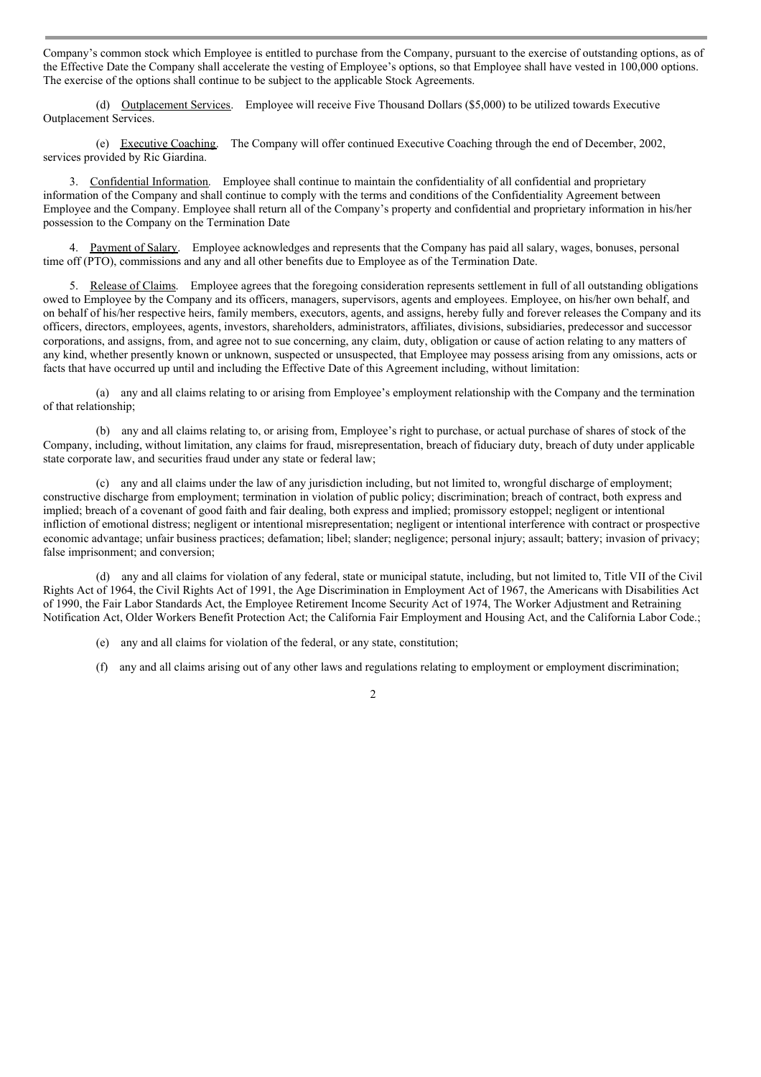Company's common stock which Employee is entitled to purchase from the Company, pursuant to the exercise of outstanding options, as of the Effective Date the Company shall accelerate the vesting of Employee's options, so that Employee shall have vested in 100,000 options. The exercise of the options shall continue to be subject to the applicable Stock Agreements.

(d) Outplacement Services. Employee will receive Five Thousand Dollars (\$5,000) to be utilized towards Executive Outplacement Services.

(e) Executive Coaching. The Company will offer continued Executive Coaching through the end of December, 2002, services provided by Ric Giardina.

3. Confidential Information. Employee shall continue to maintain the confidentiality of all confidential and proprietary information of the Company and shall continue to comply with the terms and conditions of the Confidentiality Agreement between Employee and the Company. Employee shall return all of the Company's property and confidential and proprietary information in his/her possession to the Company on the Termination Date

4. Payment of Salary. Employee acknowledges and represents that the Company has paid all salary, wages, bonuses, personal time off (PTO), commissions and any and all other benefits due to Employee as of the Termination Date.

5. Release of Claims. Employee agrees that the foregoing consideration represents settlement in full of all outstanding obligations owed to Employee by the Company and its officers, managers, supervisors, agents and employees. Employee, on his/her own behalf, and on behalf of his/her respective heirs, family members, executors, agents, and assigns, hereby fully and forever releases the Company and its officers, directors, employees, agents, investors, shareholders, administrators, affiliates, divisions, subsidiaries, predecessor and successor corporations, and assigns, from, and agree not to sue concerning, any claim, duty, obligation or cause of action relating to any matters of any kind, whether presently known or unknown, suspected or unsuspected, that Employee may possess arising from any omissions, acts or facts that have occurred up until and including the Effective Date of this Agreement including, without limitation:

(a) any and all claims relating to or arising from Employee's employment relationship with the Company and the termination of that relationship;

(b) any and all claims relating to, or arising from, Employee's right to purchase, or actual purchase of shares of stock of the Company, including, without limitation, any claims for fraud, misrepresentation, breach of fiduciary duty, breach of duty under applicable state corporate law, and securities fraud under any state or federal law;

(c) any and all claims under the law of any jurisdiction including, but not limited to, wrongful discharge of employment; constructive discharge from employment; termination in violation of public policy; discrimination; breach of contract, both express and implied; breach of a covenant of good faith and fair dealing, both express and implied; promissory estoppel; negligent or intentional infliction of emotional distress; negligent or intentional misrepresentation; negligent or intentional interference with contract or prospective economic advantage; unfair business practices; defamation; libel; slander; negligence; personal injury; assault; battery; invasion of privacy; false imprisonment; and conversion;

(d) any and all claims for violation of any federal, state or municipal statute, including, but not limited to, Title VII of the Civil Rights Act of 1964, the Civil Rights Act of 1991, the Age Discrimination in Employment Act of 1967, the Americans with Disabilities Act of 1990, the Fair Labor Standards Act, the Employee Retirement Income Security Act of 1974, The Worker Adjustment and Retraining Notification Act, Older Workers Benefit Protection Act; the California Fair Employment and Housing Act, and the California Labor Code.;

(e) any and all claims for violation of the federal, or any state, constitution;

(f) any and all claims arising out of any other laws and regulations relating to employment or employment discrimination;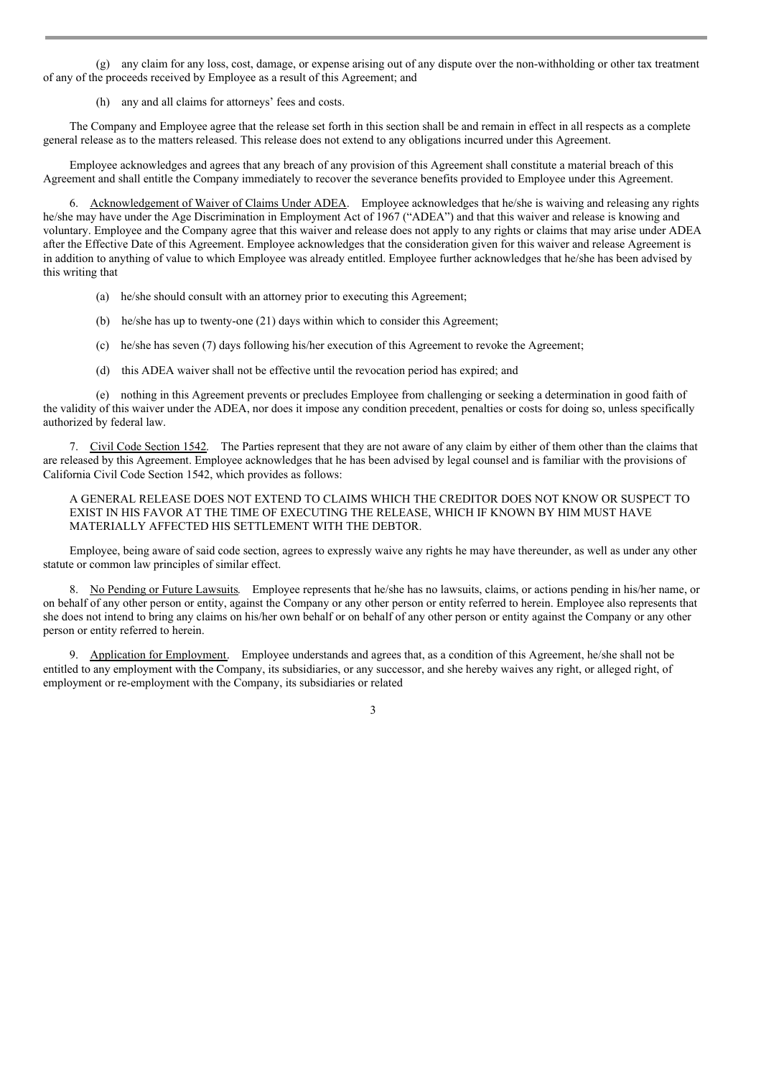(g) any claim for any loss, cost, damage, or expense arising out of any dispute over the non-withholding or other tax treatment of any of the proceeds received by Employee as a result of this Agreement; and

(h) any and all claims for attorneys' fees and costs.

The Company and Employee agree that the release set forth in this section shall be and remain in effect in all respects as a complete general release as to the matters released. This release does not extend to any obligations incurred under this Agreement.

Employee acknowledges and agrees that any breach of any provision of this Agreement shall constitute a material breach of this Agreement and shall entitle the Company immediately to recover the severance benefits provided to Employee under this Agreement.

6. Acknowledgement of Waiver of Claims Under ADEA. Employee acknowledges that he/she is waiving and releasing any rights he/she may have under the Age Discrimination in Employment Act of 1967 ("ADEA") and that this waiver and release is knowing and voluntary. Employee and the Company agree that this waiver and release does not apply to any rights or claims that may arise under ADEA after the Effective Date of this Agreement. Employee acknowledges that the consideration given for this waiver and release Agreement is in addition to anything of value to which Employee was already entitled. Employee further acknowledges that he/she has been advised by this writing that

- (a) he/she should consult with an attorney prior to executing this Agreement;
- (b) he/she has up to twenty-one (21) days within which to consider this Agreement;
- (c) he/she has seven (7) days following his/her execution of this Agreement to revoke the Agreement;
- (d) this ADEA waiver shall not be effective until the revocation period has expired; and

(e) nothing in this Agreement prevents or precludes Employee from challenging or seeking a determination in good faith of the validity of this waiver under the ADEA, nor does it impose any condition precedent, penalties or costs for doing so, unless specifically authorized by federal law.

7. Civil Code Section 1542. The Parties represent that they are not aware of any claim by either of them other than the claims that are released by this Agreement. Employee acknowledges that he has been advised by legal counsel and is familiar with the provisions of California Civil Code Section 1542, which provides as follows:

A GENERAL RELEASE DOES NOT EXTEND TO CLAIMS WHICH THE CREDITOR DOES NOT KNOW OR SUSPECT TO EXIST IN HIS FAVOR AT THE TIME OF EXECUTING THE RELEASE, WHICH IF KNOWN BY HIM MUST HAVE MATERIALLY AFFECTED HIS SETTLEMENT WITH THE DEBTOR.

Employee, being aware of said code section, agrees to expressly waive any rights he may have thereunder, as well as under any other statute or common law principles of similar effect.

8. No Pending or Future Lawsuits. Employee represents that he/she has no lawsuits, claims, or actions pending in his/her name, or on behalf of any other person or entity, against the Company or any other person or entity referred to herein. Employee also represents that she does not intend to bring any claims on his/her own behalf or on behalf of any other person or entity against the Company or any other person or entity referred to herein.

9. Application for Employment. Employee understands and agrees that, as a condition of this Agreement, he/she shall not be entitled to any employment with the Company, its subsidiaries, or any successor, and she hereby waives any right, or alleged right, of employment or re-employment with the Company, its subsidiaries or related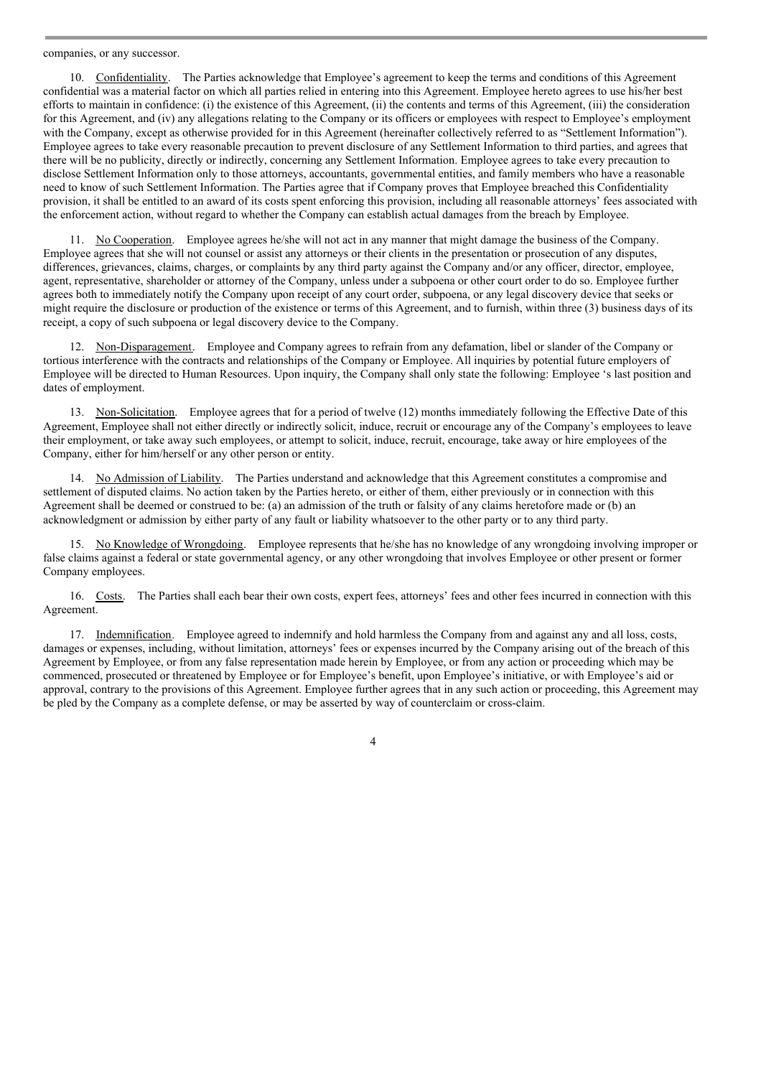companies, or any successor.

10. Confidentiality. The Parties acknowledge that Employee's agreement to keep the terms and conditions of this Agreement confidential was a material factor on which all parties relied in entering into this Agreement. Employee hereto agrees to use his/her best efforts to maintain in confidence: (i) the existence of this Agreement, (ii) the contents and terms of this Agreement, (iii) the consideration for this Agreement, and (iv) any allegations relating to the Company or its officers or employees with respect to Employee's employment with the Company, except as otherwise provided for in this Agreement (hereinafter collectively referred to as "Settlement Information"). Employee agrees to take every reasonable precaution to prevent disclosure of any Settlement Information to third parties, and agrees that there will be no publicity, directly or indirectly, concerning any Settlement Information. Employee agrees to take every precaution to disclose Settlement Information only to those attorneys, accountants, governmental entities, and family members who have a reasonable need to know of such Settlement Information. The Parties agree that if Company proves that Employee breached this Confidentiality provision, it shall be entitled to an award of its costs spent enforcing this provision, including all reasonable attorneys' fees associated with the enforcement action, without regard to whether the Company can establish actual damages from the breach by Employee.

11. No Cooperation. Employee agrees he/she will not act in any manner that might damage the business of the Company. Employee agrees that she will not counsel or assist any attorneys or their clients in the presentation or prosecution of any disputes, differences, grievances, claims, charges, or complaints by any third party against the Company and/or any officer, director, employee, agent, representative, shareholder or attorney of the Company, unless under a subpoena or other court order to do so. Employee further agrees both to immediately notify the Company upon receipt of any court order, subpoena, or any legal discovery device that seeks or might require the disclosure or production of the existence or terms of this Agreement, and to furnish, within three (3) business days of its receipt, a copy of such subpoena or legal discovery device to the Company.

12. Non-Disparagement. Employee and Company agrees to refrain from any defamation, libel or slander of the Company or tortious interference with the contracts and relationships of the Company or Employee. All inquiries by potential future employers of Employee will be directed to Human Resources. Upon inquiry, the Company shall only state the following: Employee 's last position and dates of employment.

13. Non-Solicitation. Employee agrees that for a period of twelve (12) months immediately following the Effective Date of this Agreement, Employee shall not either directly or indirectly solicit, induce, recruit or encourage any of the Company's employees to leave their employment, or take away such employees, or attempt to solicit, induce, recruit, encourage, take away or hire employees of the Company, either for him/herself or any other person or entity.

14. No Admission of Liability. The Parties understand and acknowledge that this Agreement constitutes a compromise and settlement of disputed claims. No action taken by the Parties hereto, or either of them, either previously or in connection with this Agreement shall be deemed or construed to be: (a) an admission of the truth or falsity of any claims heretofore made or (b) an acknowledgment or admission by either party of any fault or liability whatsoever to the other party or to any third party.

15. No Knowledge of Wrongdoing. Employee represents that he/she has no knowledge of any wrongdoing involving improper or false claims against a federal or state governmental agency, or any other wrongdoing that involves Employee or other present or former Company employees.

16. Costs. The Parties shall each bear their own costs, expert fees, attorneys' fees and other fees incurred in connection with this Agreement.

17. Indemnification. Employee agreed to indemnify and hold harmless the Company from and against any and all loss, costs, damages or expenses, including, without limitation, attorneys' fees or expenses incurred by the Company arising out of the breach of this Agreement by Employee, or from any false representation made herein by Employee, or from any action or proceeding which may be commenced, prosecuted or threatened by Employee or for Employee's benefit, upon Employee's initiative, or with Employee's aid or approval, contrary to the provisions of this Agreement. Employee further agrees that in any such action or proceeding, this Agreement may be pled by the Company as a complete defense, or may be asserted by way of counterclaim or cross-claim.

 $\overline{A}$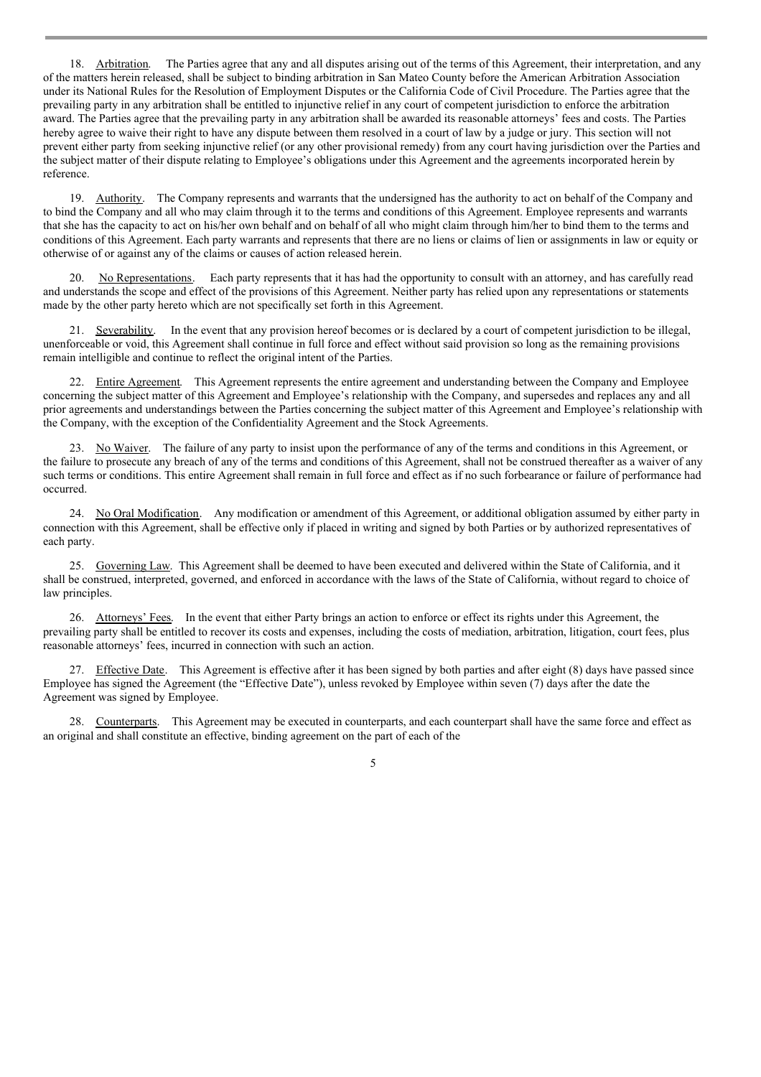18. Arbitration. The Parties agree that any and all disputes arising out of the terms of this Agreement, their interpretation, and any of the matters herein released, shall be subject to binding arbitration in San Mateo County before the American Arbitration Association under its National Rules for the Resolution of Employment Disputes or the California Code of Civil Procedure. The Parties agree that the prevailing party in any arbitration shall be entitled to injunctive relief in any court of competent jurisdiction to enforce the arbitration award. The Parties agree that the prevailing party in any arbitration shall be awarded its reasonable attorneys' fees and costs. The Parties hereby agree to waive their right to have any dispute between them resolved in a court of law by a judge or jury. This section will not prevent either party from seeking injunctive relief (or any other provisional remedy) from any court having jurisdiction over the Parties and the subject matter of their dispute relating to Employee's obligations under this Agreement and the agreements incorporated herein by reference.

19. Authority. The Company represents and warrants that the undersigned has the authority to act on behalf of the Company and to bind the Company and all who may claim through it to the terms and conditions of this Agreement. Employee represents and warrants that she has the capacity to act on his/her own behalf and on behalf of all who might claim through him/her to bind them to the terms and conditions of this Agreement. Each party warrants and represents that there are no liens or claims of lien or assignments in law or equity or otherwise of or against any of the claims or causes of action released herein.

20. No Representations. Each party represents that it has had the opportunity to consult with an attorney, and has carefully read and understands the scope and effect of the provisions of this Agreement. Neither party has relied upon any representations or statements made by the other party hereto which are not specifically set forth in this Agreement.

21. Severability. In the event that any provision hereof becomes or is declared by a court of competent jurisdiction to be illegal, unenforceable or void, this Agreement shall continue in full force and effect without said provision so long as the remaining provisions remain intelligible and continue to reflect the original intent of the Parties.

22. Entire Agreement. This Agreement represents the entire agreement and understanding between the Company and Employee concerning the subject matter of this Agreement and Employee's relationship with the Company, and supersedes and replaces any and all prior agreements and understandings between the Parties concerning the subject matter of this Agreement and Employee's relationship with the Company, with the exception of the Confidentiality Agreement and the Stock Agreements.

23. No Waiver. The failure of any party to insist upon the performance of any of the terms and conditions in this Agreement, or the failure to prosecute any breach of any of the terms and conditions of this Agreement, shall not be construed thereafter as a waiver of any such terms or conditions. This entire Agreement shall remain in full force and effect as if no such forbearance or failure of performance had occurred.

24. No Oral Modification. Any modification or amendment of this Agreement, or additional obligation assumed by either party in connection with this Agreement, shall be effective only if placed in writing and signed by both Parties or by authorized representatives of each party.

25. Governing Law. This Agreement shall be deemed to have been executed and delivered within the State of California, and it shall be construed, interpreted, governed, and enforced in accordance with the laws of the State of California, without regard to choice of law principles.

26. Attorneys' Fees. In the event that either Party brings an action to enforce or effect its rights under this Agreement, the prevailing party shall be entitled to recover its costs and expenses, including the costs of mediation, arbitration, litigation, court fees, plus reasonable attorneys' fees, incurred in connection with such an action.

27. Effective Date. This Agreement is effective after it has been signed by both parties and after eight (8) days have passed since Employee has signed the Agreement (the "Effective Date"), unless revoked by Employee within seven (7) days after the date the Agreement was signed by Employee.

28. Counterparts. This Agreement may be executed in counterparts, and each counterpart shall have the same force and effect as an original and shall constitute an effective, binding agreement on the part of each of the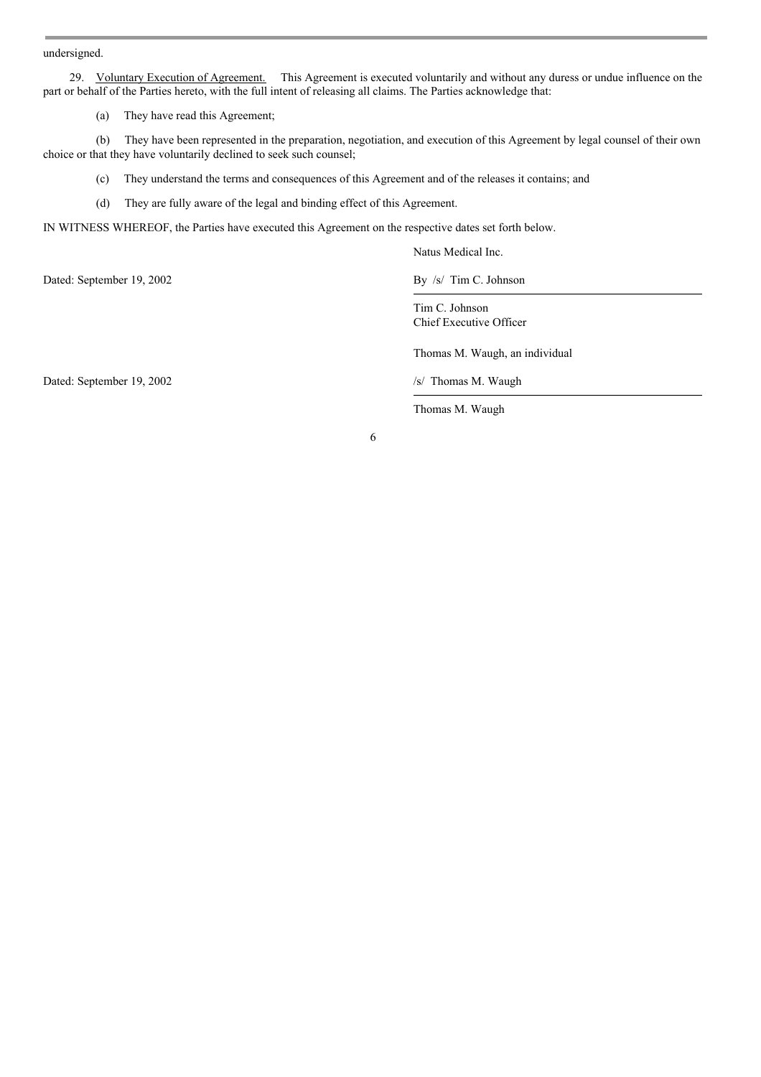## undersigned.

29. Voluntary Execution of Agreement. This Agreement is executed voluntarily and without any duress or undue influence on the part or behalf of the Parties hereto, with the full intent of releasing all claims. The Parties acknowledge that:

(a) They have read this Agreement;

(b) They have been represented in the preparation, negotiation, and execution of this Agreement by legal counsel of their own choice or that they have voluntarily declined to seek such counsel;

(c) They understand the terms and consequences of this Agreement and of the releases it contains; and

(d) They are fully aware of the legal and binding effect of this Agreement.

IN WITNESS WHEREOF, the Parties have executed this Agreement on the respective dates set forth below.

Natus Medical Inc.

Dated: September 19, 2002 By /s/ Tim C. Johnson

Tim C. Johnson Chief Executive Officer

Thomas M. Waugh, an individual

Dated: September 19, 2002 /s/ Thomas M. Waugh

Thomas M. Waugh